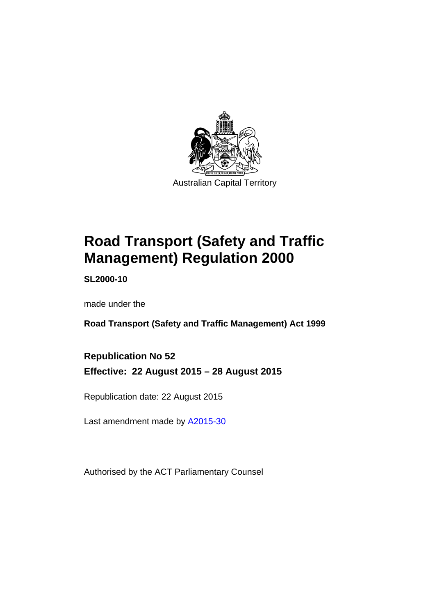

# **Road Transport (Safety and Traffic Management) Regulation 2000**

**SL2000-10** 

made under the

**Road Transport (Safety and Traffic Management) Act 1999** 

**Republication No 52 Effective: 22 August 2015 – 28 August 2015** 

Republication date: 22 August 2015

Last amendment made by [A2015-30](http://www.legislation.act.gov.au/a/2015-30)

Authorised by the ACT Parliamentary Counsel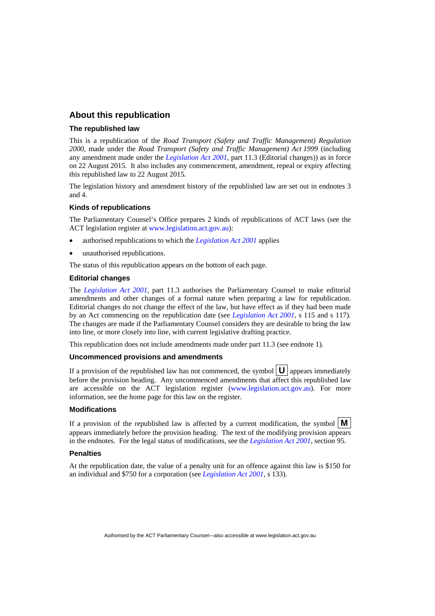## **About this republication**

#### **The republished law**

This is a republication of the *Road Transport (Safety and Traffic Management) Regulation 2000*, made under the *Road Transport (Safety and Traffic Management) Act 1999* (including any amendment made under the *[Legislation Act 2001](http://www.legislation.act.gov.au/a/2001-14)*, part 11.3 (Editorial changes)) as in force on 22 August 2015*.* It also includes any commencement, amendment, repeal or expiry affecting this republished law to 22 August 2015.

The legislation history and amendment history of the republished law are set out in endnotes 3 and 4.

#### **Kinds of republications**

The Parliamentary Counsel's Office prepares 2 kinds of republications of ACT laws (see the ACT legislation register at [www.legislation.act.gov.au](http://www.legislation.act.gov.au/)):

- authorised republications to which the *[Legislation Act 2001](http://www.legislation.act.gov.au/a/2001-14)* applies
- unauthorised republications.

The status of this republication appears on the bottom of each page.

#### **Editorial changes**

The *[Legislation Act 2001](http://www.legislation.act.gov.au/a/2001-14)*, part 11.3 authorises the Parliamentary Counsel to make editorial amendments and other changes of a formal nature when preparing a law for republication. Editorial changes do not change the effect of the law, but have effect as if they had been made by an Act commencing on the republication date (see *[Legislation Act 2001](http://www.legislation.act.gov.au/a/2001-14)*, s 115 and s 117). The changes are made if the Parliamentary Counsel considers they are desirable to bring the law into line, or more closely into line, with current legislative drafting practice.

This republication does not include amendments made under part 11.3 (see endnote 1).

#### **Uncommenced provisions and amendments**

If a provision of the republished law has not commenced, the symbol  $\mathbf{U}$  appears immediately before the provision heading. Any uncommenced amendments that affect this republished law are accessible on the ACT legislation register [\(www.legislation.act.gov.au](http://www.legislation.act.gov.au/)). For more information, see the home page for this law on the register.

#### **Modifications**

If a provision of the republished law is affected by a current modification, the symbol  $\mathbf{M}$ appears immediately before the provision heading. The text of the modifying provision appears in the endnotes. For the legal status of modifications, see the *[Legislation Act 2001](http://www.legislation.act.gov.au/a/2001-14)*, section 95.

#### **Penalties**

At the republication date, the value of a penalty unit for an offence against this law is \$150 for an individual and \$750 for a corporation (see *[Legislation Act 2001](http://www.legislation.act.gov.au/a/2001-14)*, s 133).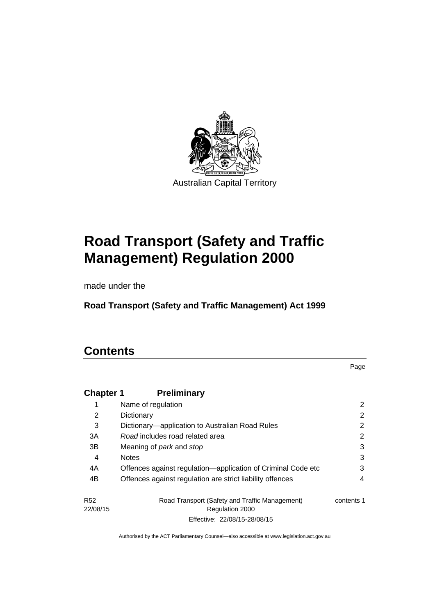

# **Road Transport (Safety and Traffic Management) Regulation 2000**

made under the

**Road Transport (Safety and Traffic Management) Act 1999** 

# **Contents**

Page

| <b>Chapter 1</b>       | <b>Preliminary</b>                                                |            |
|------------------------|-------------------------------------------------------------------|------------|
|                        | Name of regulation                                                | 2          |
| 2                      | Dictionary                                                        | 2          |
| 3                      | Dictionary—application to Australian Road Rules                   | 2          |
| 3A                     | Road includes road related area                                   | 2          |
| 3B                     | Meaning of <i>park</i> and <i>stop</i>                            | 3          |
| 4                      | <b>Notes</b>                                                      | 3          |
| 4A                     | Offences against regulation-application of Criminal Code etc      | 3          |
| 4B                     | Offences against regulation are strict liability offences         | 4          |
| <b>R52</b><br>22/08/15 | Road Transport (Safety and Traffic Management)<br>Regulation 2000 | contents 1 |
|                        | Effective: 22/08/15-28/08/15                                      |            |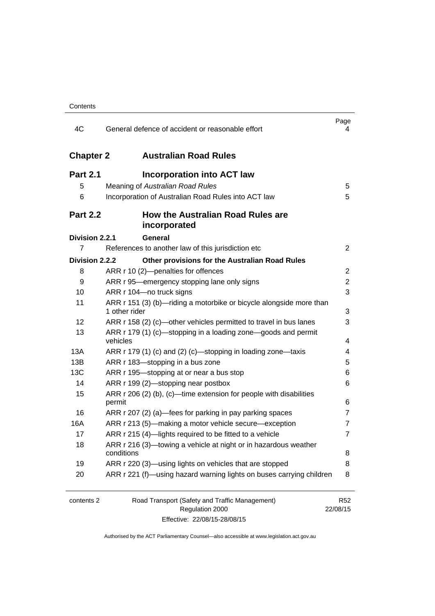| 4C               | General defence of accident or reasonable effort                                     | Page<br>4                   |
|------------------|--------------------------------------------------------------------------------------|-----------------------------|
| <b>Chapter 2</b> | <b>Australian Road Rules</b>                                                         |                             |
| <b>Part 2.1</b>  | <b>Incorporation into ACT law</b>                                                    |                             |
| 5                | Meaning of Australian Road Rules                                                     | 5                           |
| 6                | Incorporation of Australian Road Rules into ACT law                                  | 5                           |
| <b>Part 2.2</b>  | <b>How the Australian Road Rules are</b><br>incorporated                             |                             |
| Division 2.2.1   | General                                                                              |                             |
| 7                | References to another law of this jurisdiction etc                                   | $\overline{2}$              |
| Division 2.2.2   | Other provisions for the Australian Road Rules                                       |                             |
| 8                | ARR r 10 (2)-penalties for offences                                                  | 2                           |
| 9                | ARR r 95—emergency stopping lane only signs                                          | $\overline{2}$              |
| 10               | ARR r 104-no truck signs                                                             | 3                           |
| 11               | ARR r 151 (3) (b)—riding a motorbike or bicycle alongside more than<br>1 other rider | 3                           |
| 12               | ARR r 158 (2) (c)—other vehicles permitted to travel in bus lanes                    | 3                           |
| 13               | ARR r 179 (1) (c)—stopping in a loading zone—goods and permit<br>vehicles            | 4                           |
| 13A              | ARR r 179 (1) (c) and (2) (c)-stopping in loading zone-taxis                         | 4                           |
| 13B              | ARR r 183-stopping in a bus zone                                                     | 5                           |
| 13C              | ARR r 195-stopping at or near a bus stop                                             | 6                           |
| 14               | ARR r 199 (2)-stopping near postbox                                                  | 6                           |
| 15               | ARR r 206 (2) (b), (c)—time extension for people with disabilities                   |                             |
|                  | permit                                                                               | 6                           |
| 16               | ARR r 207 (2) (a)—fees for parking in pay parking spaces                             | 7                           |
| 16A              | ARR r 213 (5)—making a motor vehicle secure—exception                                | 7                           |
| 17               | ARR r 215 (4)-lights required to be fitted to a vehicle                              | 7                           |
| 18               | ARR r 216 (3)-towing a vehicle at night or in hazardous weather<br>conditions        | 8                           |
| 19               | ARR r 220 (3)—using lights on vehicles that are stopped                              | 8                           |
| 20               | ARR r 221 (f)—using hazard warning lights on buses carrying children                 | 8                           |
|                  |                                                                                      |                             |
| contents 2       | Road Transport (Safety and Traffic Management)<br>Regulation 2000                    | R <sub>52</sub><br>22/08/15 |

Effective: 22/08/15-28/08/15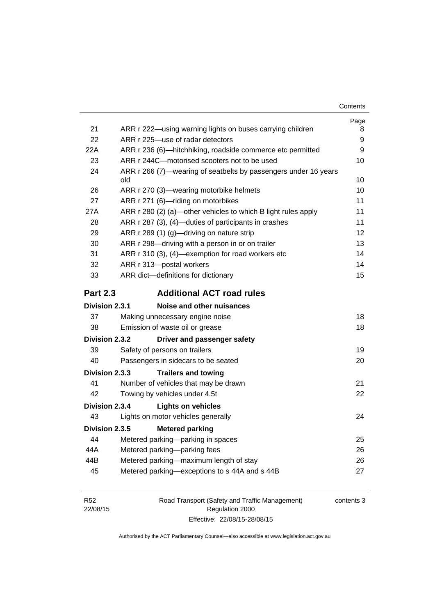| Contents |
|----------|
|----------|

|                 |                                                                        | Page |
|-----------------|------------------------------------------------------------------------|------|
| 21              | ARR r 222-using warning lights on buses carrying children              | 8    |
| 22              | ARR r 225-use of radar detectors                                       | 9    |
| 22A             | ARR r 236 (6)-hitchhiking, roadside commerce etc permitted             | 9    |
| 23              | ARR r 244C-motorised scooters not to be used                           | 10   |
| 24              | ARR r 266 (7)—wearing of seatbelts by passengers under 16 years<br>old | 10   |
| 26              | ARR r 270 (3)—wearing motorbike helmets                                | 10   |
| 27              | ARR r 271 (6)-riding on motorbikes                                     | 11   |
| 27A             | ARR r 280 (2) (a)—other vehicles to which B light rules apply          | 11   |
| 28              | ARR r 287 (3), (4)-duties of participants in crashes                   | 11   |
| 29              | ARR r 289 (1) (g)-driving on nature strip                              | 12   |
| 30              | ARR r 298-driving with a person in or on trailer                       | 13   |
| 31              | ARR r 310 (3), (4)-exemption for road workers etc                      | 14   |
| 32              | ARR r 313-postal workers                                               | 14   |
| 33              | ARR dict-definitions for dictionary                                    | 15   |
| <b>Part 2.3</b> | <b>Additional ACT road rules</b>                                       |      |
| Division 2.3.1  | Noise and other nuisances                                              |      |
| 37              | Making unnecessary engine noise                                        | 18   |
| 38              | Emission of waste oil or grease                                        | 18   |
| Division 2.3.2  | Driver and passenger safety                                            |      |
| 39              | Safety of persons on trailers                                          | 19   |
| 40              | Passengers in sidecars to be seated                                    | 20   |
| Division 2.3.3  | <b>Trailers and towing</b>                                             |      |
| 41              | Number of vehicles that may be drawn                                   | 21   |
| 42              | Towing by vehicles under 4.5t                                          | 22   |
| Division 2.3.4  | <b>Lights on vehicles</b>                                              |      |
| 43              | Lights on motor vehicles generally                                     | 24   |
| Division 2.3.5  | <b>Metered parking</b>                                                 |      |
| 44              |                                                                        |      |
|                 | Metered parking-parking in spaces                                      | 25   |
| 44A             | Metered parking-parking fees                                           | 26   |
| 44B             | Metered parking—maximum length of stay                                 | 26   |
| 45              | Metered parking-exceptions to s 44A and s 44B                          | 27   |

| <b>R52</b> | Road Transport (Safety and Traffic Management) | contents 3 |
|------------|------------------------------------------------|------------|
| 22/08/15   | Regulation 2000                                |            |
|            | Effective: 22/08/15-28/08/15                   |            |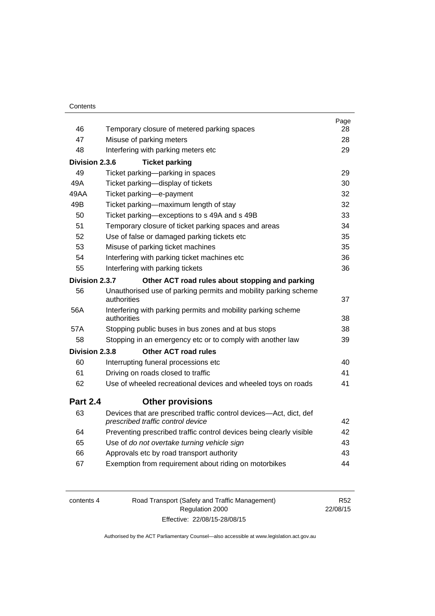| Contents |
|----------|
|----------|

|                 |                                                                                                         | Page |
|-----------------|---------------------------------------------------------------------------------------------------------|------|
| 46              | Temporary closure of metered parking spaces                                                             | 28   |
| 47              | Misuse of parking meters                                                                                | 28   |
| 48              | Interfering with parking meters etc                                                                     | 29   |
| Division 2.3.6  | <b>Ticket parking</b>                                                                                   |      |
| 49              | Ticket parking-parking in spaces                                                                        | 29   |
| 49A             | Ticket parking-display of tickets                                                                       | 30   |
| 49AA            | Ticket parking-e-payment                                                                                | 32   |
| 49B             | Ticket parking-maximum length of stay                                                                   | 32   |
| 50              | Ticket parking-exceptions to s 49A and s 49B                                                            | 33   |
| 51              | Temporary closure of ticket parking spaces and areas                                                    | 34   |
| 52              | Use of false or damaged parking tickets etc                                                             | 35   |
| 53              | Misuse of parking ticket machines                                                                       | 35   |
| 54              | Interfering with parking ticket machines etc                                                            | 36   |
| 55              | Interfering with parking tickets                                                                        | 36   |
| Division 2.3.7  | Other ACT road rules about stopping and parking                                                         |      |
| 56              | Unauthorised use of parking permits and mobility parking scheme                                         |      |
|                 | authorities                                                                                             | 37   |
| 56A             | Interfering with parking permits and mobility parking scheme<br>authorities                             | 38   |
| 57A             | Stopping public buses in bus zones and at bus stops                                                     | 38   |
| 58              | Stopping in an emergency etc or to comply with another law                                              | 39   |
| Division 2.3.8  | <b>Other ACT road rules</b>                                                                             |      |
| 60              | Interrupting funeral processions etc                                                                    | 40   |
| 61              | Driving on roads closed to traffic                                                                      | 41   |
| 62              | Use of wheeled recreational devices and wheeled toys on roads                                           | 41   |
| <b>Part 2.4</b> | <b>Other provisions</b>                                                                                 |      |
| 63              | Devices that are prescribed traffic control devices-Act, dict, def<br>prescribed traffic control device | 42   |
| 64              | Preventing prescribed traffic control devices being clearly visible                                     | 42   |
| 65              | Use of do not overtake turning vehicle sign                                                             | 43   |
| 66              | Approvals etc by road transport authority                                                               | 43   |
| 67              | Exemption from requirement about riding on motorbikes                                                   | 44   |
|                 |                                                                                                         |      |

| contents 4 | Road Transport (Safety and Traffic Management) | R52      |
|------------|------------------------------------------------|----------|
|            | Regulation 2000                                | 22/08/15 |
|            | Effective: 22/08/15-28/08/15                   |          |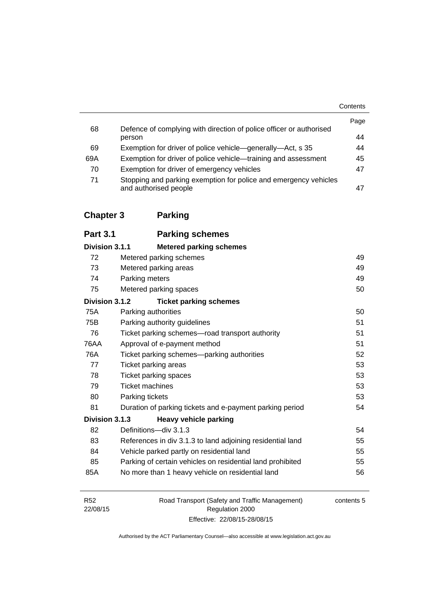|     |                                                                                           | Contents |
|-----|-------------------------------------------------------------------------------------------|----------|
| 68  | Defence of complying with direction of police officer or authorised                       | Page     |
|     | person                                                                                    | 44       |
| 69  | Exemption for driver of police vehicle—generally—Act, s 35                                | 44       |
| 69A | Exemption for driver of police vehicle—training and assessment                            | 45       |
| 70  | Exemption for driver of emergency vehicles                                                | 47       |
| 71  | Stopping and parking exemption for police and emergency vehicles<br>and authorised people | 47       |

# **[Chapter 3](#page-65-0) Parking**

| <b>Part 3.1</b> | <b>Parking schemes</b>         |
|-----------------|--------------------------------|
| Division 3.1.1  | <b>Metered parking schemes</b> |

| 72             | Metered parking schemes                                    | 49 |
|----------------|------------------------------------------------------------|----|
| 73             | Metered parking areas                                      | 49 |
| 74             | Parking meters                                             | 49 |
| 75             | Metered parking spaces                                     | 50 |
| Division 3.1.2 | <b>Ticket parking schemes</b>                              |    |
| 75A            | Parking authorities                                        | 50 |
| 75B            | Parking authority guidelines                               | 51 |
| 76             | Ticket parking schemes—road transport authority            | 51 |
| 76AA           | Approval of e-payment method                               | 51 |
| 76A            | Ticket parking schemes-parking authorities                 | 52 |
| 77             | Ticket parking areas                                       | 53 |
| 78             | Ticket parking spaces                                      | 53 |
| 79             | <b>Ticket machines</b>                                     | 53 |
| 80             | Parking tickets                                            | 53 |
| 81             | Duration of parking tickets and e-payment parking period   | 54 |
| Division 3.1.3 | <b>Heavy vehicle parking</b>                               |    |
| 82             | Definitions-div 3.1.3                                      | 54 |
| 83             | References in div 3.1.3 to land adjoining residential land | 55 |
| 84             | Vehicle parked partly on residential land                  | 55 |
| 85             | Parking of certain vehicles on residential land prohibited | 55 |
| 85A            | No more than 1 heavy vehicle on residential land           | 56 |

| R <sub>52</sub> | Road Transport (Safety and Traffic Management) | contents 5 |
|-----------------|------------------------------------------------|------------|
| 22/08/15        | Regulation 2000                                |            |
|                 | Effective: 22/08/15-28/08/15                   |            |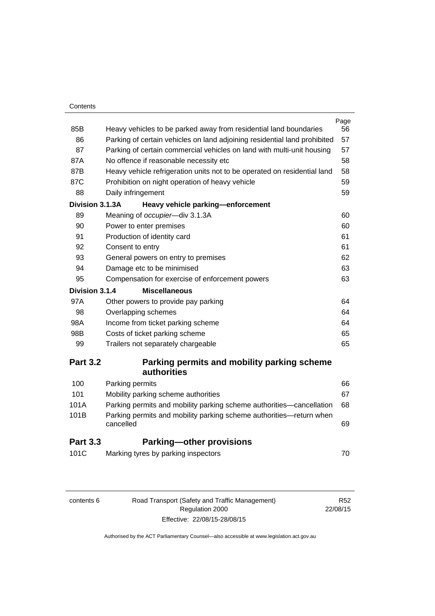#### **Contents**

| 85B             | Heavy vehicles to be parked away from residential land boundaries                | Page<br>56 |
|-----------------|----------------------------------------------------------------------------------|------------|
| 86              | Parking of certain vehicles on land adjoining residential land prohibited        | 57         |
| 87              | Parking of certain commercial vehicles on land with multi-unit housing           | 57         |
| 87A             | No offence if reasonable necessity etc                                           | 58         |
| 87B             | Heavy vehicle refrigeration units not to be operated on residential land         | 58         |
| 87C             | Prohibition on night operation of heavy vehicle                                  | 59         |
| 88              | Daily infringement                                                               | 59         |
| Division 3.1.3A | Heavy vehicle parking-enforcement                                                |            |
| 89              | Meaning of occupier-div 3.1.3A                                                   | 60         |
| 90              | Power to enter premises                                                          | 60         |
| 91              | Production of identity card                                                      | 61         |
| 92              | Consent to entry                                                                 | 61         |
| 93              | General powers on entry to premises                                              | 62         |
| 94              | Damage etc to be minimised                                                       | 63         |
| 95              | Compensation for exercise of enforcement powers                                  | 63         |
| Division 3.1.4  | <b>Miscellaneous</b>                                                             |            |
| 97A             | Other powers to provide pay parking                                              | 64         |
| 98              | Overlapping schemes                                                              | 64         |
| 98A             | Income from ticket parking scheme                                                | 64         |
| 98B             | Costs of ticket parking scheme                                                   | 65         |
| 99              | Trailers not separately chargeable                                               | 65         |
| <b>Part 3.2</b> | Parking permits and mobility parking scheme                                      |            |
|                 | <b>authorities</b>                                                               |            |
| 100             | Parking permits                                                                  | 66         |
| 101             | Mobility parking scheme authorities                                              | 67         |
| 101A            | Parking permits and mobility parking scheme authorities-cancellation             | 68         |
| 101B            | Parking permits and mobility parking scheme authorities-return when<br>cancelled | 69         |
| <b>Part 3.3</b> | <b>Parking-other provisions</b>                                                  |            |
| 101C            | Marking tyres by parking inspectors                                              | 70         |
|                 |                                                                                  |            |

| contents 6 |  |  |
|------------|--|--|
|            |  |  |

6 Road Transport (Safety and Traffic Management) Regulation 2000 Effective: 22/08/15-28/08/15

R52 22/08/15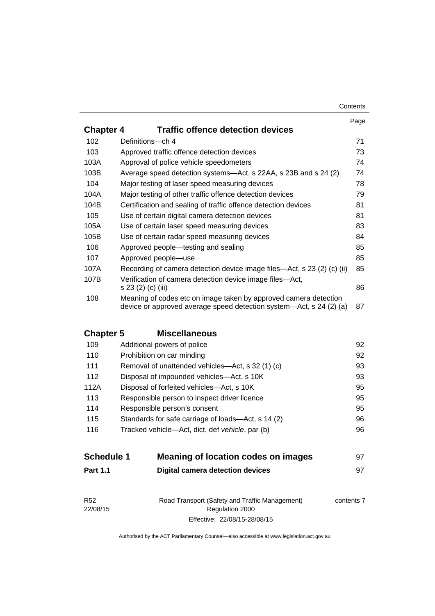#### **Contents**

|                  |                                                                                | Page |
|------------------|--------------------------------------------------------------------------------|------|
| <b>Chapter 4</b> | <b>Traffic offence detection devices</b>                                       |      |
| 102              | Definitions-ch 4                                                               | 71   |
| 103              | Approved traffic offence detection devices                                     | 73   |
| 103A             | Approval of police vehicle speedometers                                        | 74   |
| 103B             | Average speed detection systems—Act, s 22AA, s 23B and s 24 (2)                | 74   |
| 104              | Major testing of laser speed measuring devices                                 | 78   |
| 104A             | Major testing of other traffic offence detection devices                       | 79   |
| 104B             | Certification and sealing of traffic offence detection devices                 | 81   |
| 105              | Use of certain digital camera detection devices                                | 81   |
| 105A             | Use of certain laser speed measuring devices                                   | 83   |
| 105B             | Use of certain radar speed measuring devices                                   | 84   |
| 106              | Approved people—testing and sealing                                            | 85   |
| 107              | Approved people-use                                                            | 85   |
| 107A             | Recording of camera detection device image files—Act, s 23 (2) (c) (ii)        | 85   |
| 107B             | Verification of camera detection device image files—Act,<br>s 23 (2) (c) (iii) | 86   |
| 108              | Meaning of codes etc on image taken by approved camera detection               |      |
|                  | device or approved average speed detection system—Act, s 24 (2) (a)            | 87   |

# **Chapter 5 [Miscellaneous](#page-108-0)**

| 109  | Additional powers of police                        | 92 |
|------|----------------------------------------------------|----|
| 110  | Prohibition on car minding                         | 92 |
| 111  | Removal of unattended vehicles—Act, s 32 (1) (c)   | 93 |
| 112  | Disposal of impounded vehicles—Act, s 10K          | 93 |
| 112A | Disposal of forfeited vehicles—Act, s 10K          | 95 |
| 113  | Responsible person to inspect driver licence       | 95 |
| 114  | Responsible person's consent                       | 95 |
| 115  | Standards for safe carriage of loads—Act, s 14 (2) | 96 |
| 116  | Tracked vehicle—Act, dict, def vehicle, par (b)    | 96 |
|      |                                                    |    |

| <b>Schedule 1</b> | Meaning of location codes on images | 97 |
|-------------------|-------------------------------------|----|
| <b>Part 1.1</b>   | Digital camera detection devices    |    |

| R <sub>52</sub> | Road Transport (Safety and Traffic Management) | contents 7 |
|-----------------|------------------------------------------------|------------|
| 22/08/15        | Regulation 2000                                |            |
|                 | Effective: 22/08/15-28/08/15                   |            |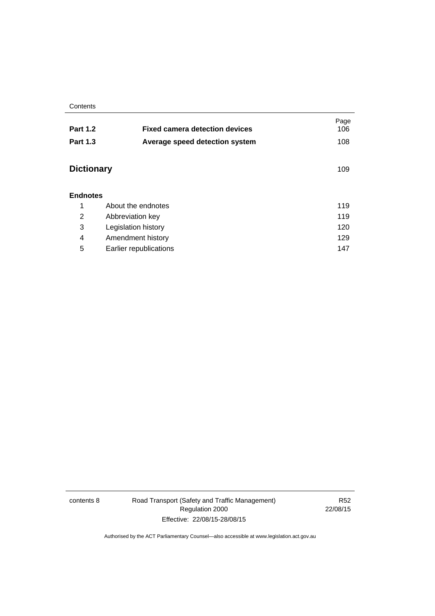**Contents** 

| <b>Part 1.2</b>   | <b>Fixed camera detection devices</b> | Page<br>106 |
|-------------------|---------------------------------------|-------------|
| <b>Part 1.3</b>   | Average speed detection system        | 108         |
| <b>Dictionary</b> |                                       | 109         |
| <b>Endnotes</b>   |                                       |             |
| 1                 | About the endnotes                    | 119         |
| 2                 | Abbreviation key                      |             |
| 3                 | 120<br>Legislation history            |             |
| 4                 | Amendment history                     | 129         |
| 5                 | Earlier republications                | 147         |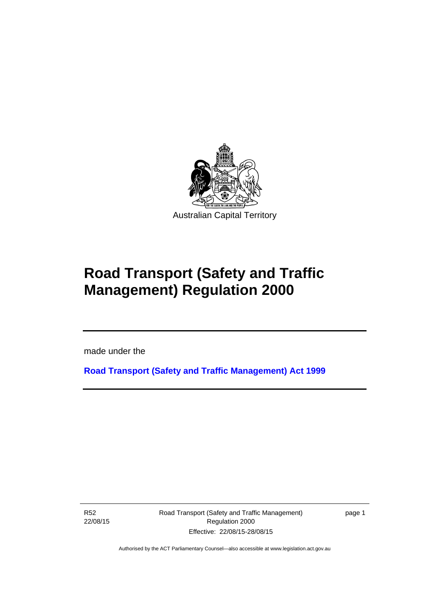

# **Road Transport (Safety and Traffic Management) Regulation 2000**

made under the

**[Road Transport \(Safety and Traffic Management\) Act 1999](http://www.legislation.act.gov.au/a/1999-80)**

R52 22/08/15

l

Road Transport (Safety and Traffic Management) Regulation 2000 Effective: 22/08/15-28/08/15

page 1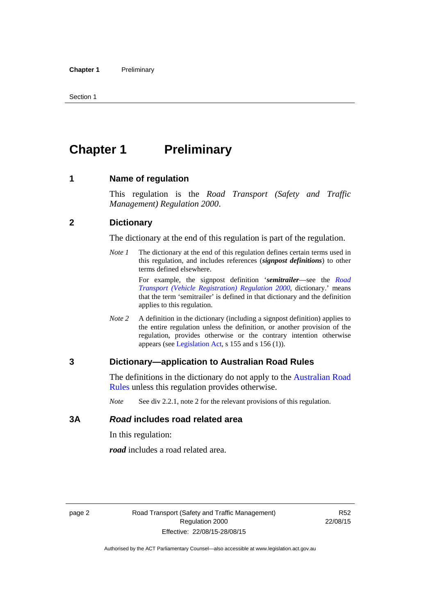# <span id="page-11-0"></span>**Chapter 1** Preliminary

#### <span id="page-11-1"></span>**1 Name of regulation**

This regulation is the *Road Transport (Safety and Traffic Management) Regulation 2000*.

#### <span id="page-11-2"></span>**2 Dictionary**

The dictionary at the end of this regulation is part of the regulation.

*Note 1* The dictionary at the end of this regulation defines certain terms used in this regulation, and includes references (*signpost definitions*) to other terms defined elsewhere.

> For example, the signpost definition '*semitrailer*—see the *[Road](http://www.legislation.act.gov.au/sl/2000-12)  [Transport \(Vehicle Registration\) Regulation 2000](http://www.legislation.act.gov.au/sl/2000-12)*, dictionary.' means that the term 'semitrailer' is defined in that dictionary and the definition applies to this regulation.

*Note 2* A definition in the dictionary (including a signpost definition) applies to the entire regulation unless the definition, or another provision of the regulation, provides otherwise or the contrary intention otherwise appears (see [Legislation Act,](http://www.legislation.act.gov.au/a/2001-14) s 155 and s 156 (1)).

#### <span id="page-11-3"></span>**3 Dictionary—application to Australian Road Rules**

The definitions in the dictionary do not apply to the Australian Road [Rules](http://www.legislation.act.gov.au//ni/db_37271/default.asp) unless this regulation provides otherwise.

*Note* See div 2.2.1, note 2 for the relevant provisions of this regulation.

#### <span id="page-11-4"></span>**3A** *Road* **includes road related area**

In this regulation:

*road* includes a road related area.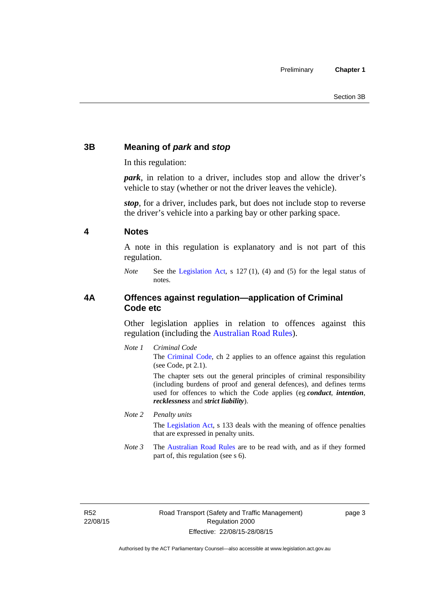## <span id="page-12-0"></span>**3B Meaning of** *park* **and** *stop*

In this regulation:

*park*, in relation to a driver, includes stop and allow the driver's vehicle to stay (whether or not the driver leaves the vehicle).

*stop*, for a driver, includes park, but does not include stop to reverse the driver's vehicle into a parking bay or other parking space.

#### <span id="page-12-1"></span>**4 Notes**

A note in this regulation is explanatory and is not part of this regulation.

*Note* See the [Legislation Act,](http://www.legislation.act.gov.au/a/2001-14) s 127 (1), (4) and (5) for the legal status of notes.

## <span id="page-12-2"></span>**4A Offences against regulation—application of Criminal Code etc**

Other legislation applies in relation to offences against this regulation (including the [Australian Road Rules](http://www.legislation.act.gov.au//ni/db_37271/default.asp)).

*Note 1 Criminal Code* The [Criminal Code,](http://www.legislation.act.gov.au/a/2002-51) ch 2 applies to an offence against this regulation (see Code, pt 2.1).

> The chapter sets out the general principles of criminal responsibility (including burdens of proof and general defences), and defines terms used for offences to which the Code applies (eg *conduct*, *intention*, *recklessness* and *strict liability*).

#### *Note 2 Penalty units*

The [Legislation Act](http://www.legislation.act.gov.au/a/2001-14), s 133 deals with the meaning of offence penalties that are expressed in penalty units.

*Note 3* The [Australian Road Rules](http://www.legislation.act.gov.au//ni/db_37271/default.asp) are to be read with, and as if they formed part of, this regulation (see s 6).

R52 22/08/15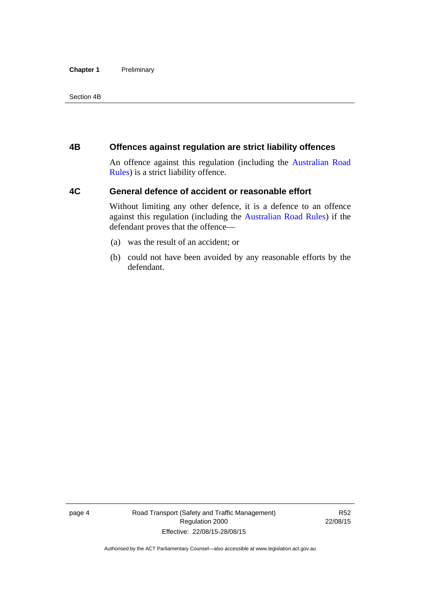#### **Chapter 1** Preliminary

Section 4B

## <span id="page-13-0"></span>**4B Offences against regulation are strict liability offences**

An offence against this regulation (including the [Australian Road](http://www.legislation.act.gov.au//ni/db_37271/default.asp)  [Rules](http://www.legislation.act.gov.au//ni/db_37271/default.asp)) is a strict liability offence.

## <span id="page-13-1"></span>**4C General defence of accident or reasonable effort**

Without limiting any other defence, it is a defence to an offence against this regulation (including the [Australian Road Rules\)](http://www.legislation.act.gov.au//ni/db_37271/default.asp) if the defendant proves that the offence—

- (a) was the result of an accident; or
- (b) could not have been avoided by any reasonable efforts by the defendant.

page 4 Road Transport (Safety and Traffic Management) Regulation 2000 Effective: 22/08/15-28/08/15

R52 22/08/15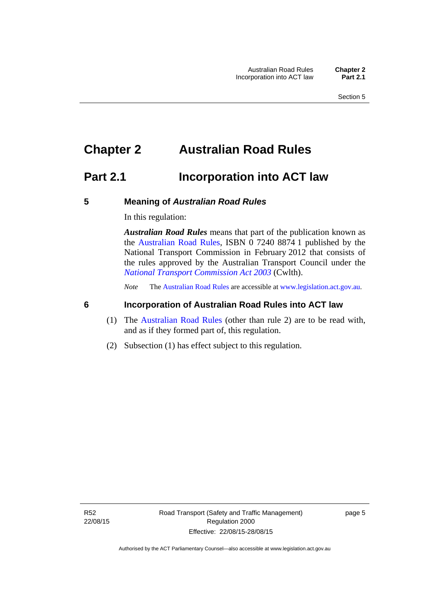# <span id="page-14-0"></span>**Chapter 2 Australian Road Rules**

## <span id="page-14-1"></span>**Part 2.1 Incorporation into ACT law**

#### <span id="page-14-2"></span>**5 Meaning of** *Australian Road Rules*

In this regulation:

*Australian Road Rules* means that part of the publication known as the [Australian Road Rules](http://www.legislation.act.gov.au//ni/db_37271/default.asp), ISBN 0 7240 8874 1 published by the National Transport Commission in February 2012 that consists of the rules approved by the Australian Transport Council under the *[National Transport Commission Act 2003](http://www.comlaw.gov.au/Series/C2004A01166)* (Cwlth).

*Note* The [Australian Road Rules](http://www.legislation.act.gov.au//ni/db_37271/default.asp) are accessible at [www.legislation.act.gov.au](http://www.legislation.act.gov.au/).

## <span id="page-14-3"></span>**6 Incorporation of Australian Road Rules into ACT law**

- (1) The [Australian Road Rules](http://www.legislation.act.gov.au//ni/db_37271/default.asp) (other than rule 2) are to be read with, and as if they formed part of, this regulation.
- (2) Subsection (1) has effect subject to this regulation.

page 5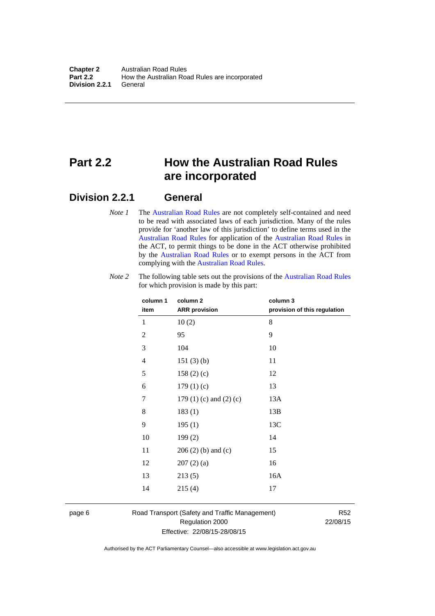# <span id="page-15-0"></span>**Part 2.2 How the Australian Road Rules are incorporated**

## <span id="page-15-1"></span>**Division 2.2.1 General**

*Note 1* The [Australian Road Rules](http://www.legislation.act.gov.au//ni/db_37271/default.asp) are not completely self-contained and need to be read with associated laws of each jurisdiction. Many of the rules provide for 'another law of this jurisdiction' to define terms used in the [Australian Road Rules](http://www.legislation.act.gov.au//ni/db_37271/default.asp) for application of the [Australian Road Rules](http://www.legislation.act.gov.au//ni/db_37271/default.asp) in the ACT, to permit things to be done in the ACT otherwise prohibited by the [Australian Road Rules](http://www.legislation.act.gov.au//ni/db_37271/default.asp) or to exempt persons in the ACT from complying with the [Australian Road Rules.](http://www.legislation.act.gov.au//ni/db_37271/default.asp)

| column 1<br>item | column <sub>2</sub><br><b>ARR</b> provision | column 3<br>provision of this regulation |
|------------------|---------------------------------------------|------------------------------------------|
| 1                | 10(2)                                       | 8                                        |
| $\overline{2}$   | 95                                          | 9                                        |
| 3                | 104                                         | 10                                       |
| $\overline{4}$   | 151(3)(b)                                   | 11                                       |
| 5                | 158 $(2)(c)$                                | 12                                       |
| 6                | 179(1)(c)                                   | 13                                       |
| 7                | 179 $(1)$ $(c)$ and $(2)$ $(c)$             | 13A                                      |
| 8                | 183(1)                                      | 13B                                      |
| 9                | 195(1)                                      | 13C                                      |
| 10               | 199(2)                                      | 14                                       |
| 11               | $206(2)$ (b) and (c)                        | 15                                       |
| 12               | 207(2)(a)                                   | 16                                       |
| 13               | 213(5)                                      | 16A                                      |
| 14               | 215(4)                                      | 17                                       |

*Note 2* The following table sets out the provisions of the [Australian Road Rules](http://www.legislation.act.gov.au//ni/db_37271/default.asp) for which provision is made by this part:

page 6 Road Transport (Safety and Traffic Management) Regulation 2000 Effective: 22/08/15-28/08/15

R52 22/08/15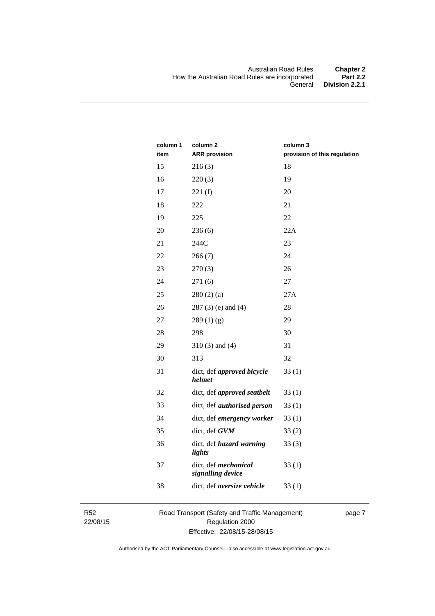| column 1<br>item | column <sub>2</sub><br><b>ARR</b> provision | column 3<br>provision of this regulation |
|------------------|---------------------------------------------|------------------------------------------|
| 15               | 216(3)                                      | 18                                       |
| 16               | 220(3)                                      | 19                                       |
| 17               | 221(f)                                      | 20                                       |
| 18               | 222                                         | 21                                       |
| 19               | 225                                         | 22                                       |
| 20               | 236(6)                                      | 22A                                      |
| 21               | 244C                                        | 23                                       |
| 22               | 266(7)                                      | 24                                       |
| 23               | 270(3)                                      | 26                                       |
| 24               | 271(6)                                      | 27                                       |
| 25               | 280(2)(a)                                   | 27A                                      |
| 26               | $287(3)$ (e) and (4)                        | 28                                       |
| 27               | 289(1)(g)                                   | 29                                       |
| 28               | 298                                         | 30                                       |
| 29               | $310(3)$ and $(4)$                          | 31                                       |
| 30               | 313                                         | 32                                       |
| 31               | dict, def approved bicycle<br>helmet        | 33(1)                                    |
| 32               | dict, def approved seatbelt                 | 33(1)                                    |
| 33               | dict, def <i>authorised</i> person          | 33(1)                                    |
| 34               | dict, def emergency worker                  | 33(1)                                    |
| 35               | dict, def GVM                               | 33(2)                                    |
| 36               | dict, def hazard warning<br>lights          | 33(3)                                    |
| 37               | dict, def mechanical<br>signalling device   | 33(1)                                    |
| 38               | dict, def oversize vehicle                  | 33(1)                                    |

R52 22/08/15 Road Transport (Safety and Traffic Management) Regulation 2000 Effective: 22/08/15-28/08/15

page 7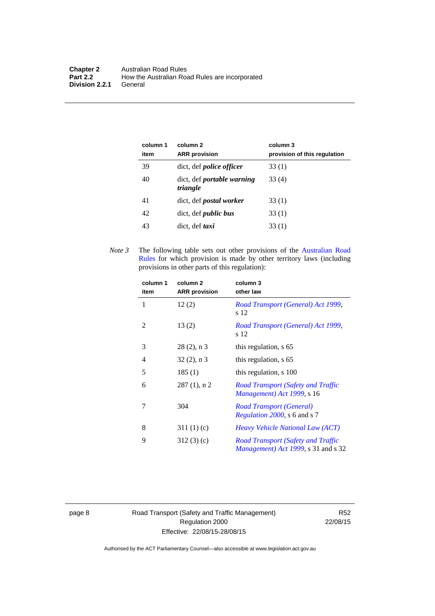| column 1<br>item | column 2<br><b>ARR</b> provision              | column 3<br>provision of this regulation |
|------------------|-----------------------------------------------|------------------------------------------|
| 39               | dict, def <i>police</i> officer               | 33 (1)                                   |
| 40               | dict, def <i>portable</i> warning<br>triangle | 33 (4)                                   |
| 41               | dict, def <i>postal</i> worker                | 33 (1)                                   |
| 42               | dict, def <i>public bus</i>                   | 33 (1)                                   |
| 43               | dict, def taxi                                | 33(1)                                    |

*Note 3* The following table sets out other provisions of the [Australian Road](http://www.legislation.act.gov.au//ni/db_37271/default.asp)  [Rules](http://www.legislation.act.gov.au//ni/db_37271/default.asp) for which provision is made by other territory laws (including provisions in other parts of this regulation):

| column 1<br>item | column 2<br><b>ARR</b> provision | column 3<br>other law                                                                     |
|------------------|----------------------------------|-------------------------------------------------------------------------------------------|
| 1                | 12(2)                            | Road Transport (General) Act 1999,<br>s 12                                                |
| 2                | 13(2)                            | Road Transport (General) Act 1999,<br>s 12                                                |
| 3                | $28(2)$ , n 3                    | this regulation, s 65                                                                     |
| 4                | $32(2)$ , n 3                    | this regulation, s 65                                                                     |
| 5                | 185(1)                           | this regulation, s 100                                                                    |
| 6                | $287(1)$ , n 2                   | Road Transport (Safety and Traffic<br>Management) Act 1999, s 16                          |
| 7                | 304                              | Road Transport (General)<br><i>Regulation 2000</i> , s 6 and s 7                          |
| 8                | 311(1)(c)                        | <i>Heavy Vehicle National Law (ACT)</i>                                                   |
| 9                | 312(3)(c)                        | Road Transport (Safety and Traffic<br><i>Management</i> ) <i>Act 1999</i> , s 31 and s 32 |

page 8 Road Transport (Safety and Traffic Management) Regulation 2000 Effective: 22/08/15-28/08/15

R52 22/08/15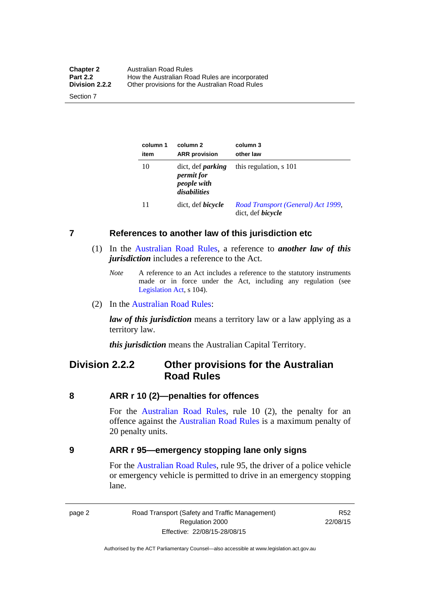| <b>Chapter 2</b> | Australian Road Rules                          |  |
|------------------|------------------------------------------------|--|
| <b>Part 2.2</b>  | How the Australian Road Rules are incorporated |  |
| Division 2.2.2   | Other provisions for the Australian Road Rules |  |

Section 7

| column 1<br>item | column 2<br><b>ARR</b> provision                                             | column 3<br>other law                                          |
|------------------|------------------------------------------------------------------------------|----------------------------------------------------------------|
| 10               | dict, def <i>parking</i><br><i>permit for</i><br>people with<br>disabilities | this regulation, s 101                                         |
| 11               | dict, def <i>bicycle</i>                                                     | Road Transport (General) Act 1999,<br>dict, def <i>bicycle</i> |

#### <span id="page-18-0"></span>**7 References to another law of this jurisdiction etc**

- (1) In the [Australian Road Rules,](http://www.legislation.act.gov.au//ni/db_37271/default.asp) a reference to *another law of this jurisdiction* includes a reference to the Act.
	- *Note* A reference to an Act includes a reference to the statutory instruments made or in force under the Act, including any regulation (see [Legislation Act,](http://www.legislation.act.gov.au/a/2001-14) s 104).
- (2) In the [Australian Road Rules](http://www.legislation.act.gov.au//ni/db_37271/default.asp):

*law of this jurisdiction* means a territory law or a law applying as a territory law.

*this jurisdiction* means the Australian Capital Territory.

## <span id="page-18-1"></span>**Division 2.2.2 Other provisions for the Australian Road Rules**

#### <span id="page-18-2"></span>**8 ARR r 10 (2)—penalties for offences**

For the [Australian Road Rules,](http://www.legislation.act.gov.au//ni/db_37271/default.asp) rule 10 (2), the penalty for an offence against the [Australian Road Rules](http://www.legislation.act.gov.au//ni/db_37271/default.asp) is a maximum penalty of 20 penalty units.

#### <span id="page-18-3"></span>**9 ARR r 95—emergency stopping lane only signs**

For the [Australian Road Rules](http://www.legislation.act.gov.au//ni/db_37271/default.asp), rule 95, the driver of a police vehicle or emergency vehicle is permitted to drive in an emergency stopping lane.

page 2 Road Transport (Safety and Traffic Management) Regulation 2000 Effective: 22/08/15-28/08/15

R52 22/08/15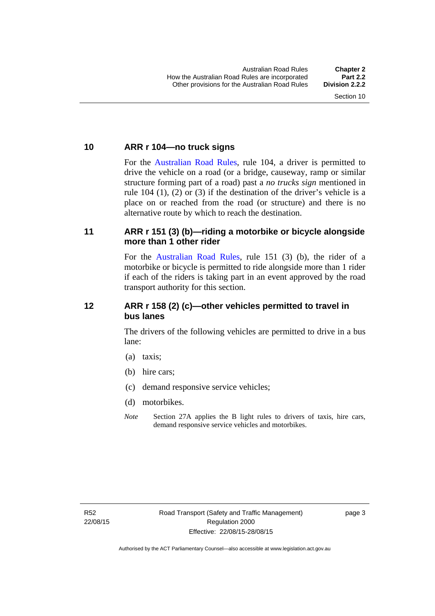#### <span id="page-19-0"></span>**10 ARR r 104—no truck signs**

For the [Australian Road Rules,](http://www.legislation.act.gov.au//ni/db_37271/default.asp) rule 104, a driver is permitted to drive the vehicle on a road (or a bridge, causeway, ramp or similar structure forming part of a road) past a *no trucks sign* mentioned in rule 104 (1), (2) or (3) if the destination of the driver's vehicle is a place on or reached from the road (or structure) and there is no alternative route by which to reach the destination.

### <span id="page-19-1"></span>**11 ARR r 151 (3) (b)—riding a motorbike or bicycle alongside more than 1 other rider**

For the [Australian Road Rules](http://www.legislation.act.gov.au//ni/db_37271/default.asp), rule 151 (3) (b), the rider of a motorbike or bicycle is permitted to ride alongside more than 1 rider if each of the riders is taking part in an event approved by the road transport authority for this section.

## <span id="page-19-2"></span>**12 ARR r 158 (2) (c)—other vehicles permitted to travel in bus lanes**

The drivers of the following vehicles are permitted to drive in a bus lane:

- (a) taxis;
- (b) hire cars;
- (c) demand responsive service vehicles;
- (d) motorbikes.
- *Note* Section 27A applies the B light rules to drivers of taxis, hire cars, demand responsive service vehicles and motorbikes.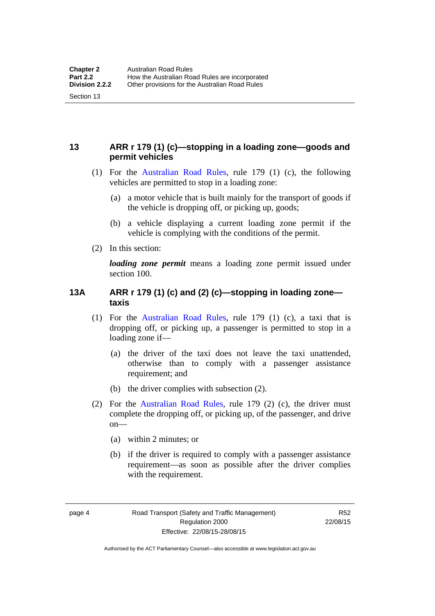## <span id="page-20-0"></span>**13 ARR r 179 (1) (c)—stopping in a loading zone—goods and permit vehicles**

- (1) For the [Australian Road Rules,](http://www.legislation.act.gov.au//ni/db_37271/default.asp) rule 179 (1) (c), the following vehicles are permitted to stop in a loading zone:
	- (a) a motor vehicle that is built mainly for the transport of goods if the vehicle is dropping off, or picking up, goods;
	- (b) a vehicle displaying a current loading zone permit if the vehicle is complying with the conditions of the permit.
- (2) In this section:

Section 13

*loading zone permit* means a loading zone permit issued under section 100.

## <span id="page-20-1"></span>**13A ARR r 179 (1) (c) and (2) (c)—stopping in loading zone taxis**

- (1) For the [Australian Road Rules,](http://www.legislation.act.gov.au//ni/db_37271/default.asp) rule 179 (1) (c), a taxi that is dropping off, or picking up, a passenger is permitted to stop in a loading zone if—
	- (a) the driver of the taxi does not leave the taxi unattended, otherwise than to comply with a passenger assistance requirement; and
	- (b) the driver complies with subsection (2).
- (2) For the [Australian Road Rules,](http://www.legislation.act.gov.au//ni/db_37271/default.asp) rule 179 (2) (c), the driver must complete the dropping off, or picking up, of the passenger, and drive on—
	- (a) within 2 minutes; or
	- (b) if the driver is required to comply with a passenger assistance requirement—as soon as possible after the driver complies with the requirement.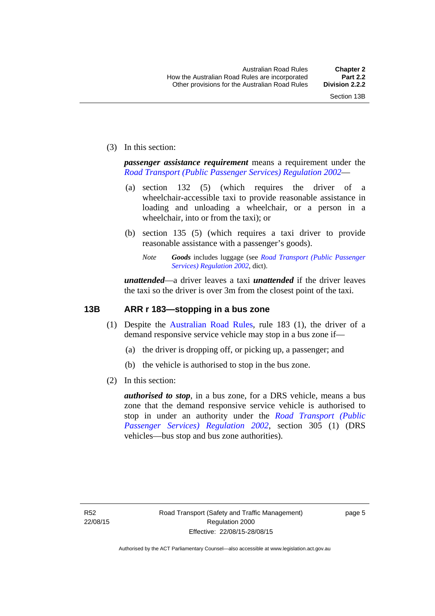(3) In this section:

*passenger assistance requirement* means a requirement under the *[Road Transport \(Public Passenger Services\) Regulation 2002](http://www.legislation.act.gov.au/sl/2002-3)*—

- (a) section 132 (5) (which requires the driver of a wheelchair-accessible taxi to provide reasonable assistance in loading and unloading a wheelchair, or a person in a wheelchair, into or from the taxi); or
- (b) section 135 (5) (which requires a taxi driver to provide reasonable assistance with a passenger's goods).
	- *Note Goods* includes luggage (see *[Road Transport \(Public Passenger](http://www.legislation.act.gov.au/sl/2002-3)  [Services\) Regulation 2002](http://www.legislation.act.gov.au/sl/2002-3)*, dict).

*unattended*—a driver leaves a taxi *unattended* if the driver leaves the taxi so the driver is over 3m from the closest point of the taxi.

## <span id="page-21-0"></span>**13B ARR r 183—stopping in a bus zone**

- (1) Despite the [Australian Road Rules](http://www.legislation.act.gov.au//ni/db_37271/default.asp), rule 183 (1), the driver of a demand responsive service vehicle may stop in a bus zone if—
	- (a) the driver is dropping off, or picking up, a passenger; and
	- (b) the vehicle is authorised to stop in the bus zone.
- (2) In this section:

*authorised to stop*, in a bus zone, for a DRS vehicle, means a bus zone that the demand responsive service vehicle is authorised to stop in under an authority under the *[Road Transport \(Public](http://www.legislation.act.gov.au/sl/2002-3)  [Passenger Services\) Regulation 2002](http://www.legislation.act.gov.au/sl/2002-3)*, section 305 (1) (DRS vehicles—bus stop and bus zone authorities).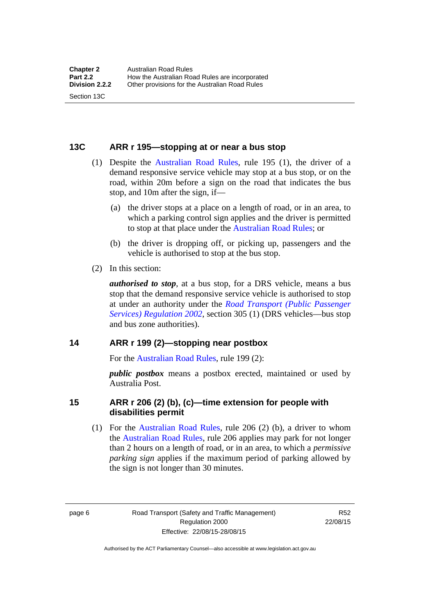#### <span id="page-22-0"></span>**13C ARR r 195—stopping at or near a bus stop**

- (1) Despite the [Australian Road Rules](http://www.legislation.act.gov.au//ni/db_37271/default.asp), rule 195 (1), the driver of a demand responsive service vehicle may stop at a bus stop, or on the road, within 20m before a sign on the road that indicates the bus stop, and 10m after the sign, if—
	- (a) the driver stops at a place on a length of road, or in an area, to which a parking control sign applies and the driver is permitted to stop at that place under the [Australian Road Rules;](http://www.legislation.act.gov.au//ni/db_37271/default.asp) or
	- (b) the driver is dropping off, or picking up, passengers and the vehicle is authorised to stop at the bus stop.
- (2) In this section:

Section 13C

*authorised to stop*, at a bus stop, for a DRS vehicle, means a bus stop that the demand responsive service vehicle is authorised to stop at under an authority under the *[Road Transport \(Public Passenger](http://www.legislation.act.gov.au/sl/2002-3)  [Services\) Regulation 2002](http://www.legislation.act.gov.au/sl/2002-3)*, section 305 (1) (DRS vehicles—bus stop and bus zone authorities).

#### <span id="page-22-1"></span>**14 ARR r 199 (2)—stopping near postbox**

For the [Australian Road Rules,](http://www.legislation.act.gov.au//ni/db_37271/default.asp) rule 199 (2):

*public postbox* means a postbox erected, maintained or used by Australia Post.

#### <span id="page-22-2"></span>**15 ARR r 206 (2) (b), (c)—time extension for people with disabilities permit**

 (1) For the [Australian Road Rules](http://www.legislation.act.gov.au//ni/db_37271/default.asp), rule 206 (2) (b), a driver to whom the [Australian Road Rules](http://www.legislation.act.gov.au//ni/db_37271/default.asp), rule 206 applies may park for not longer than 2 hours on a length of road, or in an area, to which a *permissive parking sign* applies if the maximum period of parking allowed by the sign is not longer than 30 minutes.

page 6 Road Transport (Safety and Traffic Management) Regulation 2000 Effective: 22/08/15-28/08/15

R52 22/08/15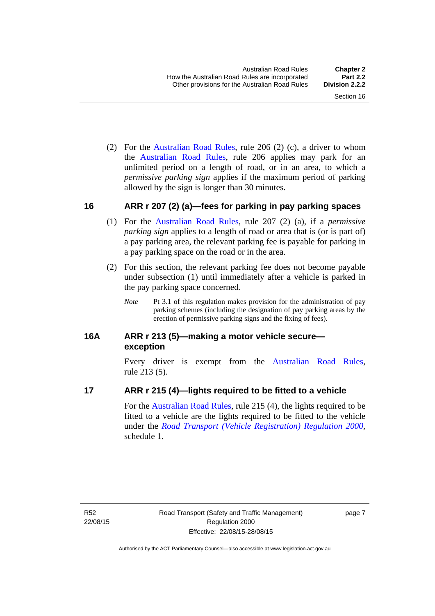(2) For the [Australian Road Rules,](http://www.legislation.act.gov.au//ni/db_37271/default.asp) rule 206 (2) (c), a driver to whom the [Australian Road Rules](http://www.legislation.act.gov.au//ni/db_37271/default.asp), rule 206 applies may park for an unlimited period on a length of road, or in an area, to which a *permissive parking sign* applies if the maximum period of parking allowed by the sign is longer than 30 minutes.

#### <span id="page-23-0"></span>**16 ARR r 207 (2) (a)—fees for parking in pay parking spaces**

- (1) For the [Australian Road Rules,](http://www.legislation.act.gov.au//ni/db_37271/default.asp) rule 207 (2) (a), if a *permissive parking sign* applies to a length of road or area that is (or is part of) a pay parking area, the relevant parking fee is payable for parking in a pay parking space on the road or in the area.
- (2) For this section, the relevant parking fee does not become payable under subsection (1) until immediately after a vehicle is parked in the pay parking space concerned.
	- *Note* Pt 3.1 of this regulation makes provision for the administration of pay parking schemes (including the designation of pay parking areas by the erection of permissive parking signs and the fixing of fees).

## <span id="page-23-1"></span>**16A ARR r 213 (5)—making a motor vehicle secure exception**

Every driver is exempt from the [Australian Road Rules](http://www.legislation.act.gov.au//ni/db_37271/default.asp), rule 213 (5).

## <span id="page-23-2"></span>**17 ARR r 215 (4)—lights required to be fitted to a vehicle**

For the [Australian Road Rules,](http://www.legislation.act.gov.au//ni/db_37271/default.asp) rule 215 (4), the lights required to be fitted to a vehicle are the lights required to be fitted to the vehicle under the *[Road Transport \(Vehicle Registration\) Regulation 2000](http://www.legislation.act.gov.au/sl/2000-12),*  schedule 1.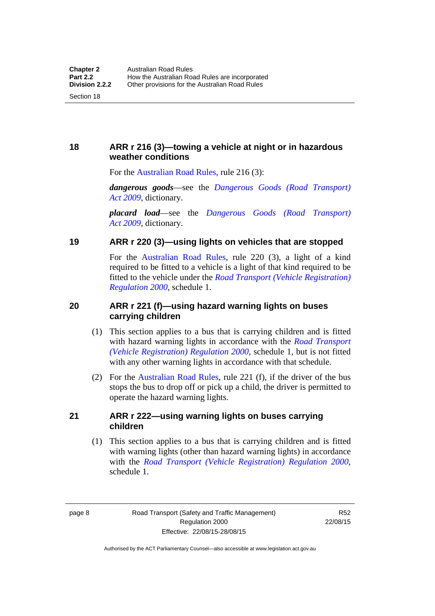<span id="page-24-0"></span>**18 ARR r 216 (3)—towing a vehicle at night or in hazardous weather conditions** 

For the [Australian Road Rules,](http://www.legislation.act.gov.au//ni/db_37271/default.asp) rule 216 (3):

*dangerous goods*—see the *[Dangerous Goods \(Road Transport\)](http://www.legislation.act.gov.au/a/2009-34)  [Act 2009](http://www.legislation.act.gov.au/a/2009-34)*, dictionary.

*placard load*—see the *[Dangerous Goods \(Road Transport\)](http://www.legislation.act.gov.au/a/2009-34)  [Act 2009](http://www.legislation.act.gov.au/a/2009-34)*, dictionary.

#### <span id="page-24-1"></span>**19 ARR r 220 (3)—using lights on vehicles that are stopped**

For the [Australian Road Rules](http://www.legislation.act.gov.au//ni/db_37271/default.asp), rule 220 (3), a light of a kind required to be fitted to a vehicle is a light of that kind required to be fitted to the vehicle under the *[Road Transport \(Vehicle Registration\)](http://www.legislation.act.gov.au/sl/2000-12)  [Regulation 2000](http://www.legislation.act.gov.au/sl/2000-12)*, schedule 1.

## <span id="page-24-2"></span>**20 ARR r 221 (f)—using hazard warning lights on buses carrying children**

- (1) This section applies to a bus that is carrying children and is fitted with hazard warning lights in accordance with the *[Road Transport](http://www.legislation.act.gov.au/sl/2000-12)  [\(Vehicle Registration\) Regulation 2000](http://www.legislation.act.gov.au/sl/2000-12)*, schedule 1, but is not fitted with any other warning lights in accordance with that schedule.
- (2) For the [Australian Road Rules](http://www.legislation.act.gov.au//ni/db_37271/default.asp), rule 221 (f), if the driver of the bus stops the bus to drop off or pick up a child, the driver is permitted to operate the hazard warning lights.

#### <span id="page-24-3"></span>**21 ARR r 222—using warning lights on buses carrying children**

(1) This section applies to a bus that is carrying children and is fitted with warning lights (other than hazard warning lights) in accordance with the *[Road Transport \(Vehicle Registration\) Regulation 2000](http://www.legislation.act.gov.au/sl/2000-12)*, schedule 1.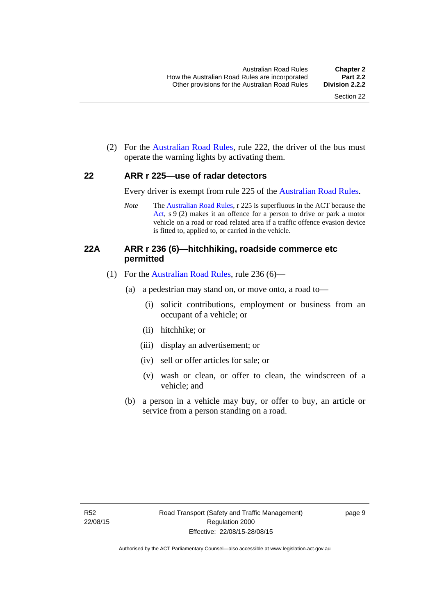(2) For the [Australian Road Rules](http://www.legislation.act.gov.au//ni/db_37271/default.asp), rule 222, the driver of the bus must operate the warning lights by activating them.

#### <span id="page-25-0"></span>**22 ARR r 225—use of radar detectors**

Every driver is exempt from rule 225 of the [Australian Road Rules.](http://www.legislation.act.gov.au//ni/db_37271/default.asp)

*Note* The [Australian Road Rules](http://www.legislation.act.gov.au//ni/db_37271/default.asp), r 225 is superfluous in the ACT because the [Act,](http://www.legislation.act.gov.au/a/1999-80/default.asp) s 9 (2) makes it an offence for a person to drive or park a motor vehicle on a road or road related area if a traffic offence evasion device is fitted to, applied to, or carried in the vehicle.

### <span id="page-25-1"></span>**22A ARR r 236 (6)—hitchhiking, roadside commerce etc permitted**

- (1) For the [Australian Road Rules](http://www.legislation.act.gov.au//ni/db_37271/default.asp), rule 236 (6)—
	- (a) a pedestrian may stand on, or move onto, a road to—
		- (i) solicit contributions, employment or business from an occupant of a vehicle; or
		- (ii) hitchhike; or
		- (iii) display an advertisement; or
		- (iv) sell or offer articles for sale; or
		- (v) wash or clean, or offer to clean, the windscreen of a vehicle; and
	- (b) a person in a vehicle may buy, or offer to buy, an article or service from a person standing on a road.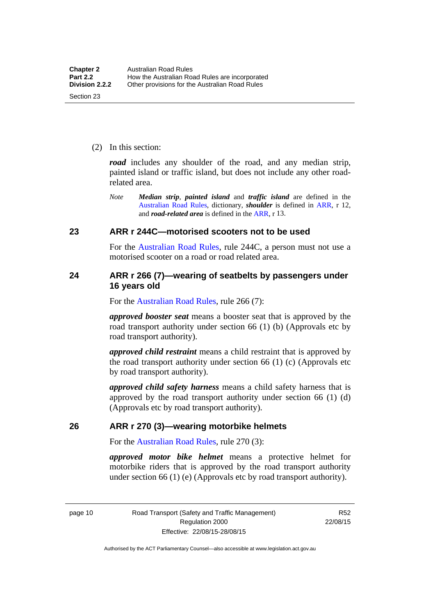(2) In this section:

*road* includes any shoulder of the road, and any median strip, painted island or traffic island, but does not include any other roadrelated area.

*Note Median strip*, *painted island* and *traffic island* are defined in the [Australian Road Rules](http://www.legislation.act.gov.au//ni/db_37271/default.asp), dictionary, *shoulder* is defined in [ARR,](http://www.legislation.act.gov.au//ni/db_37271/default.asp) r 12, and *road-related area* is defined in the [ARR,](http://www.legislation.act.gov.au//ni/db_37271/default.asp) r 13.

#### <span id="page-26-0"></span>**23 ARR r 244C—motorised scooters not to be used**

For the [Australian Road Rules](http://www.legislation.act.gov.au//ni/db_37271/default.asp), rule 244C, a person must not use a motorised scooter on a road or road related area.

#### <span id="page-26-1"></span>**24 ARR r 266 (7)—wearing of seatbelts by passengers under 16 years old**

For the [Australian Road Rules,](http://www.legislation.act.gov.au//ni/db_37271/default.asp) rule 266 (7):

*approved booster seat* means a booster seat that is approved by the road transport authority under section 66 (1) (b) (Approvals etc by road transport authority).

*approved child restraint* means a child restraint that is approved by the road transport authority under section 66 (1) (c) (Approvals etc by road transport authority).

*approved child safety harness* means a child safety harness that is approved by the road transport authority under section 66 (1) (d) (Approvals etc by road transport authority).

#### <span id="page-26-2"></span>**26 ARR r 270 (3)—wearing motorbike helmets**

For the [Australian Road Rules,](http://www.legislation.act.gov.au//ni/db_37271/default.asp) rule 270 (3):

*approved motor bike helmet* means a protective helmet for motorbike riders that is approved by the road transport authority under section 66 (1) (e) (Approvals etc by road transport authority).

page 10 Road Transport (Safety and Traffic Management) Regulation 2000 Effective: 22/08/15-28/08/15

R52 22/08/15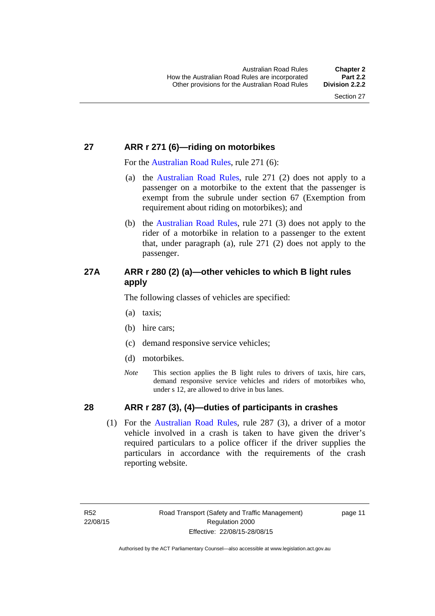## <span id="page-27-0"></span>**27 ARR r 271 (6)—riding on motorbikes**

For the [Australian Road Rules](http://www.legislation.act.gov.au//ni/db_37271/default.asp), rule 271 (6):

- (a) the [Australian Road Rules,](http://www.legislation.act.gov.au//ni/db_37271/default.asp) rule 271 (2) does not apply to a passenger on a motorbike to the extent that the passenger is exempt from the subrule under section 67 (Exemption from requirement about riding on motorbikes); and
- (b) the [Australian Road Rules](http://www.legislation.act.gov.au//ni/db_37271/default.asp), rule 271 (3) does not apply to the rider of a motorbike in relation to a passenger to the extent that, under paragraph (a), rule 271 (2) does not apply to the passenger.

## <span id="page-27-1"></span>**27A ARR r 280 (2) (a)—other vehicles to which B light rules apply**

The following classes of vehicles are specified:

- (a) taxis;
- (b) hire cars;
- (c) demand responsive service vehicles;
- (d) motorbikes.
- *Note* This section applies the B light rules to drivers of taxis, hire cars, demand responsive service vehicles and riders of motorbikes who, under s 12, are allowed to drive in bus lanes.

## <span id="page-27-2"></span>**28 ARR r 287 (3), (4)—duties of participants in crashes**

 (1) For the [Australian Road Rules,](http://www.legislation.act.gov.au//ni/db_37271/default.asp) rule 287 (3), a driver of a motor vehicle involved in a crash is taken to have given the driver's required particulars to a police officer if the driver supplies the particulars in accordance with the requirements of the crash reporting website.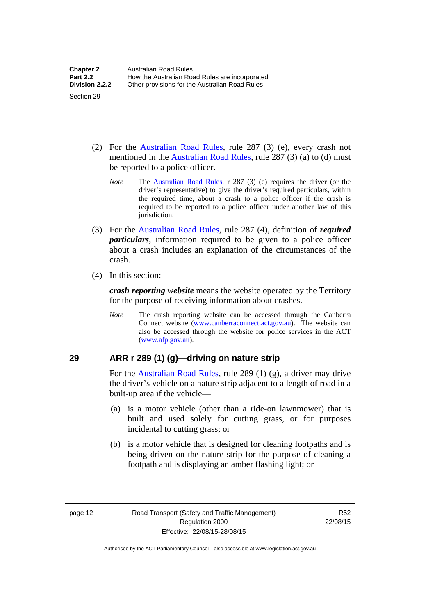- (2) For the [Australian Road Rules](http://www.legislation.act.gov.au//ni/db_37271/default.asp), rule 287 (3) (e), every crash not mentioned in the [Australian Road Rules,](http://www.legislation.act.gov.au//ni/db_37271/default.asp) rule 287 (3) (a) to (d) must be reported to a police officer.
	- *Note* The [Australian Road Rules](http://www.legislation.act.gov.au//ni/db_37271/default.asp), r 287 (3) (e) requires the driver (or the driver's representative) to give the driver's required particulars, within the required time, about a crash to a police officer if the crash is required to be reported to a police officer under another law of this jurisdiction.
- (3) For the [Australian Road Rules](http://www.legislation.act.gov.au//ni/db_37271/default.asp), rule 287 (4), definition of *required particulars*, information required to be given to a police officer about a crash includes an explanation of the circumstances of the crash.
- (4) In this section:

Section 29

*crash reporting website* means the website operated by the Territory for the purpose of receiving information about crashes.

*Note* The crash reporting website can be accessed through the Canberra Connect website [\(www.canberraconnect.act.gov.au](http://www.canberraconnect.act.gov.au/)). The website can also be accessed through the website for police services in the ACT [\(www.afp.gov.au\)](http://www.afp.gov.au/).

## <span id="page-28-0"></span>**29 ARR r 289 (1) (g)—driving on nature strip**

For the [Australian Road Rules](http://www.legislation.act.gov.au//ni/db_37271/default.asp), rule 289 (1) (g), a driver may drive the driver's vehicle on a nature strip adjacent to a length of road in a built-up area if the vehicle—

- (a) is a motor vehicle (other than a ride-on lawnmower) that is built and used solely for cutting grass, or for purposes incidental to cutting grass; or
- (b) is a motor vehicle that is designed for cleaning footpaths and is being driven on the nature strip for the purpose of cleaning a footpath and is displaying an amber flashing light; or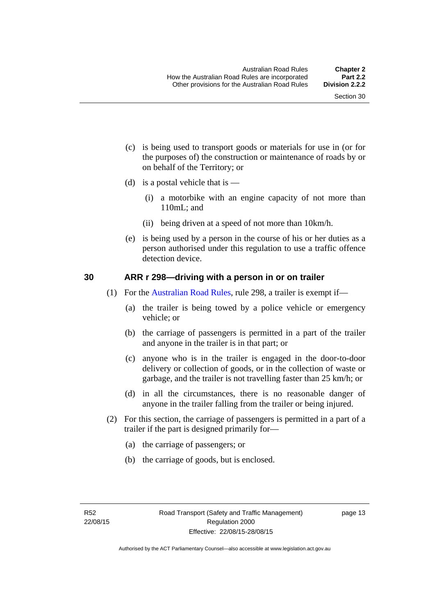- (c) is being used to transport goods or materials for use in (or for the purposes of) the construction or maintenance of roads by or on behalf of the Territory; or
- (d) is a postal vehicle that is  $-$ 
	- (i) a motorbike with an engine capacity of not more than 110mL; and
	- (ii) being driven at a speed of not more than 10km/h.
- (e) is being used by a person in the course of his or her duties as a person authorised under this regulation to use a traffic offence detection device.

#### <span id="page-29-0"></span>**30 ARR r 298—driving with a person in or on trailer**

- (1) For the [Australian Road Rules](http://www.legislation.act.gov.au//ni/db_37271/default.asp), rule 298, a trailer is exempt if—
	- (a) the trailer is being towed by a police vehicle or emergency vehicle; or
	- (b) the carriage of passengers is permitted in a part of the trailer and anyone in the trailer is in that part; or
	- (c) anyone who is in the trailer is engaged in the door-to-door delivery or collection of goods, or in the collection of waste or garbage, and the trailer is not travelling faster than 25 km/h; or
	- (d) in all the circumstances, there is no reasonable danger of anyone in the trailer falling from the trailer or being injured.
- (2) For this section, the carriage of passengers is permitted in a part of a trailer if the part is designed primarily for—
	- (a) the carriage of passengers; or
	- (b) the carriage of goods, but is enclosed.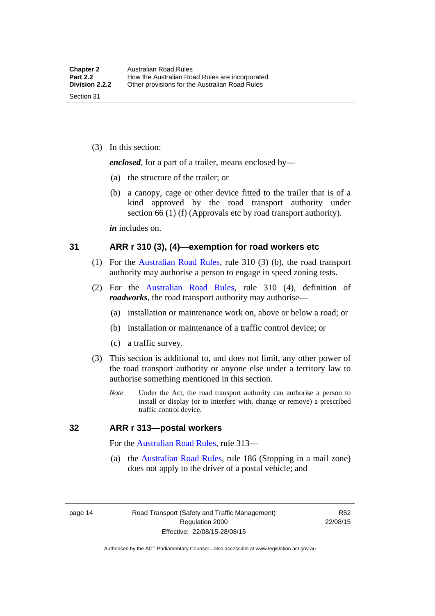(3) In this section:

*enclosed*, for a part of a trailer, means enclosed by—

- (a) the structure of the trailer; or
- (b) a canopy, cage or other device fitted to the trailer that is of a kind approved by the road transport authority under section 66 (1) (f) (Approvals etc by road transport authority).

*in* includes on.

#### <span id="page-30-0"></span>**31 ARR r 310 (3), (4)—exemption for road workers etc**

- (1) For the [Australian Road Rules](http://www.legislation.act.gov.au//ni/db_37271/default.asp), rule 310 (3) (b), the road transport authority may authorise a person to engage in speed zoning tests.
- (2) For the [Australian Road Rules,](http://www.legislation.act.gov.au//ni/db_37271/default.asp) rule 310 (4), definition of *roadworks*, the road transport authority may authorise—
	- (a) installation or maintenance work on, above or below a road; or
	- (b) installation or maintenance of a traffic control device; or
	- (c) a traffic survey.
- (3) This section is additional to, and does not limit, any other power of the road transport authority or anyone else under a territory law to authorise something mentioned in this section.
	- *Note* Under the Act, the road transport authority can authorise a person to install or display (or to interfere with, change or remove) a prescribed traffic control device.

#### <span id="page-30-1"></span>**32 ARR r 313—postal workers**

For the [Australian Road Rules,](http://www.legislation.act.gov.au//ni/db_37271/default.asp) rule 313—

 (a) the [Australian Road Rules,](http://www.legislation.act.gov.au//ni/db_37271/default.asp) rule 186 (Stopping in a mail zone) does not apply to the driver of a postal vehicle; and

page 14 Road Transport (Safety and Traffic Management) Regulation 2000 Effective: 22/08/15-28/08/15

R52 22/08/15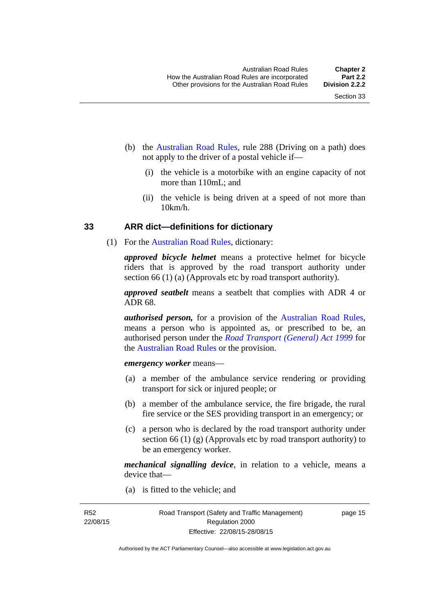- (b) the [Australian Road Rules](http://www.legislation.act.gov.au//ni/db_37271/default.asp), rule 288 (Driving on a path) does not apply to the driver of a postal vehicle if—
	- (i) the vehicle is a motorbike with an engine capacity of not more than 110mL; and
	- (ii) the vehicle is being driven at a speed of not more than  $10km/h$ .

#### <span id="page-31-0"></span>**33 ARR dict—definitions for dictionary**

(1) For the [Australian Road Rules](http://www.legislation.act.gov.au//ni/db_37271/default.asp), dictionary:

*approved bicycle helmet* means a protective helmet for bicycle riders that is approved by the road transport authority under section 66 (1) (a) (Approvals etc by road transport authority).

*approved seatbelt* means a seatbelt that complies with ADR 4 or ADR 68.

*authorised person,* for a provision of the [Australian Road Rules](http://www.legislation.act.gov.au//ni/db_37271/default.asp), means a person who is appointed as, or prescribed to be, an authorised person under the *[Road Transport \(General\) Act 1999](http://www.legislation.act.gov.au/a/1999-77)* for the [Australian Road Rules](http://www.legislation.act.gov.au//ni/db_37271/default.asp) or the provision.

#### *emergency worker* means—

- (a) a member of the ambulance service rendering or providing transport for sick or injured people; or
- (b) a member of the ambulance service, the fire brigade, the rural fire service or the SES providing transport in an emergency; or
- (c) a person who is declared by the road transport authority under section 66 (1) (g) (Approvals etc by road transport authority) to be an emergency worker.

*mechanical signalling device*, in relation to a vehicle, means a device that—

(a) is fitted to the vehicle; and

R52 22/08/15 page 15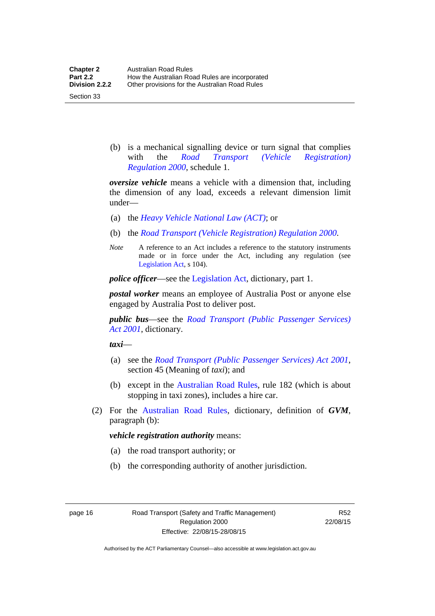Section 33

 (b) is a mechanical signalling device or turn signal that complies with the *[Road Transport \(Vehicle Registration\)](http://www.legislation.act.gov.au/sl/2000-12)  [Regulation 2000](http://www.legislation.act.gov.au/sl/2000-12)*, schedule 1.

*oversize vehicle* means a vehicle with a dimension that, including the dimension of any load, exceeds a relevant dimension limit under—

- (a) the *[Heavy Vehicle National Law \(ACT\)](http://www.legislation.act.gov.au/a/db_49155/default.asp)*; or
- (b) the *[Road Transport \(Vehicle Registration\) Regulation 2000](http://www.legislation.act.gov.au/sl/2000-12)*.
- *Note* A reference to an Act includes a reference to the statutory instruments made or in force under the Act, including any regulation (see [Legislation Act,](http://www.legislation.act.gov.au/a/2001-14) s 104).

*police officer*—see the [Legislation Act](http://www.legislation.act.gov.au/a/2001-14), dictionary, part 1.

*postal worker* means an employee of Australia Post or anyone else engaged by Australia Post to deliver post.

*public bus*—see the *[Road Transport \(Public Passenger Services\)](http://www.legislation.act.gov.au/a/2001-62)  [Act 2001](http://www.legislation.act.gov.au/a/2001-62)*, dictionary.

*taxi*—

- (a) see the *[Road Transport \(Public Passenger Services\) Act 2001](http://www.legislation.act.gov.au/a/2001-62)*, section 45 (Meaning of *taxi*); and
- (b) except in the [Australian Road Rules,](http://www.legislation.act.gov.au//ni/db_37271/default.asp) rule 182 (which is about stopping in taxi zones), includes a hire car.
- (2) For the [Australian Road Rules](http://www.legislation.act.gov.au//ni/db_37271/default.asp), dictionary, definition of *GVM*, paragraph (b):

#### *vehicle registration authority* means:

- (a) the road transport authority; or
- (b) the corresponding authority of another jurisdiction.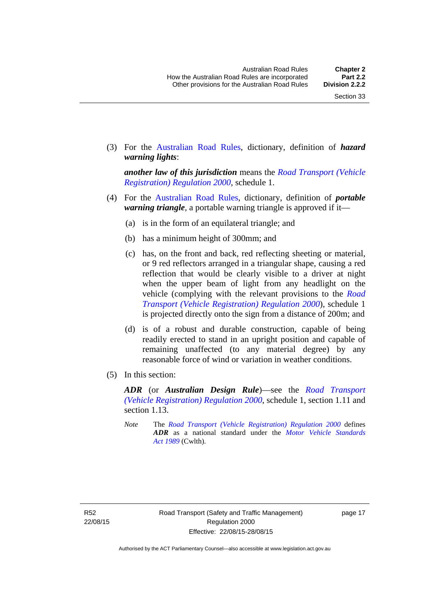(3) For the [Australian Road Rules,](http://www.legislation.act.gov.au//ni/db_37271/default.asp) dictionary, definition of *hazard warning lights*:

*another law of this jurisdiction* means the *[Road Transport \(Vehicle](http://www.legislation.act.gov.au/sl/2000-12)  [Registration\) Regulation 2000](http://www.legislation.act.gov.au/sl/2000-12)*, schedule 1.

- (4) For the [Australian Road Rules](http://www.legislation.act.gov.au//ni/db_37271/default.asp), dictionary, definition of *portable warning triangle*, a portable warning triangle is approved if it—
	- (a) is in the form of an equilateral triangle; and
	- (b) has a minimum height of 300mm; and
	- (c) has, on the front and back, red reflecting sheeting or material, or 9 red reflectors arranged in a triangular shape, causing a red reflection that would be clearly visible to a driver at night when the upper beam of light from any headlight on the vehicle (complying with the relevant provisions to the *[Road](http://www.legislation.act.gov.au/sl/2000-12)  [Transport \(Vehicle Registration\) Regulation 2000](http://www.legislation.act.gov.au/sl/2000-12)*), schedule 1 is projected directly onto the sign from a distance of 200m; and
	- (d) is of a robust and durable construction, capable of being readily erected to stand in an upright position and capable of remaining unaffected (to any material degree) by any reasonable force of wind or variation in weather conditions.
- (5) In this section:

*ADR* (or *Australian Design Rule*)—see the *[Road Transport](http://www.legislation.act.gov.au/sl/2000-12)  [\(Vehicle Registration\) Regulation 2000](http://www.legislation.act.gov.au/sl/2000-12)*, schedule 1, section 1.11 and section 1.13.

*Note* The *[Road Transport \(Vehicle Registration\) Regulation 2000](http://www.legislation.act.gov.au/sl/2000-12)* defines *ADR* as a national standard under the *[Motor Vehicle Standards](http://www.comlaw.gov.au/Series/C2004A03813)  [Act 1989](http://www.comlaw.gov.au/Series/C2004A03813)* (Cwlth).

page 17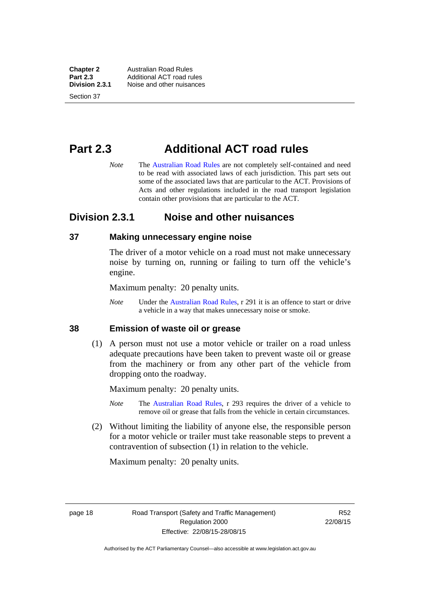**Chapter 2 Australian Road Rules**<br>**Part 2.3 Additional ACT road rules Part 2.3** Additional ACT road rules<br>**Division 2.3.1** Noise and other nuisances **Division 2.3.1** Noise and other nuisances

Section 37

# <span id="page-34-0"></span>**Part 2.3 Additional ACT road rules**

*Note* The [Australian Road Rules](http://www.legislation.act.gov.au//ni/db_37271/default.asp) are not completely self-contained and need to be read with associated laws of each jurisdiction. This part sets out some of the associated laws that are particular to the ACT. Provisions of Acts and other regulations included in the road transport legislation contain other provisions that are particular to the ACT.

## <span id="page-34-1"></span>**Division 2.3.1 Noise and other nuisances**

#### <span id="page-34-2"></span>**37 Making unnecessary engine noise**

The driver of a motor vehicle on a road must not make unnecessary noise by turning on, running or failing to turn off the vehicle's engine.

Maximum penalty: 20 penalty units.

*Note* Under the [Australian Road Rules,](http://www.legislation.act.gov.au//ni/db_37271/default.asp) r 291 it is an offence to start or drive a vehicle in a way that makes unnecessary noise or smoke.

#### <span id="page-34-3"></span>**38 Emission of waste oil or grease**

 (1) A person must not use a motor vehicle or trailer on a road unless adequate precautions have been taken to prevent waste oil or grease from the machinery or from any other part of the vehicle from dropping onto the roadway.

Maximum penalty: 20 penalty units.

- *Note* The [Australian Road Rules,](http://www.legislation.act.gov.au//ni/db_37271/default.asp) r 293 requires the driver of a vehicle to remove oil or grease that falls from the vehicle in certain circumstances.
- (2) Without limiting the liability of anyone else, the responsible person for a motor vehicle or trailer must take reasonable steps to prevent a contravention of subsection (1) in relation to the vehicle.

Maximum penalty: 20 penalty units.

page 18 Road Transport (Safety and Traffic Management) Regulation 2000 Effective: 22/08/15-28/08/15

R52 22/08/15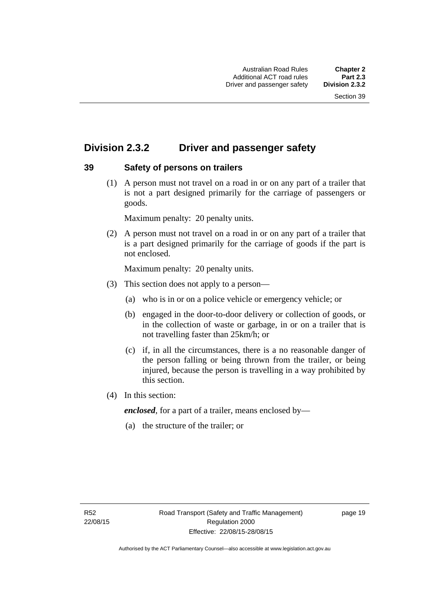## <span id="page-35-0"></span>**Division 2.3.2 Driver and passenger safety**

## <span id="page-35-1"></span>**39 Safety of persons on trailers**

 (1) A person must not travel on a road in or on any part of a trailer that is not a part designed primarily for the carriage of passengers or goods.

Maximum penalty: 20 penalty units.

 (2) A person must not travel on a road in or on any part of a trailer that is a part designed primarily for the carriage of goods if the part is not enclosed.

Maximum penalty: 20 penalty units.

- (3) This section does not apply to a person—
	- (a) who is in or on a police vehicle or emergency vehicle; or
	- (b) engaged in the door-to-door delivery or collection of goods, or in the collection of waste or garbage, in or on a trailer that is not travelling faster than 25km/h; or
	- (c) if, in all the circumstances, there is a no reasonable danger of the person falling or being thrown from the trailer, or being injured, because the person is travelling in a way prohibited by this section.
- (4) In this section:

*enclosed*, for a part of a trailer, means enclosed by—

(a) the structure of the trailer; or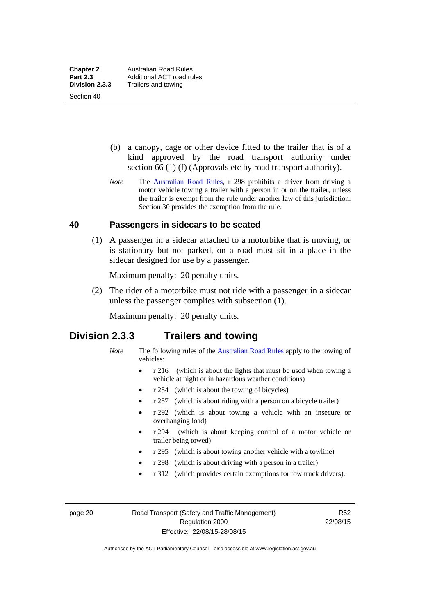Section 40

 (b) a canopy, cage or other device fitted to the trailer that is of a kind approved by the road transport authority under section 66 (1) (f) (Approvals etc by road transport authority).

*Note* The [Australian Road Rules](http://www.legislation.act.gov.au//ni/db_37271/default.asp), r 298 prohibits a driver from driving a motor vehicle towing a trailer with a person in or on the trailer, unless the trailer is exempt from the rule under another law of this jurisdiction. Section 30 provides the exemption from the rule.

#### **40 Passengers in sidecars to be seated**

 (1) A passenger in a sidecar attached to a motorbike that is moving, or is stationary but not parked, on a road must sit in a place in the sidecar designed for use by a passenger.

Maximum penalty: 20 penalty units.

 (2) The rider of a motorbike must not ride with a passenger in a sidecar unless the passenger complies with subsection (1).

Maximum penalty: 20 penalty units.

## **Division 2.3.3 Trailers and towing**

- *Note* The following rules of the [Australian Road Rules](http://www.legislation.act.gov.au//ni/db_37271/default.asp) apply to the towing of vehicles:
	- r 216 (which is about the lights that must be used when towing a vehicle at night or in hazardous weather conditions)
	- r 254 (which is about the towing of bicycles)
	- r 257 (which is about riding with a person on a bicycle trailer)
	- r 292 (which is about towing a vehicle with an insecure or overhanging load)
	- r 294 (which is about keeping control of a motor vehicle or trailer being towed)
	- r 295 (which is about towing another vehicle with a towline)
	- r 298 (which is about driving with a person in a trailer)
	- r 312 (which provides certain exemptions for tow truck drivers).

page 20 Road Transport (Safety and Traffic Management) Regulation 2000 Effective: 22/08/15-28/08/15

R52 22/08/15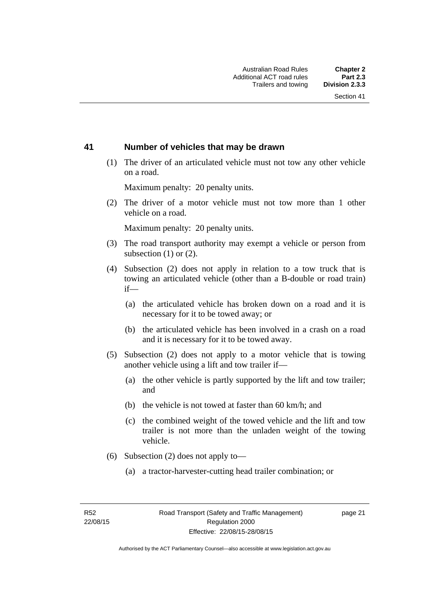#### **41 Number of vehicles that may be drawn**

 (1) The driver of an articulated vehicle must not tow any other vehicle on a road.

Maximum penalty: 20 penalty units.

 (2) The driver of a motor vehicle must not tow more than 1 other vehicle on a road.

Maximum penalty: 20 penalty units.

- (3) The road transport authority may exempt a vehicle or person from subsection (1) or (2).
- (4) Subsection (2) does not apply in relation to a tow truck that is towing an articulated vehicle (other than a B-double or road train) if—
	- (a) the articulated vehicle has broken down on a road and it is necessary for it to be towed away; or
	- (b) the articulated vehicle has been involved in a crash on a road and it is necessary for it to be towed away.
- (5) Subsection (2) does not apply to a motor vehicle that is towing another vehicle using a lift and tow trailer if—
	- (a) the other vehicle is partly supported by the lift and tow trailer; and
	- (b) the vehicle is not towed at faster than 60 km/h; and
	- (c) the combined weight of the towed vehicle and the lift and tow trailer is not more than the unladen weight of the towing vehicle.
- (6) Subsection (2) does not apply to—
	- (a) a tractor-harvester-cutting head trailer combination; or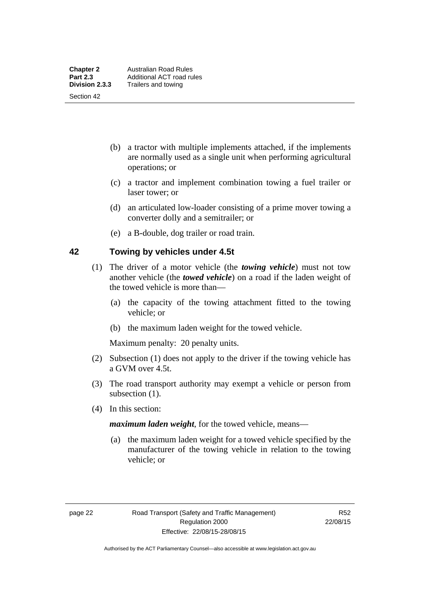Section 42

- (b) a tractor with multiple implements attached, if the implements are normally used as a single unit when performing agricultural operations; or
- (c) a tractor and implement combination towing a fuel trailer or laser tower; or
- (d) an articulated low-loader consisting of a prime mover towing a converter dolly and a semitrailer; or
- (e) a B-double, dog trailer or road train.

#### **42 Towing by vehicles under 4.5t**

- (1) The driver of a motor vehicle (the *towing vehicle*) must not tow another vehicle (the *towed vehicle*) on a road if the laden weight of the towed vehicle is more than—
	- (a) the capacity of the towing attachment fitted to the towing vehicle; or
	- (b) the maximum laden weight for the towed vehicle.

Maximum penalty: 20 penalty units.

- (2) Subsection (1) does not apply to the driver if the towing vehicle has a GVM over 4.5t.
- (3) The road transport authority may exempt a vehicle or person from subsection  $(1)$ .
- (4) In this section:

*maximum laden weight*, for the towed vehicle, means—

 (a) the maximum laden weight for a towed vehicle specified by the manufacturer of the towing vehicle in relation to the towing vehicle; or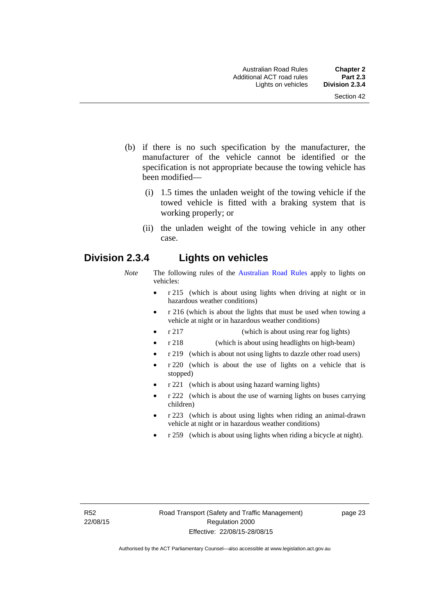- (b) if there is no such specification by the manufacturer, the manufacturer of the vehicle cannot be identified or the specification is not appropriate because the towing vehicle has been modified—
	- (i) 1.5 times the unladen weight of the towing vehicle if the towed vehicle is fitted with a braking system that is working properly; or
	- (ii) the unladen weight of the towing vehicle in any other case.

# **Division 2.3.4 Lights on vehicles**

- *Note* The following rules of the [Australian Road Rules](http://www.legislation.act.gov.au//ni/db_37271/default.asp) apply to lights on vehicles:
	- r 215 (which is about using lights when driving at night or in hazardous weather conditions)
	- r 216 (which is about the lights that must be used when towing a vehicle at night or in hazardous weather conditions)
	- r 217 (which is about using rear fog lights)
	- r 218 (which is about using headlights on high-beam)
	- r 219 (which is about not using lights to dazzle other road users)
	- r 220 (which is about the use of lights on a vehicle that is stopped)
	- r 221 (which is about using hazard warning lights)
	- r 222 (which is about the use of warning lights on buses carrying children)
	- r 223 (which is about using lights when riding an animal-drawn vehicle at night or in hazardous weather conditions)
	- r 259 (which is about using lights when riding a bicycle at night).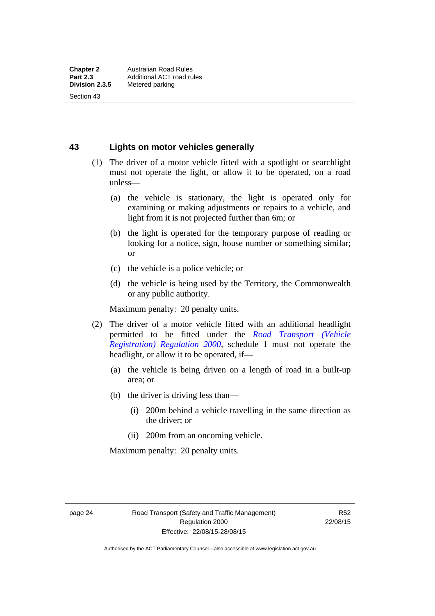Section 43

**43 Lights on motor vehicles generally**

- (1) The driver of a motor vehicle fitted with a spotlight or searchlight must not operate the light, or allow it to be operated, on a road unless—
	- (a) the vehicle is stationary, the light is operated only for examining or making adjustments or repairs to a vehicle, and light from it is not projected further than 6m; or
	- (b) the light is operated for the temporary purpose of reading or looking for a notice, sign, house number or something similar; or
	- (c) the vehicle is a police vehicle; or
	- (d) the vehicle is being used by the Territory, the Commonwealth or any public authority.

Maximum penalty: 20 penalty units.

- (2) The driver of a motor vehicle fitted with an additional headlight permitted to be fitted under the *[Road Transport \(Vehicle](http://www.legislation.act.gov.au/sl/2000-12)  [Registration\) Regulation 2000](http://www.legislation.act.gov.au/sl/2000-12)*, schedule 1 must not operate the headlight, or allow it to be operated, if—
	- (a) the vehicle is being driven on a length of road in a built-up area; or
	- (b) the driver is driving less than—
		- (i) 200m behind a vehicle travelling in the same direction as the driver; or
		- (ii) 200m from an oncoming vehicle.

Maximum penalty: 20 penalty units.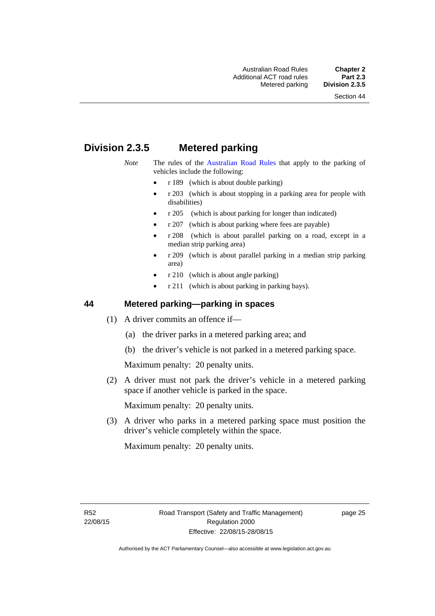# **Division 2.3.5 Metered parking**

- *Note* The rules of the [Australian Road Rules](http://www.legislation.act.gov.au//ni/db_37271/default.asp) that apply to the parking of vehicles include the following:
	- r 189 (which is about double parking)
	- r 203 (which is about stopping in a parking area for people with disabilities)
	- r 205 (which is about parking for longer than indicated)
	- r 207 (which is about parking where fees are payable)
	- r 208 (which is about parallel parking on a road, except in a median strip parking area)
	- r 209 (which is about parallel parking in a median strip parking area)
	- r 210 (which is about angle parking)
	- r 211 (which is about parking in parking bays).

### **44 Metered parking—parking in spaces**

- (1) A driver commits an offence if—
	- (a) the driver parks in a metered parking area; and
	- (b) the driver's vehicle is not parked in a metered parking space.

Maximum penalty: 20 penalty units.

 (2) A driver must not park the driver's vehicle in a metered parking space if another vehicle is parked in the space.

Maximum penalty: 20 penalty units.

 (3) A driver who parks in a metered parking space must position the driver's vehicle completely within the space.

Maximum penalty: 20 penalty units.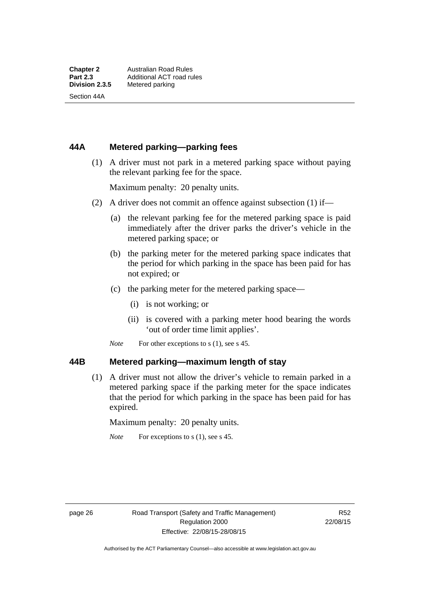Section 44A

### **44A Metered parking—parking fees**

 (1) A driver must not park in a metered parking space without paying the relevant parking fee for the space.

Maximum penalty: 20 penalty units.

- (2) A driver does not commit an offence against subsection (1) if—
	- (a) the relevant parking fee for the metered parking space is paid immediately after the driver parks the driver's vehicle in the metered parking space; or
	- (b) the parking meter for the metered parking space indicates that the period for which parking in the space has been paid for has not expired; or
	- (c) the parking meter for the metered parking space—
		- (i) is not working; or
		- (ii) is covered with a parking meter hood bearing the words 'out of order time limit applies'.
	- *Note* For other exceptions to s (1), see s 45.

#### **44B Metered parking—maximum length of stay**

 (1) A driver must not allow the driver's vehicle to remain parked in a metered parking space if the parking meter for the space indicates that the period for which parking in the space has been paid for has expired.

Maximum penalty: 20 penalty units.

*Note* For exceptions to s (1), see s 45.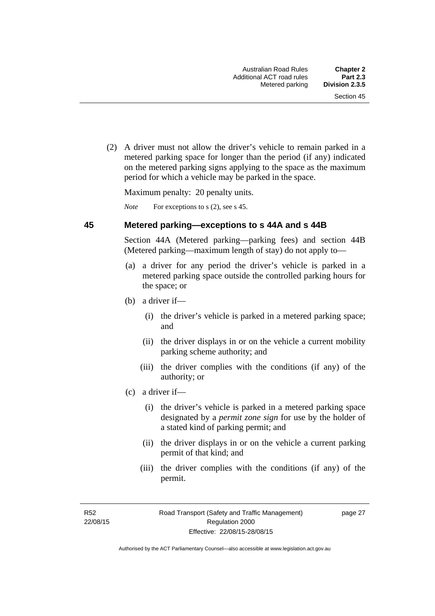(2) A driver must not allow the driver's vehicle to remain parked in a metered parking space for longer than the period (if any) indicated on the metered parking signs applying to the space as the maximum period for which a vehicle may be parked in the space.

Maximum penalty: 20 penalty units.

*Note* For exceptions to s (2), see s 45.

#### **45 Metered parking—exceptions to s 44A and s 44B**

Section 44A (Metered parking—parking fees) and section 44B (Metered parking—maximum length of stay) do not apply to—

- (a) a driver for any period the driver's vehicle is parked in a metered parking space outside the controlled parking hours for the space; or
- (b) a driver if—
	- (i) the driver's vehicle is parked in a metered parking space; and
	- (ii) the driver displays in or on the vehicle a current mobility parking scheme authority; and
	- (iii) the driver complies with the conditions (if any) of the authority; or
- (c) a driver if—
	- (i) the driver's vehicle is parked in a metered parking space designated by a *permit zone sign* for use by the holder of a stated kind of parking permit; and
	- (ii) the driver displays in or on the vehicle a current parking permit of that kind; and
	- (iii) the driver complies with the conditions (if any) of the permit.

R52 22/08/15 page 27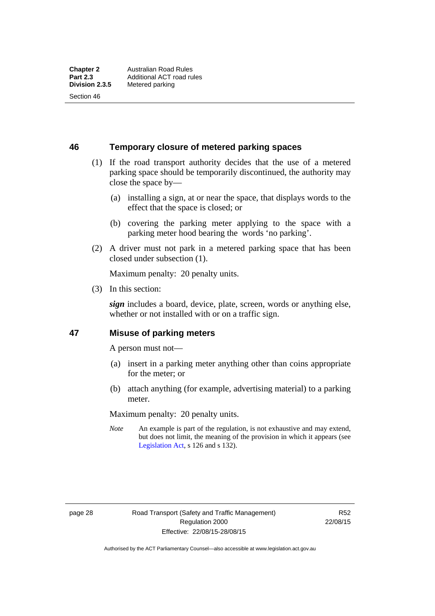Section 46

**46 Temporary closure of metered parking spaces**

- (1) If the road transport authority decides that the use of a metered parking space should be temporarily discontinued, the authority may close the space by—
	- (a) installing a sign, at or near the space, that displays words to the effect that the space is closed; or
	- (b) covering the parking meter applying to the space with a parking meter hood bearing the words 'no parking'.
- (2) A driver must not park in a metered parking space that has been closed under subsection (1).

Maximum penalty: 20 penalty units.

(3) In this section:

*sign* includes a board, device, plate, screen, words or anything else, whether or not installed with or on a traffic sign.

#### **47 Misuse of parking meters**

A person must not—

- (a) insert in a parking meter anything other than coins appropriate for the meter; or
- (b) attach anything (for example, advertising material) to a parking meter.

Maximum penalty: 20 penalty units.

*Note* An example is part of the regulation, is not exhaustive and may extend, but does not limit, the meaning of the provision in which it appears (see [Legislation Act,](http://www.legislation.act.gov.au/a/2001-14) s 126 and s 132).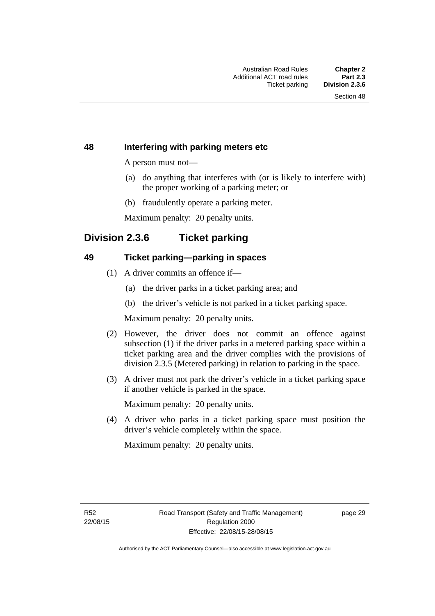#### **48 Interfering with parking meters etc**

A person must not—

- (a) do anything that interferes with (or is likely to interfere with) the proper working of a parking meter; or
- (b) fraudulently operate a parking meter.

Maximum penalty: 20 penalty units.

# **Division 2.3.6 Ticket parking**

#### **49 Ticket parking—parking in spaces**

- (1) A driver commits an offence if—
	- (a) the driver parks in a ticket parking area; and
	- (b) the driver's vehicle is not parked in a ticket parking space.

Maximum penalty: 20 penalty units.

- (2) However, the driver does not commit an offence against subsection (1) if the driver parks in a metered parking space within a ticket parking area and the driver complies with the provisions of division 2.3.5 (Metered parking) in relation to parking in the space.
- (3) A driver must not park the driver's vehicle in a ticket parking space if another vehicle is parked in the space.

Maximum penalty: 20 penalty units.

 (4) A driver who parks in a ticket parking space must position the driver's vehicle completely within the space.

Maximum penalty: 20 penalty units.

R52 22/08/15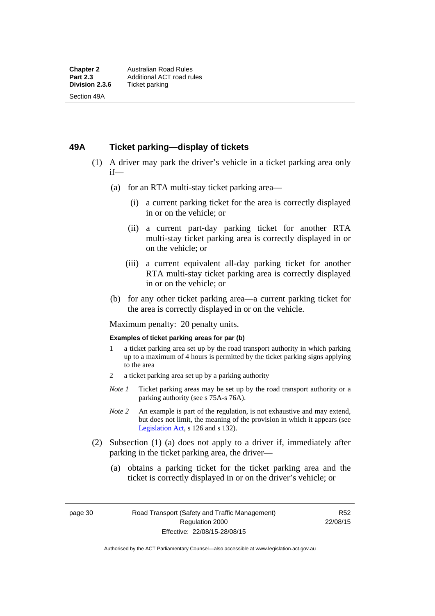#### **49A Ticket parking—display of tickets**

- (1) A driver may park the driver's vehicle in a ticket parking area only if—
	- (a) for an RTA multi-stay ticket parking area—
		- (i) a current parking ticket for the area is correctly displayed in or on the vehicle; or
		- (ii) a current part-day parking ticket for another RTA multi-stay ticket parking area is correctly displayed in or on the vehicle; or
		- (iii) a current equivalent all-day parking ticket for another RTA multi-stay ticket parking area is correctly displayed in or on the vehicle; or
	- (b) for any other ticket parking area—a current parking ticket for the area is correctly displayed in or on the vehicle.

Maximum penalty: 20 penalty units.

#### **Examples of ticket parking areas for par (b)**

- 1 a ticket parking area set up by the road transport authority in which parking up to a maximum of 4 hours is permitted by the ticket parking signs applying to the area
- 2 a ticket parking area set up by a parking authority
- *Note 1* Ticket parking areas may be set up by the road transport authority or a parking authority (see s 75A-s 76A).
- *Note 2* An example is part of the regulation, is not exhaustive and may extend, but does not limit, the meaning of the provision in which it appears (see [Legislation Act,](http://www.legislation.act.gov.au/a/2001-14) s 126 and s 132).
- (2) Subsection (1) (a) does not apply to a driver if, immediately after parking in the ticket parking area, the driver—
	- (a) obtains a parking ticket for the ticket parking area and the ticket is correctly displayed in or on the driver's vehicle; or

page 30 Road Transport (Safety and Traffic Management) Regulation 2000 Effective: 22/08/15-28/08/15

R52 22/08/15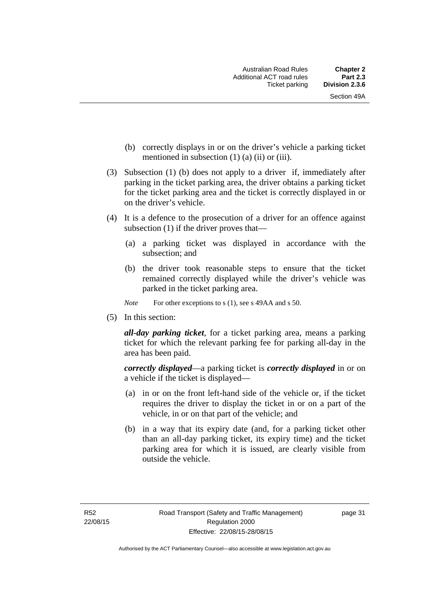- (b) correctly displays in or on the driver's vehicle a parking ticket mentioned in subsection  $(1)$   $(a)$   $(ii)$  or  $(iii)$ .
- (3) Subsection (1) (b) does not apply to a driver if, immediately after parking in the ticket parking area, the driver obtains a parking ticket for the ticket parking area and the ticket is correctly displayed in or on the driver's vehicle.
- (4) It is a defence to the prosecution of a driver for an offence against subsection (1) if the driver proves that—
	- (a) a parking ticket was displayed in accordance with the subsection; and
	- (b) the driver took reasonable steps to ensure that the ticket remained correctly displayed while the driver's vehicle was parked in the ticket parking area.
	- *Note* For other exceptions to s (1), see s 49AA and s 50.
- (5) In this section:

*all-day parking ticket*, for a ticket parking area, means a parking ticket for which the relevant parking fee for parking all-day in the area has been paid.

*correctly displayed*—a parking ticket is *correctly displayed* in or on a vehicle if the ticket is displayed—

- (a) in or on the front left-hand side of the vehicle or, if the ticket requires the driver to display the ticket in or on a part of the vehicle, in or on that part of the vehicle; and
- (b) in a way that its expiry date (and, for a parking ticket other than an all-day parking ticket, its expiry time) and the ticket parking area for which it is issued, are clearly visible from outside the vehicle.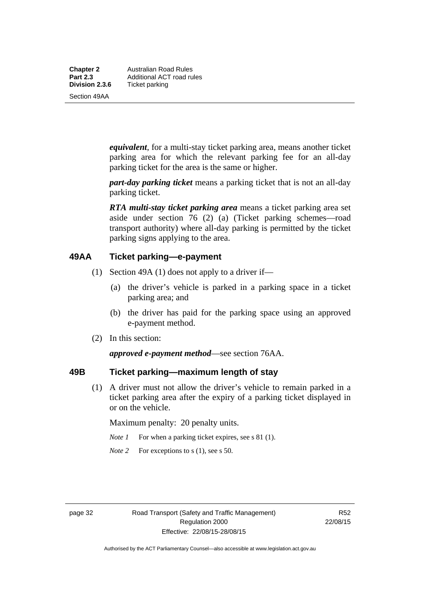**Chapter 2** Australian Road Rules<br>**Part 2.3** Additional ACT road ru **Part 2.3 Additional ACT road rules**<br>**Division 2.3.6** Ticket parking **Ticket parking** 

Section 49AA

*equivalent*, for a multi-stay ticket parking area, means another ticket parking area for which the relevant parking fee for an all-day parking ticket for the area is the same or higher.

*part-day parking ticket* means a parking ticket that is not an all-day parking ticket.

*RTA multi-stay ticket parking area* means a ticket parking area set aside under section 76 (2) (a) (Ticket parking schemes—road transport authority) where all-day parking is permitted by the ticket parking signs applying to the area.

#### **49AA Ticket parking—e-payment**

- (1) Section 49A (1) does not apply to a driver if—
	- (a) the driver's vehicle is parked in a parking space in a ticket parking area; and
	- (b) the driver has paid for the parking space using an approved e-payment method.
- (2) In this section:

*approved e-payment method*—see section 76AA.

### **49B Ticket parking—maximum length of stay**

(1) A driver must not allow the driver's vehicle to remain parked in a ticket parking area after the expiry of a parking ticket displayed in or on the vehicle.

Maximum penalty: 20 penalty units.

- *Note 1* For when a parking ticket expires, see s 81 (1).
- *Note* 2 For exceptions to s (1), see s 50.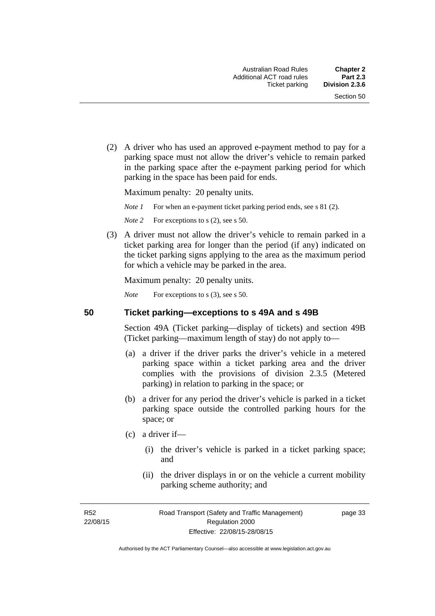(2) A driver who has used an approved e-payment method to pay for a parking space must not allow the driver's vehicle to remain parked in the parking space after the e-payment parking period for which parking in the space has been paid for ends.

Maximum penalty: 20 penalty units.

*Note 1* For when an e-payment ticket parking period ends, see s 81 (2).

*Note* 2 For exceptions to s (2), see s 50.

 (3) A driver must not allow the driver's vehicle to remain parked in a ticket parking area for longer than the period (if any) indicated on the ticket parking signs applying to the area as the maximum period for which a vehicle may be parked in the area.

Maximum penalty: 20 penalty units.

*Note* For exceptions to s (3), see s 50.

**50 Ticket parking—exceptions to s 49A and s 49B** 

Section 49A (Ticket parking—display of tickets) and section 49B (Ticket parking—maximum length of stay) do not apply to—

- (a) a driver if the driver parks the driver's vehicle in a metered parking space within a ticket parking area and the driver complies with the provisions of division 2.3.5 (Metered parking) in relation to parking in the space; or
- (b) a driver for any period the driver's vehicle is parked in a ticket parking space outside the controlled parking hours for the space; or
- (c) a driver if—
	- (i) the driver's vehicle is parked in a ticket parking space; and
	- (ii) the driver displays in or on the vehicle a current mobility parking scheme authority; and

R52 22/08/15 page 33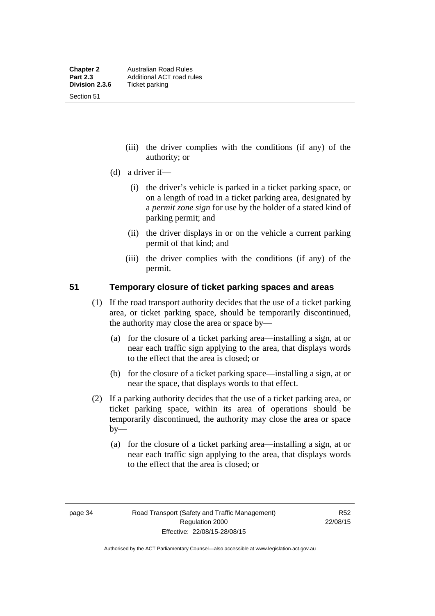Section 51

- (iii) the driver complies with the conditions (if any) of the authority; or
- (d) a driver if—
	- (i) the driver's vehicle is parked in a ticket parking space, or on a length of road in a ticket parking area, designated by a *permit zone sign* for use by the holder of a stated kind of parking permit; and
	- (ii) the driver displays in or on the vehicle a current parking permit of that kind; and
	- (iii) the driver complies with the conditions (if any) of the permit.

#### **51 Temporary closure of ticket parking spaces and areas**

- (1) If the road transport authority decides that the use of a ticket parking area, or ticket parking space, should be temporarily discontinued, the authority may close the area or space by—
	- (a) for the closure of a ticket parking area—installing a sign, at or near each traffic sign applying to the area, that displays words to the effect that the area is closed; or
	- (b) for the closure of a ticket parking space—installing a sign, at or near the space, that displays words to that effect.
- (2) If a parking authority decides that the use of a ticket parking area, or ticket parking space, within its area of operations should be temporarily discontinued, the authority may close the area or space  $by-$ 
	- (a) for the closure of a ticket parking area—installing a sign, at or near each traffic sign applying to the area, that displays words to the effect that the area is closed; or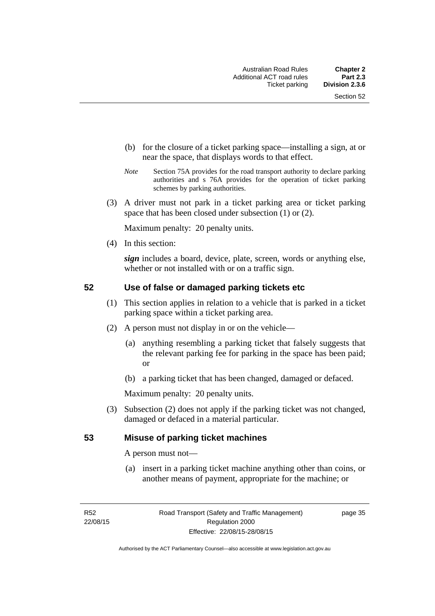- (b) for the closure of a ticket parking space—installing a sign, at or near the space, that displays words to that effect.
- *Note* Section 75A provides for the road transport authority to declare parking authorities and s 76A provides for the operation of ticket parking schemes by parking authorities.
- (3) A driver must not park in a ticket parking area or ticket parking space that has been closed under subsection (1) or (2).

Maximum penalty: 20 penalty units.

(4) In this section:

*sign* includes a board, device, plate, screen, words or anything else, whether or not installed with or on a traffic sign.

#### **52 Use of false or damaged parking tickets etc**

- (1) This section applies in relation to a vehicle that is parked in a ticket parking space within a ticket parking area.
- (2) A person must not display in or on the vehicle—
	- (a) anything resembling a parking ticket that falsely suggests that the relevant parking fee for parking in the space has been paid; or
	- (b) a parking ticket that has been changed, damaged or defaced.

Maximum penalty: 20 penalty units.

 (3) Subsection (2) does not apply if the parking ticket was not changed, damaged or defaced in a material particular.

#### **53 Misuse of parking ticket machines**

A person must not—

(a) insert in a parking ticket machine anything other than coins, or another means of payment, appropriate for the machine; or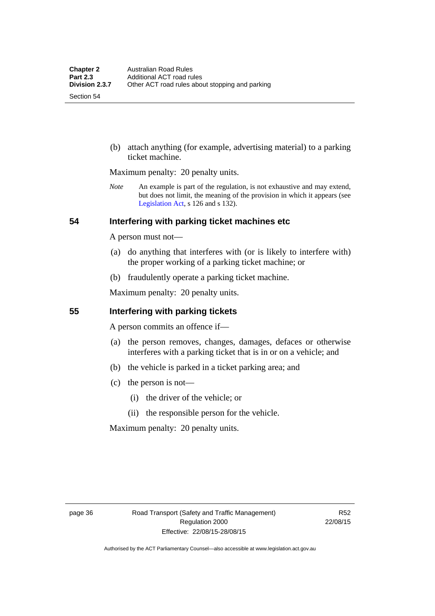Section 54

 (b) attach anything (for example, advertising material) to a parking ticket machine.

Maximum penalty: 20 penalty units.

*Note* An example is part of the regulation, is not exhaustive and may extend, but does not limit, the meaning of the provision in which it appears (see [Legislation Act,](http://www.legislation.act.gov.au/a/2001-14) s 126 and s 132).

#### **54 Interfering with parking ticket machines etc**

A person must not—

- (a) do anything that interferes with (or is likely to interfere with) the proper working of a parking ticket machine; or
- (b) fraudulently operate a parking ticket machine.

Maximum penalty: 20 penalty units.

#### **55 Interfering with parking tickets**

A person commits an offence if—

- (a) the person removes, changes, damages, defaces or otherwise interferes with a parking ticket that is in or on a vehicle; and
- (b) the vehicle is parked in a ticket parking area; and
- (c) the person is not—
	- (i) the driver of the vehicle; or
	- (ii) the responsible person for the vehicle.

Maximum penalty: 20 penalty units.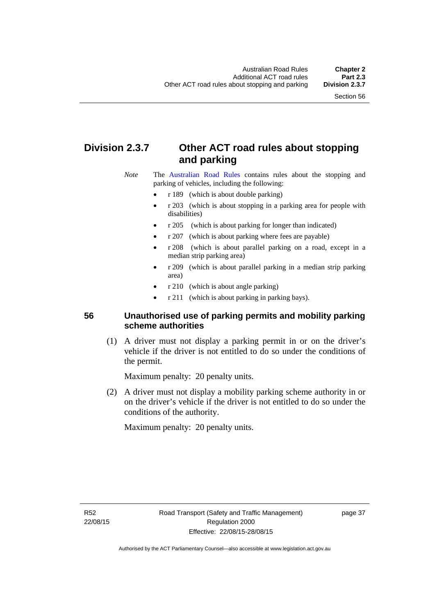# **Division 2.3.7 Other ACT road rules about stopping and parking**

*Note* The [Australian Road Rules](http://www.legislation.act.gov.au//ni/db_37271/default.asp) contains rules about the stopping and parking of vehicles, including the following:

- r 189 (which is about double parking)
- r 203 (which is about stopping in a parking area for people with disabilities)
- r 205 (which is about parking for longer than indicated)
- r 207 (which is about parking where fees are payable)
- r 208 (which is about parallel parking on a road, except in a median strip parking area)
- r 209 (which is about parallel parking in a median strip parking area)
- r 210 (which is about angle parking)
- r 211 (which is about parking in parking bays).

### **56 Unauthorised use of parking permits and mobility parking scheme authorities**

 (1) A driver must not display a parking permit in or on the driver's vehicle if the driver is not entitled to do so under the conditions of the permit.

Maximum penalty: 20 penalty units.

 (2) A driver must not display a mobility parking scheme authority in or on the driver's vehicle if the driver is not entitled to do so under the conditions of the authority.

Maximum penalty: 20 penalty units.

R52 22/08/15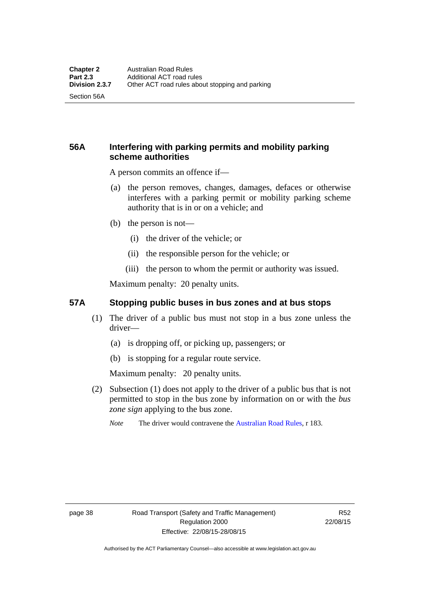Section 56A

## **56A Interfering with parking permits and mobility parking scheme authorities**

A person commits an offence if—

- (a) the person removes, changes, damages, defaces or otherwise interferes with a parking permit or mobility parking scheme authority that is in or on a vehicle; and
- (b) the person is not—
	- (i) the driver of the vehicle; or
	- (ii) the responsible person for the vehicle; or
	- (iii) the person to whom the permit or authority was issued.

Maximum penalty: 20 penalty units.

#### **57A Stopping public buses in bus zones and at bus stops**

- (1) The driver of a public bus must not stop in a bus zone unless the driver—
	- (a) is dropping off, or picking up, passengers; or
	- (b) is stopping for a regular route service.

Maximum penalty: 20 penalty units.

- (2) Subsection (1) does not apply to the driver of a public bus that is not permitted to stop in the bus zone by information on or with the *bus zone sign* applying to the bus zone.
	- *Note* The driver would contravene the [Australian Road Rules,](http://www.legislation.act.gov.au//ni/db_37271/default.asp) r 183.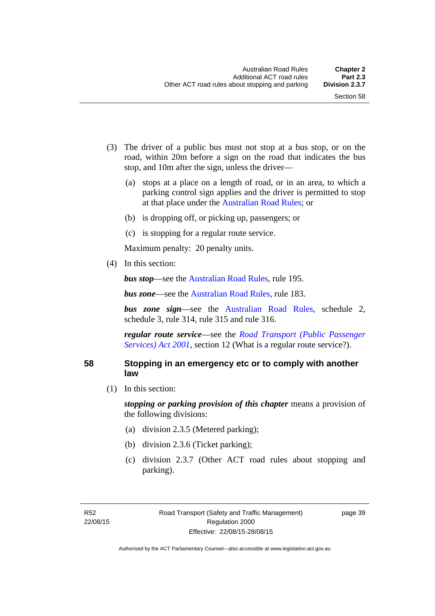- (3) The driver of a public bus must not stop at a bus stop, or on the road, within 20m before a sign on the road that indicates the bus stop, and 10m after the sign, unless the driver—
	- (a) stops at a place on a length of road, or in an area, to which a parking control sign applies and the driver is permitted to stop at that place under the [Australian Road Rules;](http://www.legislation.act.gov.au//ni/db_37271/default.asp) or
	- (b) is dropping off, or picking up, passengers; or
	- (c) is stopping for a regular route service.

Maximum penalty: 20 penalty units.

(4) In this section:

*bus stop***—see the [Australian Road Rules](http://www.legislation.act.gov.au//ni/db_37271/default.asp)**, rule 195.

*bus zone***—see the Australian Road Rules**, rule 183.

*bus zone sign*—see the [Australian Road Rules,](http://www.legislation.act.gov.au//ni/db_37271/default.asp) schedule 2, schedule 3, rule 314, rule 315 and rule 316.

*regular route service*—see the *[Road Transport \(Public Passenger](http://www.legislation.act.gov.au/a/2001-62)  Services*) *Act 2001*, section 12 (What is a regular route service?).

#### **58 Stopping in an emergency etc or to comply with another law**

(1) In this section:

*stopping or parking provision of this chapter* means a provision of the following divisions:

- (a) division 2.3.5 (Metered parking);
- (b) division 2.3.6 (Ticket parking);
- (c) division 2.3.7 (Other ACT road rules about stopping and parking).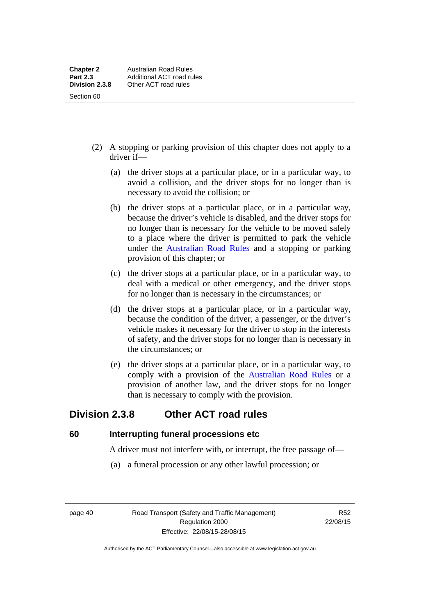- (2) A stopping or parking provision of this chapter does not apply to a driver if—
	- (a) the driver stops at a particular place, or in a particular way, to avoid a collision, and the driver stops for no longer than is necessary to avoid the collision; or
	- (b) the driver stops at a particular place, or in a particular way, because the driver's vehicle is disabled, and the driver stops for no longer than is necessary for the vehicle to be moved safely to a place where the driver is permitted to park the vehicle under the [Australian Road Rules](http://www.legislation.act.gov.au//ni/db_37271/default.asp) and a stopping or parking provision of this chapter; or
	- (c) the driver stops at a particular place, or in a particular way, to deal with a medical or other emergency, and the driver stops for no longer than is necessary in the circumstances; or
	- (d) the driver stops at a particular place, or in a particular way, because the condition of the driver, a passenger, or the driver's vehicle makes it necessary for the driver to stop in the interests of safety, and the driver stops for no longer than is necessary in the circumstances; or
	- (e) the driver stops at a particular place, or in a particular way, to comply with a provision of the [Australian Road Rules](http://www.legislation.act.gov.au//ni/db_37271/default.asp) or a provision of another law, and the driver stops for no longer than is necessary to comply with the provision.

# **Division 2.3.8 Other ACT road rules**

**60 Interrupting funeral processions etc**

A driver must not interfere with, or interrupt, the free passage of—

(a) a funeral procession or any other lawful procession; or

page 40 Road Transport (Safety and Traffic Management) Regulation 2000 Effective: 22/08/15-28/08/15

R52 22/08/15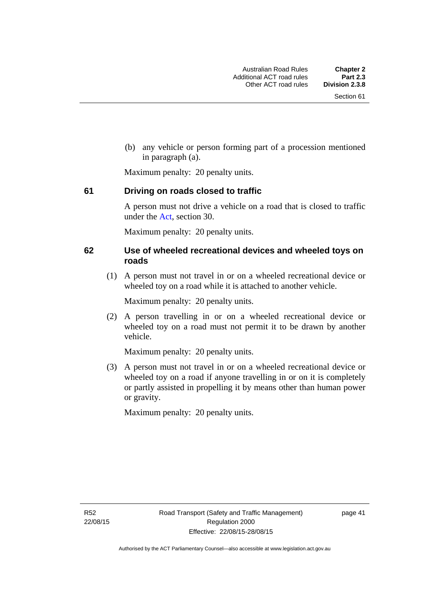(b) any vehicle or person forming part of a procession mentioned in paragraph (a).

Maximum penalty: 20 penalty units.

#### **61 Driving on roads closed to traffic**

A person must not drive a vehicle on a road that is closed to traffic under the [Act](http://www.legislation.act.gov.au/a/1999-80/default.asp), section 30.

Maximum penalty: 20 penalty units.

#### **62 Use of wheeled recreational devices and wheeled toys on roads**

 (1) A person must not travel in or on a wheeled recreational device or wheeled toy on a road while it is attached to another vehicle.

Maximum penalty: 20 penalty units.

 (2) A person travelling in or on a wheeled recreational device or wheeled toy on a road must not permit it to be drawn by another vehicle.

Maximum penalty: 20 penalty units.

 (3) A person must not travel in or on a wheeled recreational device or wheeled toy on a road if anyone travelling in or on it is completely or partly assisted in propelling it by means other than human power or gravity.

Maximum penalty: 20 penalty units.

R52 22/08/15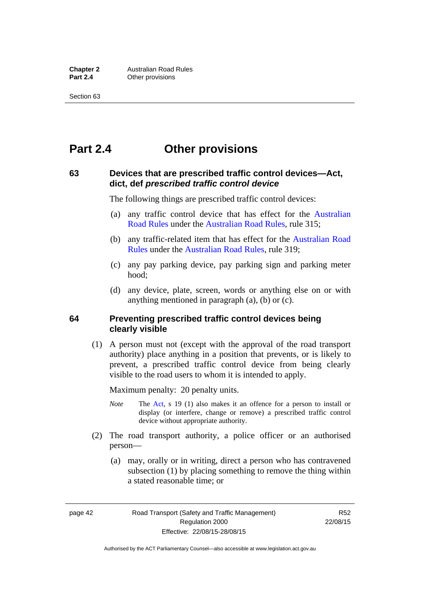# **Part 2.4 Other provisions**

#### **63 Devices that are prescribed traffic control devices—Act, dict, def** *prescribed traffic control device*

The following things are prescribed traffic control devices:

- (a) any traffic control device that has effect for the [Australian](http://www.legislation.act.gov.au//ni/db_37271/default.asp)  [Road Rules](http://www.legislation.act.gov.au//ni/db_37271/default.asp) under the [Australian Road Rules](http://www.legislation.act.gov.au//ni/db_37271/default.asp), rule 315;
- (b) any traffic-related item that has effect for the [Australian Road](http://www.legislation.act.gov.au//ni/db_37271/default.asp)  [Rules](http://www.legislation.act.gov.au//ni/db_37271/default.asp) under the [Australian Road Rules,](http://www.legislation.act.gov.au//ni/db_37271/default.asp) rule 319;
- (c) any pay parking device, pay parking sign and parking meter hood;
- (d) any device, plate, screen, words or anything else on or with anything mentioned in paragraph (a), (b) or (c).

#### **64 Preventing prescribed traffic control devices being clearly visible**

 (1) A person must not (except with the approval of the road transport authority) place anything in a position that prevents, or is likely to prevent, a prescribed traffic control device from being clearly visible to the road users to whom it is intended to apply.

Maximum penalty: 20 penalty units.

- *Note* The [Act](http://www.legislation.act.gov.au/a/1999-80/default.asp), s 19 (1) also makes it an offence for a person to install or display (or interfere, change or remove) a prescribed traffic control device without appropriate authority.
- (2) The road transport authority, a police officer or an authorised person—
	- (a) may, orally or in writing, direct a person who has contravened subsection (1) by placing something to remove the thing within a stated reasonable time; or

page 42 Road Transport (Safety and Traffic Management) Regulation 2000 Effective: 22/08/15-28/08/15

R52 22/08/15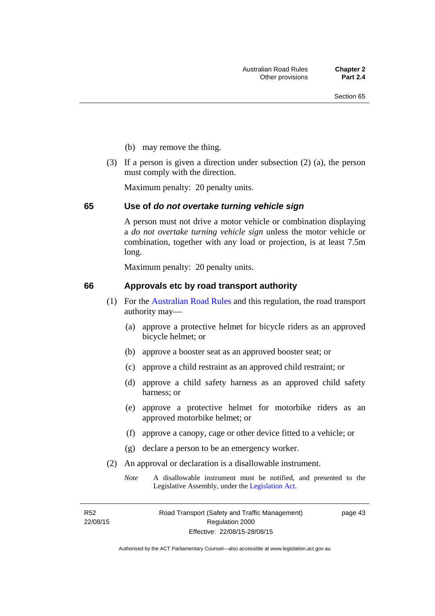- (b) may remove the thing.
- (3) If a person is given a direction under subsection (2) (a), the person must comply with the direction.

Maximum penalty: 20 penalty units.

#### **65 Use of** *do not overtake turning vehicle sign*

A person must not drive a motor vehicle or combination displaying a *do not overtake turning vehicle sign* unless the motor vehicle or combination, together with any load or projection, is at least 7.5m long.

Maximum penalty: 20 penalty units.

#### **66 Approvals etc by road transport authority**

- (1) For the [Australian Road Rules](http://www.legislation.act.gov.au//ni/db_37271/default.asp) and this regulation, the road transport authority may—
	- (a) approve a protective helmet for bicycle riders as an approved bicycle helmet; or
	- (b) approve a booster seat as an approved booster seat; or
	- (c) approve a child restraint as an approved child restraint; or
	- (d) approve a child safety harness as an approved child safety harness; or
	- (e) approve a protective helmet for motorbike riders as an approved motorbike helmet; or
	- (f) approve a canopy, cage or other device fitted to a vehicle; or
	- (g) declare a person to be an emergency worker.
- (2) An approval or declaration is a disallowable instrument.
	- *Note* A disallowable instrument must be notified, and presented to the Legislative Assembly, under the [Legislation Act.](http://www.legislation.act.gov.au/a/2001-14)

R52 22/08/15 page 43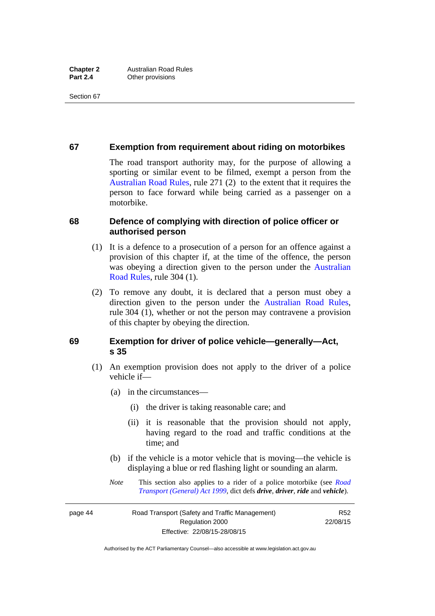#### **67 Exemption from requirement about riding on motorbikes**

The road transport authority may, for the purpose of allowing a sporting or similar event to be filmed, exempt a person from the [Australian Road Rules](http://www.legislation.act.gov.au//ni/db_37271/default.asp), rule 271 (2) to the extent that it requires the person to face forward while being carried as a passenger on a motorbike.

#### **68 Defence of complying with direction of police officer or authorised person**

- (1) It is a defence to a prosecution of a person for an offence against a provision of this chapter if, at the time of the offence, the person was obeying a direction given to the person under the [Australian](http://www.legislation.act.gov.au//ni/db_37271/default.asp)  [Road Rules,](http://www.legislation.act.gov.au//ni/db_37271/default.asp) rule 304 (1).
- (2) To remove any doubt, it is declared that a person must obey a direction given to the person under the [Australian Road Rules](http://www.legislation.act.gov.au//ni/db_37271/default.asp), rule 304 (1), whether or not the person may contravene a provision of this chapter by obeying the direction.

#### **69 Exemption for driver of police vehicle—generally—Act, s 35**

- (1) An exemption provision does not apply to the driver of a police vehicle if—
	- (a) in the circumstances—
		- (i) the driver is taking reasonable care; and
		- (ii) it is reasonable that the provision should not apply, having regard to the road and traffic conditions at the time; and
	- (b) if the vehicle is a motor vehicle that is moving—the vehicle is displaying a blue or red flashing light or sounding an alarm.
	- *Note* This section also applies to a rider of a police motorbike (see *[Road](http://www.legislation.act.gov.au/a/1999-77)  [Transport \(General\) Act 1999](http://www.legislation.act.gov.au/a/1999-77)*, dict defs *drive*, *driver*, *ride* and *vehicle*).

page 44 Road Transport (Safety and Traffic Management) Regulation 2000 Effective: 22/08/15-28/08/15

R52 22/08/15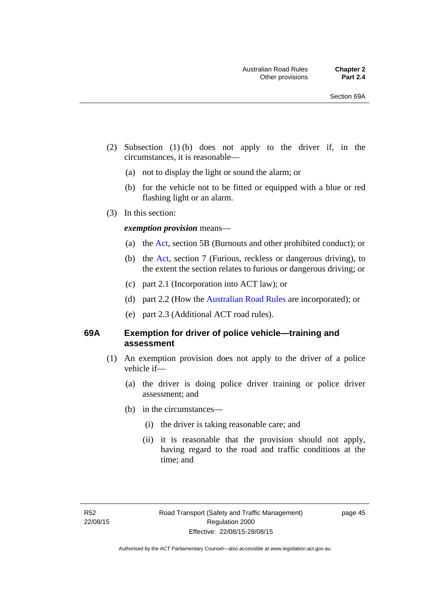- (2) Subsection (1) (b) does not apply to the driver if, in the circumstances, it is reasonable—
	- (a) not to display the light or sound the alarm; or
	- (b) for the vehicle not to be fitted or equipped with a blue or red flashing light or an alarm.
- (3) In this section:

#### *exemption provision* means—

- (a) the [Act](http://www.legislation.act.gov.au/a/1999-80/default.asp), section 5B (Burnouts and other prohibited conduct); or
- (b) the [Act](http://www.legislation.act.gov.au/a/1999-80/default.asp), section 7 (Furious, reckless or dangerous driving), to the extent the section relates to furious or dangerous driving; or
- (c) part 2.1 (Incorporation into ACT law); or
- (d) part 2.2 (How the [Australian Road Rules](http://www.legislation.act.gov.au//ni/db_37271/default.asp) are incorporated); or
- (e) part 2.3 (Additional ACT road rules).

#### **69A Exemption for driver of police vehicle—training and assessment**

- (1) An exemption provision does not apply to the driver of a police vehicle if—
	- (a) the driver is doing police driver training or police driver assessment; and
	- (b) in the circumstances—
		- (i) the driver is taking reasonable care; and
		- (ii) it is reasonable that the provision should not apply, having regard to the road and traffic conditions at the time; and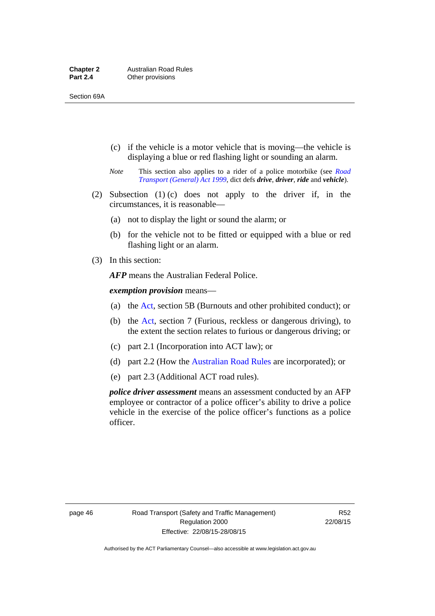- (c) if the vehicle is a motor vehicle that is moving—the vehicle is displaying a blue or red flashing light or sounding an alarm.
- *Note* This section also applies to a rider of a police motorbike (see *[Road](http://www.legislation.act.gov.au/a/1999-77)  [Transport \(General\) Act 1999](http://www.legislation.act.gov.au/a/1999-77)*, dict defs *drive*, *driver*, *ride* and *vehicle*).
- (2) Subsection (1) (c) does not apply to the driver if, in the circumstances, it is reasonable—
	- (a) not to display the light or sound the alarm; or
	- (b) for the vehicle not to be fitted or equipped with a blue or red flashing light or an alarm.
- (3) In this section:

*AFP* means the Australian Federal Police.

*exemption provision* means—

- (a) the [Act,](http://www.legislation.act.gov.au/a/1999-80/default.asp) section 5B (Burnouts and other prohibited conduct); or
- (b) the [Act](http://www.legislation.act.gov.au/a/1999-80/default.asp), section 7 (Furious, reckless or dangerous driving), to the extent the section relates to furious or dangerous driving; or
- (c) part 2.1 (Incorporation into ACT law); or
- (d) part 2.2 (How the [Australian Road Rules](http://www.legislation.act.gov.au//ni/db_37271/default.asp) are incorporated); or
- (e) part 2.3 (Additional ACT road rules).

*police driver assessment* means an assessment conducted by an AFP employee or contractor of a police officer's ability to drive a police vehicle in the exercise of the police officer's functions as a police officer.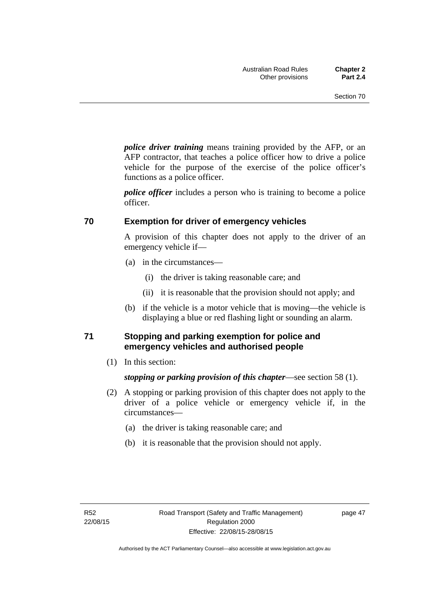*police driver training* means training provided by the AFP, or an AFP contractor, that teaches a police officer how to drive a police vehicle for the purpose of the exercise of the police officer's functions as a police officer.

*police officer* includes a person who is training to become a police officer.

#### **70 Exemption for driver of emergency vehicles**

A provision of this chapter does not apply to the driver of an emergency vehicle if—

- (a) in the circumstances—
	- (i) the driver is taking reasonable care; and
	- (ii) it is reasonable that the provision should not apply; and
- (b) if the vehicle is a motor vehicle that is moving—the vehicle is displaying a blue or red flashing light or sounding an alarm.

#### **71 Stopping and parking exemption for police and emergency vehicles and authorised people**

(1) In this section:

*stopping or parking provision of this chapter*—see section 58 (1).

- (2) A stopping or parking provision of this chapter does not apply to the driver of a police vehicle or emergency vehicle if, in the circumstances—
	- (a) the driver is taking reasonable care; and
	- (b) it is reasonable that the provision should not apply.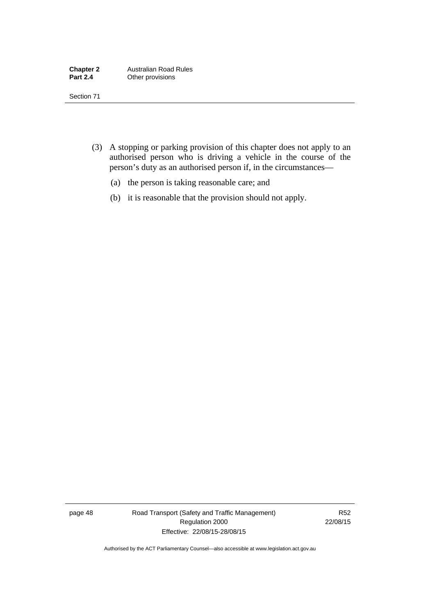- (3) A stopping or parking provision of this chapter does not apply to an authorised person who is driving a vehicle in the course of the person's duty as an authorised person if, in the circumstances—
	- (a) the person is taking reasonable care; and
	- (b) it is reasonable that the provision should not apply.

page 48 Road Transport (Safety and Traffic Management) Regulation 2000 Effective: 22/08/15-28/08/15

R52 22/08/15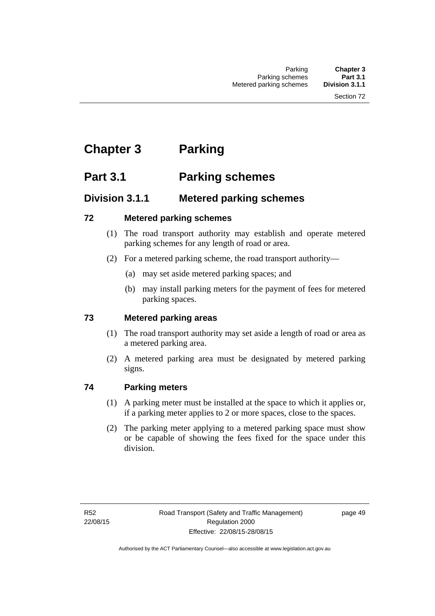# **Chapter 3 Parking**

# **Part 3.1 Parking schemes**

# **Division 3.1.1 Metered parking schemes**

## **72 Metered parking schemes**

- (1) The road transport authority may establish and operate metered parking schemes for any length of road or area.
- (2) For a metered parking scheme, the road transport authority—
	- (a) may set aside metered parking spaces; and
	- (b) may install parking meters for the payment of fees for metered parking spaces.

## **73 Metered parking areas**

- (1) The road transport authority may set aside a length of road or area as a metered parking area.
- (2) A metered parking area must be designated by metered parking signs.

## **74 Parking meters**

- (1) A parking meter must be installed at the space to which it applies or, if a parking meter applies to 2 or more spaces, close to the spaces.
- (2) The parking meter applying to a metered parking space must show or be capable of showing the fees fixed for the space under this division.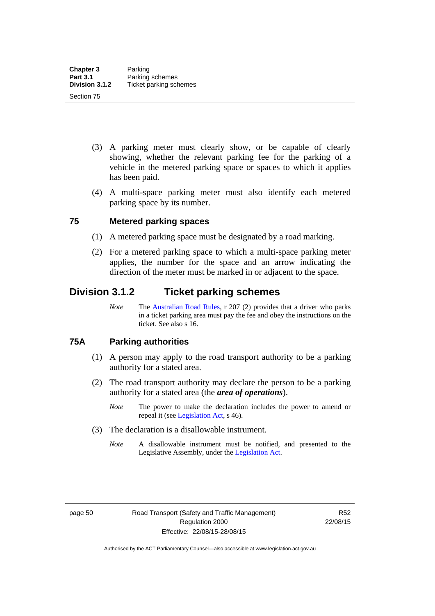- (3) A parking meter must clearly show, or be capable of clearly showing, whether the relevant parking fee for the parking of a vehicle in the metered parking space or spaces to which it applies has been paid.
- (4) A multi-space parking meter must also identify each metered parking space by its number.

#### **75 Metered parking spaces**

- (1) A metered parking space must be designated by a road marking.
- (2) For a metered parking space to which a multi-space parking meter applies, the number for the space and an arrow indicating the direction of the meter must be marked in or adjacent to the space.

## **Division 3.1.2 Ticket parking schemes**

*Note* The [Australian Road Rules](http://www.legislation.act.gov.au//ni/db_37271/default.asp), r 207 (2) provides that a driver who parks in a ticket parking area must pay the fee and obey the instructions on the ticket. See also s 16.

#### **75A Parking authorities**

- (1) A person may apply to the road transport authority to be a parking authority for a stated area.
- (2) The road transport authority may declare the person to be a parking authority for a stated area (the *area of operations*).
	- *Note* The power to make the declaration includes the power to amend or repeal it (see [Legislation Act,](http://www.legislation.act.gov.au/a/2001-14) s 46).
- (3) The declaration is a disallowable instrument.
	- *Note* A disallowable instrument must be notified, and presented to the Legislative Assembly, under the [Legislation Act.](http://www.legislation.act.gov.au/a/2001-14)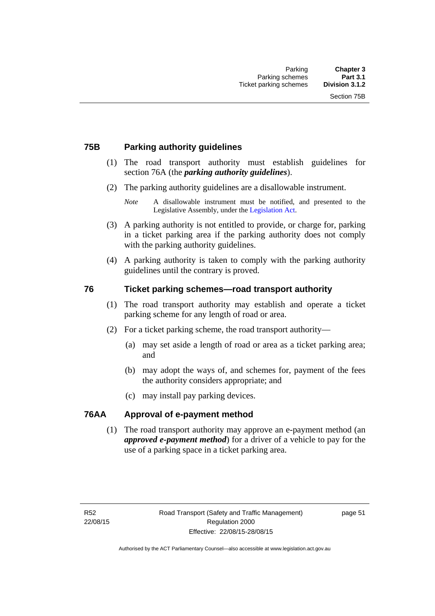#### **75B Parking authority guidelines**

- (1) The road transport authority must establish guidelines for section 76A (the *parking authority guidelines*).
- (2) The parking authority guidelines are a disallowable instrument.

- (3) A parking authority is not entitled to provide, or charge for, parking in a ticket parking area if the parking authority does not comply with the parking authority guidelines.
- (4) A parking authority is taken to comply with the parking authority guidelines until the contrary is proved.

#### **76 Ticket parking schemes—road transport authority**

- (1) The road transport authority may establish and operate a ticket parking scheme for any length of road or area.
- (2) For a ticket parking scheme, the road transport authority—
	- (a) may set aside a length of road or area as a ticket parking area; and
	- (b) may adopt the ways of, and schemes for, payment of the fees the authority considers appropriate; and
	- (c) may install pay parking devices.

#### **76AA Approval of e-payment method**

(1) The road transport authority may approve an e-payment method (an *approved e-payment method*) for a driver of a vehicle to pay for the use of a parking space in a ticket parking area.

*Note* A disallowable instrument must be notified, and presented to the Legislative Assembly, under the [Legislation Act.](http://www.legislation.act.gov.au/a/2001-14)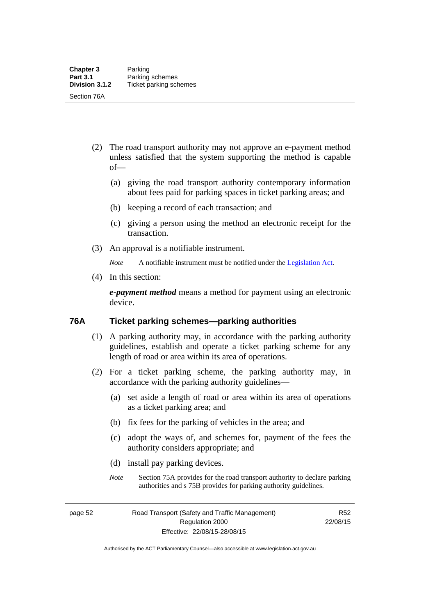- (2) The road transport authority may not approve an e-payment method unless satisfied that the system supporting the method is capable of—
	- (a) giving the road transport authority contemporary information about fees paid for parking spaces in ticket parking areas; and
	- (b) keeping a record of each transaction; and
	- (c) giving a person using the method an electronic receipt for the transaction.
- (3) An approval is a notifiable instrument.

*Note* A notifiable instrument must be notified under the [Legislation Act](http://www.legislation.act.gov.au/a/2001-14).

(4) In this section:

*e-payment method* means a method for payment using an electronic device.

#### **76A Ticket parking schemes—parking authorities**

- (1) A parking authority may, in accordance with the parking authority guidelines, establish and operate a ticket parking scheme for any length of road or area within its area of operations.
- (2) For a ticket parking scheme, the parking authority may, in accordance with the parking authority guidelines—
	- (a) set aside a length of road or area within its area of operations as a ticket parking area; and
	- (b) fix fees for the parking of vehicles in the area; and
	- (c) adopt the ways of, and schemes for, payment of the fees the authority considers appropriate; and
	- (d) install pay parking devices.
	- *Note* Section 75A provides for the road transport authority to declare parking authorities and s 75B provides for parking authority guidelines.

page 52 Road Transport (Safety and Traffic Management) Regulation 2000 Effective: 22/08/15-28/08/15

R52 22/08/15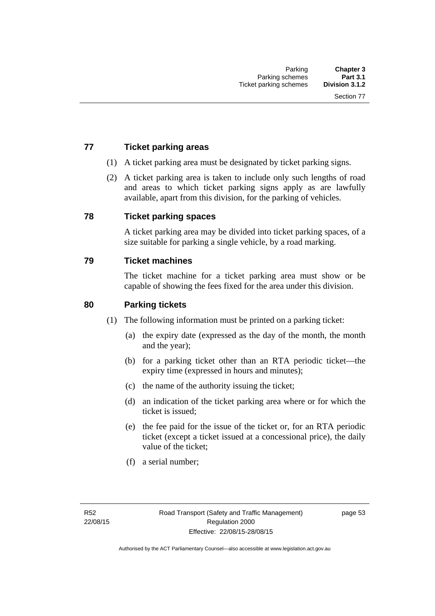### **77 Ticket parking areas**

- (1) A ticket parking area must be designated by ticket parking signs.
- (2) A ticket parking area is taken to include only such lengths of road and areas to which ticket parking signs apply as are lawfully available, apart from this division, for the parking of vehicles.

#### **78 Ticket parking spaces**

A ticket parking area may be divided into ticket parking spaces, of a size suitable for parking a single vehicle, by a road marking.

#### **79 Ticket machines**

The ticket machine for a ticket parking area must show or be capable of showing the fees fixed for the area under this division.

#### **80 Parking tickets**

- (1) The following information must be printed on a parking ticket:
	- (a) the expiry date (expressed as the day of the month, the month and the year);
	- (b) for a parking ticket other than an RTA periodic ticket—the expiry time (expressed in hours and minutes);
	- (c) the name of the authority issuing the ticket;
	- (d) an indication of the ticket parking area where or for which the ticket is issued;
	- (e) the fee paid for the issue of the ticket or, for an RTA periodic ticket (except a ticket issued at a concessional price), the daily value of the ticket;
	- (f) a serial number;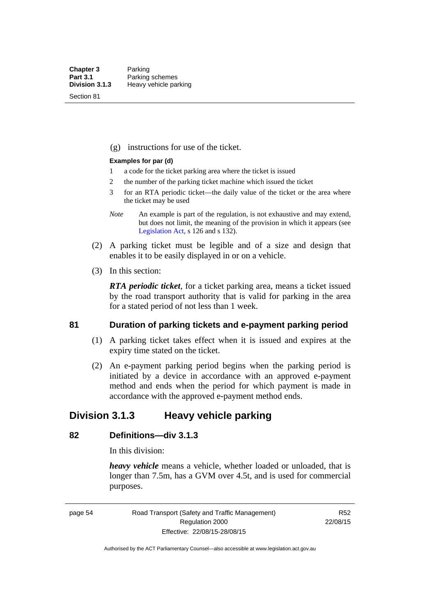Section 81

(g) instructions for use of the ticket.

#### **Examples for par (d)**

- 1 a code for the ticket parking area where the ticket is issued
- 2 the number of the parking ticket machine which issued the ticket
- 3 for an RTA periodic ticket—the daily value of the ticket or the area where the ticket may be used
- *Note* An example is part of the regulation, is not exhaustive and may extend, but does not limit, the meaning of the provision in which it appears (see [Legislation Act,](http://www.legislation.act.gov.au/a/2001-14) s 126 and s 132).
- (2) A parking ticket must be legible and of a size and design that enables it to be easily displayed in or on a vehicle.
- (3) In this section:

*RTA periodic ticket*, for a ticket parking area, means a ticket issued by the road transport authority that is valid for parking in the area for a stated period of not less than 1 week.

#### **81 Duration of parking tickets and e-payment parking period**

- (1) A parking ticket takes effect when it is issued and expires at the expiry time stated on the ticket.
- (2) An e-payment parking period begins when the parking period is initiated by a device in accordance with an approved e-payment method and ends when the period for which payment is made in accordance with the approved e-payment method ends.

## **Division 3.1.3 Heavy vehicle parking**

## **82 Definitions—div 3.1.3**

In this division:

*heavy vehicle* means a vehicle, whether loaded or unloaded, that is longer than 7.5m, has a GVM over 4.5t, and is used for commercial purposes.

page 54 Road Transport (Safety and Traffic Management) Regulation 2000 Effective: 22/08/15-28/08/15

R52 22/08/15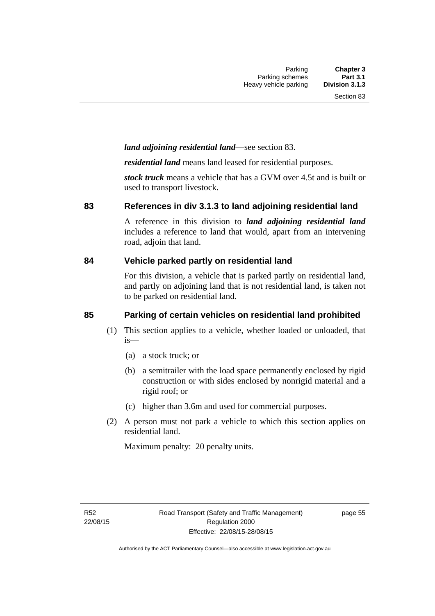#### *land adjoining residential land*—see section 83.

*residential land* means land leased for residential purposes.

*stock truck* means a vehicle that has a GVM over 4.5t and is built or used to transport livestock.

#### **83 References in div 3.1.3 to land adjoining residential land**

A reference in this division to *land adjoining residential land* includes a reference to land that would, apart from an intervening road, adjoin that land.

#### **84 Vehicle parked partly on residential land**

For this division, a vehicle that is parked partly on residential land, and partly on adjoining land that is not residential land, is taken not to be parked on residential land.

### **85 Parking of certain vehicles on residential land prohibited**

- (1) This section applies to a vehicle, whether loaded or unloaded, that is—
	- (a) a stock truck; or
	- (b) a semitrailer with the load space permanently enclosed by rigid construction or with sides enclosed by nonrigid material and a rigid roof; or
	- (c) higher than 3.6m and used for commercial purposes.
- (2) A person must not park a vehicle to which this section applies on residential land.

Maximum penalty: 20 penalty units.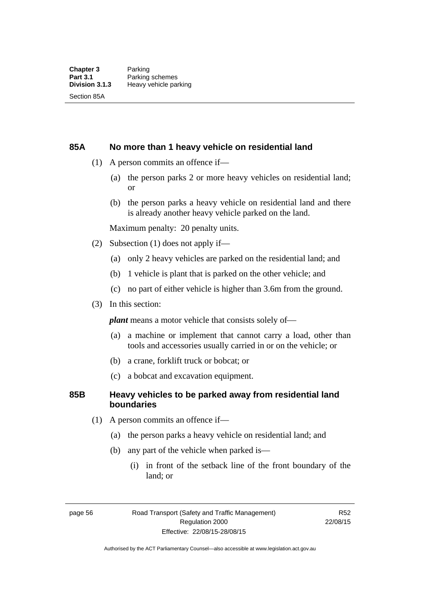#### **85A No more than 1 heavy vehicle on residential land**

- (1) A person commits an offence if—
	- (a) the person parks 2 or more heavy vehicles on residential land; or
	- (b) the person parks a heavy vehicle on residential land and there is already another heavy vehicle parked on the land.

Maximum penalty: 20 penalty units.

- (2) Subsection (1) does not apply if—
	- (a) only 2 heavy vehicles are parked on the residential land; and
	- (b) 1 vehicle is plant that is parked on the other vehicle; and
	- (c) no part of either vehicle is higher than 3.6m from the ground.
- (3) In this section:

*plant* means a motor vehicle that consists solely of—

- (a) a machine or implement that cannot carry a load, other than tools and accessories usually carried in or on the vehicle; or
- (b) a crane, forklift truck or bobcat; or
- (c) a bobcat and excavation equipment.

### **85B Heavy vehicles to be parked away from residential land boundaries**

- (1) A person commits an offence if—
	- (a) the person parks a heavy vehicle on residential land; and
	- (b) any part of the vehicle when parked is—
		- (i) in front of the setback line of the front boundary of the land; or

page 56 Road Transport (Safety and Traffic Management) Regulation 2000 Effective: 22/08/15-28/08/15

R52 22/08/15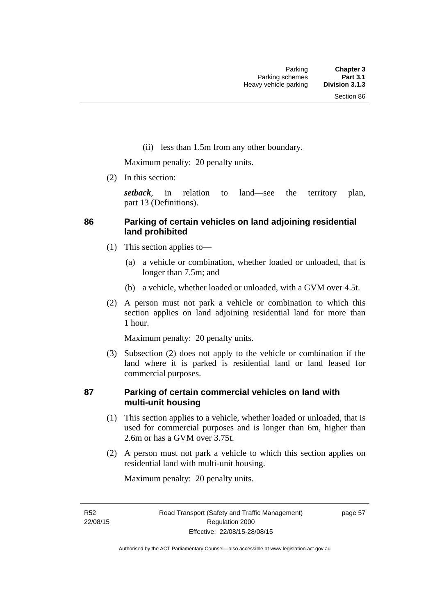(ii) less than 1.5m from any other boundary.

Maximum penalty: 20 penalty units.

(2) In this section:

*setback*, in relation to land—see the territory plan, part 13 (Definitions).

# **86 Parking of certain vehicles on land adjoining residential land prohibited**

- (1) This section applies to—
	- (a) a vehicle or combination, whether loaded or unloaded, that is longer than 7.5m; and
	- (b) a vehicle, whether loaded or unloaded, with a GVM over 4.5t.
- (2) A person must not park a vehicle or combination to which this section applies on land adjoining residential land for more than 1 hour.

Maximum penalty: 20 penalty units.

 (3) Subsection (2) does not apply to the vehicle or combination if the land where it is parked is residential land or land leased for commercial purposes.

# **87 Parking of certain commercial vehicles on land with multi-unit housing**

- (1) This section applies to a vehicle, whether loaded or unloaded, that is used for commercial purposes and is longer than 6m, higher than 2.6m or has a GVM over 3.75t.
- (2) A person must not park a vehicle to which this section applies on residential land with multi-unit housing.

Maximum penalty: 20 penalty units.

R52 22/08/15 page 57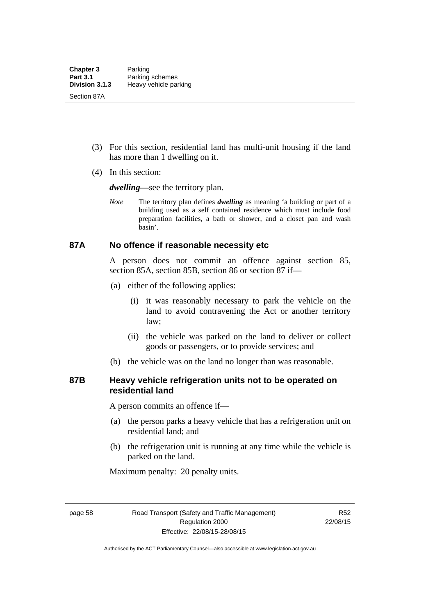- (3) For this section, residential land has multi-unit housing if the land has more than 1 dwelling on it.
- (4) In this section:

*dwelling—*see the territory plan.

*Note* The territory plan defines *dwelling* as meaning 'a building or part of a building used as a self contained residence which must include food preparation facilities, a bath or shower, and a closet pan and wash basin'.

#### **87A No offence if reasonable necessity etc**

A person does not commit an offence against section 85, section 85A, section 85B, section 86 or section 87 if—

- (a) either of the following applies:
	- (i) it was reasonably necessary to park the vehicle on the land to avoid contravening the Act or another territory law;
	- (ii) the vehicle was parked on the land to deliver or collect goods or passengers, or to provide services; and
- (b) the vehicle was on the land no longer than was reasonable.

# **87B Heavy vehicle refrigeration units not to be operated on residential land**

A person commits an offence if—

- (a) the person parks a heavy vehicle that has a refrigeration unit on residential land; and
- (b) the refrigeration unit is running at any time while the vehicle is parked on the land.

Maximum penalty: 20 penalty units.

page 58 Road Transport (Safety and Traffic Management) Regulation 2000 Effective: 22/08/15-28/08/15

R52 22/08/15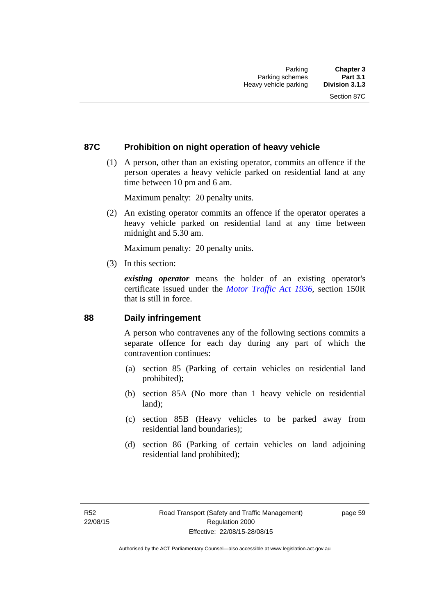# **87C Prohibition on night operation of heavy vehicle**

 (1) A person, other than an existing operator, commits an offence if the person operates a heavy vehicle parked on residential land at any time between 10 pm and 6 am.

Maximum penalty: 20 penalty units.

 (2) An existing operator commits an offence if the operator operates a heavy vehicle parked on residential land at any time between midnight and 5.30 am.

Maximum penalty: 20 penalty units.

(3) In this section:

*existing operator* means the holder of an existing operator's certificate issued under the *[Motor Traffic Act 1936](http://www.legislation.act.gov.au/a/1936-45)*, section 150R that is still in force.

#### **88 Daily infringement**

A person who contravenes any of the following sections commits a separate offence for each day during any part of which the contravention continues:

- (a) section 85 (Parking of certain vehicles on residential land prohibited);
- (b) section 85A (No more than 1 heavy vehicle on residential land);
- (c) section 85B (Heavy vehicles to be parked away from residential land boundaries);
- (d) section 86 (Parking of certain vehicles on land adjoining residential land prohibited);

page 59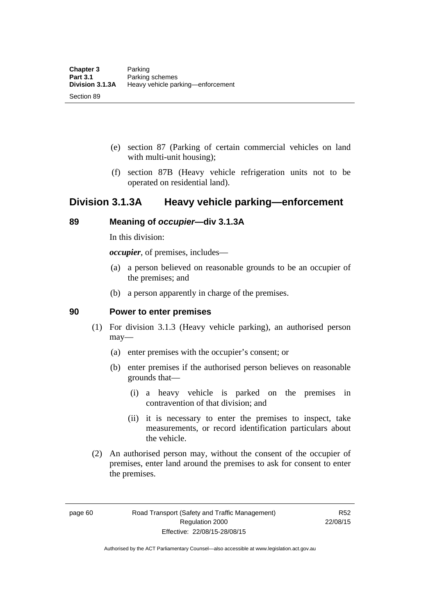- (e) section 87 (Parking of certain commercial vehicles on land with multi-unit housing);
- (f) section 87B (Heavy vehicle refrigeration units not to be operated on residential land).

# **Division 3.1.3A Heavy vehicle parking—enforcement**

# **89 Meaning of** *occupier***—div 3.1.3A**

In this division:

*occupier*, of premises, includes—

- (a) a person believed on reasonable grounds to be an occupier of the premises; and
- (b) a person apparently in charge of the premises.

#### **90 Power to enter premises**

- (1) For division 3.1.3 (Heavy vehicle parking), an authorised person may—
	- (a) enter premises with the occupier's consent; or
	- (b) enter premises if the authorised person believes on reasonable grounds that—
		- (i) a heavy vehicle is parked on the premises in contravention of that division; and
		- (ii) it is necessary to enter the premises to inspect, take measurements, or record identification particulars about the vehicle.
- (2) An authorised person may, without the consent of the occupier of premises, enter land around the premises to ask for consent to enter the premises.

page 60 Road Transport (Safety and Traffic Management) Regulation 2000 Effective: 22/08/15-28/08/15

R52 22/08/15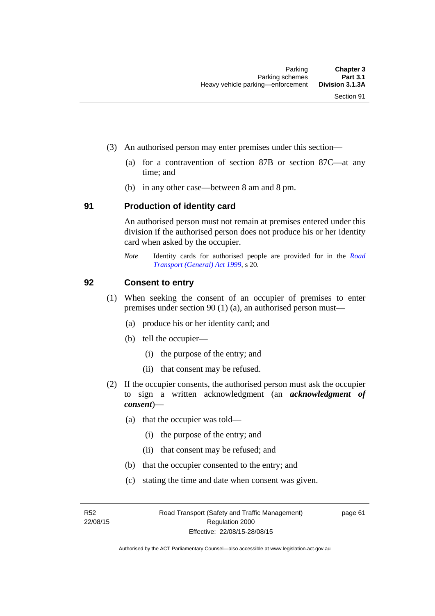- (3) An authorised person may enter premises under this section––
	- (a) for a contravention of section 87B or section 87C––at any time; and
	- (b) in any other case––between 8 am and 8 pm.

#### **91 Production of identity card**

An authorised person must not remain at premises entered under this division if the authorised person does not produce his or her identity card when asked by the occupier.

*Note* Identity cards for authorised people are provided for in the *[Road](http://www.legislation.act.gov.au/a/1999-77)  [Transport \(General\) Act 1999](http://www.legislation.act.gov.au/a/1999-77)*, s 20.

#### **92 Consent to entry**

- (1) When seeking the consent of an occupier of premises to enter premises under section 90 (1) (a), an authorised person must—
	- (a) produce his or her identity card; and
	- (b) tell the occupier—
		- (i) the purpose of the entry; and
		- (ii) that consent may be refused.
- (2) If the occupier consents, the authorised person must ask the occupier to sign a written acknowledgment (an *acknowledgment of consent*)—
	- (a) that the occupier was told—
		- (i) the purpose of the entry; and
		- (ii) that consent may be refused; and
	- (b) that the occupier consented to the entry; and
	- (c) stating the time and date when consent was given.

R52 22/08/15 page 61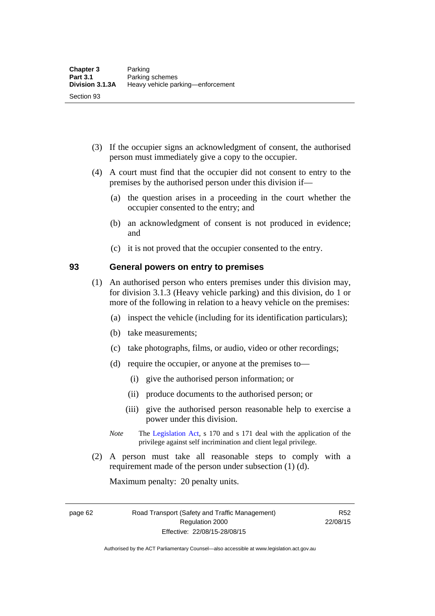- (3) If the occupier signs an acknowledgment of consent, the authorised person must immediately give a copy to the occupier.
- (4) A court must find that the occupier did not consent to entry to the premises by the authorised person under this division if—
	- (a) the question arises in a proceeding in the court whether the occupier consented to the entry; and
	- (b) an acknowledgment of consent is not produced in evidence; and
	- (c) it is not proved that the occupier consented to the entry.

#### **93 General powers on entry to premises**

- (1) An authorised person who enters premises under this division may, for division 3.1.3 (Heavy vehicle parking) and this division, do 1 or more of the following in relation to a heavy vehicle on the premises:
	- (a) inspect the vehicle (including for its identification particulars);
	- (b) take measurements;
	- (c) take photographs, films, or audio, video or other recordings;
	- (d) require the occupier, or anyone at the premises to—
		- (i) give the authorised person information; or
		- (ii) produce documents to the authorised person; or
		- (iii) give the authorised person reasonable help to exercise a power under this division.
	- *Note* The [Legislation Act](http://www.legislation.act.gov.au/a/2001-14), s 170 and s 171 deal with the application of the privilege against self incrimination and client legal privilege.
- (2) A person must take all reasonable steps to comply with a requirement made of the person under subsection (1) (d).

Maximum penalty: 20 penalty units.

page 62 Road Transport (Safety and Traffic Management) Regulation 2000 Effective: 22/08/15-28/08/15

R52 22/08/15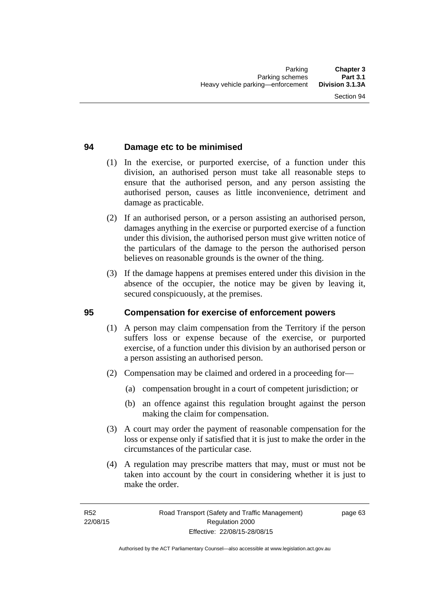# **94 Damage etc to be minimised**

- (1) In the exercise, or purported exercise, of a function under this division, an authorised person must take all reasonable steps to ensure that the authorised person, and any person assisting the authorised person, causes as little inconvenience, detriment and damage as practicable.
- (2) If an authorised person, or a person assisting an authorised person, damages anything in the exercise or purported exercise of a function under this division, the authorised person must give written notice of the particulars of the damage to the person the authorised person believes on reasonable grounds is the owner of the thing.
- (3) If the damage happens at premises entered under this division in the absence of the occupier, the notice may be given by leaving it, secured conspicuously, at the premises.

#### **95 Compensation for exercise of enforcement powers**

- (1) A person may claim compensation from the Territory if the person suffers loss or expense because of the exercise, or purported exercise, of a function under this division by an authorised person or a person assisting an authorised person.
- (2) Compensation may be claimed and ordered in a proceeding for—
	- (a) compensation brought in a court of competent jurisdiction; or
	- (b) an offence against this regulation brought against the person making the claim for compensation.
- (3) A court may order the payment of reasonable compensation for the loss or expense only if satisfied that it is just to make the order in the circumstances of the particular case.
- (4) A regulation may prescribe matters that may, must or must not be taken into account by the court in considering whether it is just to make the order.

page 63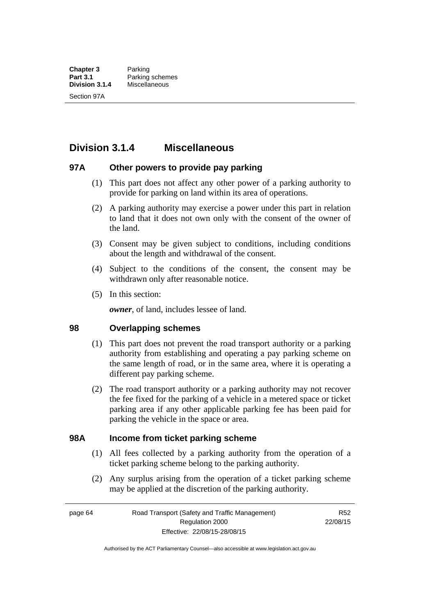# **Division 3.1.4 Miscellaneous**

### **97A Other powers to provide pay parking**

- (1) This part does not affect any other power of a parking authority to provide for parking on land within its area of operations.
- (2) A parking authority may exercise a power under this part in relation to land that it does not own only with the consent of the owner of the land.
- (3) Consent may be given subject to conditions, including conditions about the length and withdrawal of the consent.
- (4) Subject to the conditions of the consent, the consent may be withdrawn only after reasonable notice.
- (5) In this section:

*owner*, of land, includes lessee of land.

#### **98 Overlapping schemes**

- (1) This part does not prevent the road transport authority or a parking authority from establishing and operating a pay parking scheme on the same length of road, or in the same area, where it is operating a different pay parking scheme.
- (2) The road transport authority or a parking authority may not recover the fee fixed for the parking of a vehicle in a metered space or ticket parking area if any other applicable parking fee has been paid for parking the vehicle in the space or area.

#### **98A Income from ticket parking scheme**

- (1) All fees collected by a parking authority from the operation of a ticket parking scheme belong to the parking authority.
- (2) Any surplus arising from the operation of a ticket parking scheme may be applied at the discretion of the parking authority.

page 64 Road Transport (Safety and Traffic Management) Regulation 2000 Effective: 22/08/15-28/08/15

R52 22/08/15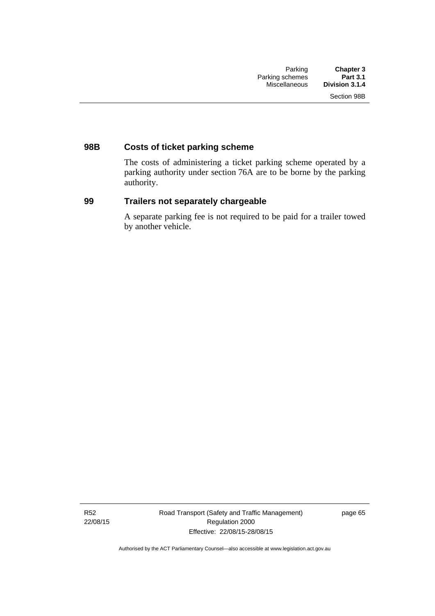# **98B Costs of ticket parking scheme**

The costs of administering a ticket parking scheme operated by a parking authority under section 76A are to be borne by the parking authority.

# **99 Trailers not separately chargeable**

A separate parking fee is not required to be paid for a trailer towed by another vehicle.

R52 22/08/15 Road Transport (Safety and Traffic Management) Regulation 2000 Effective: 22/08/15-28/08/15

page 65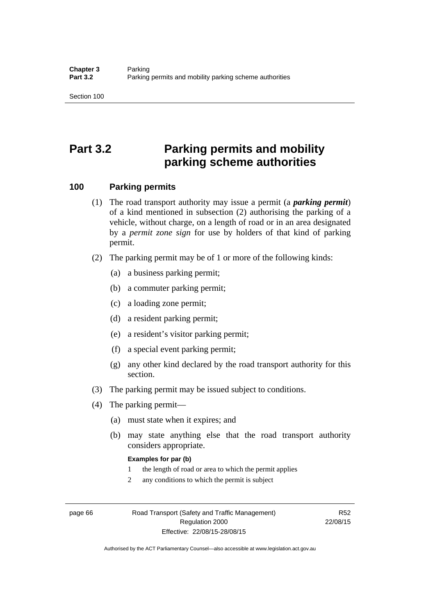# **Part 3.2 Parking permits and mobility parking scheme authorities**

#### **100 Parking permits**

- (1) The road transport authority may issue a permit (a *parking permit*) of a kind mentioned in subsection (2) authorising the parking of a vehicle, without charge, on a length of road or in an area designated by a *permit zone sign* for use by holders of that kind of parking permit.
- (2) The parking permit may be of 1 or more of the following kinds:
	- (a) a business parking permit;
	- (b) a commuter parking permit;
	- (c) a loading zone permit;
	- (d) a resident parking permit;
	- (e) a resident's visitor parking permit;
	- (f) a special event parking permit;
	- (g) any other kind declared by the road transport authority for this section.
- (3) The parking permit may be issued subject to conditions.
- (4) The parking permit—
	- (a) must state when it expires; and
	- (b) may state anything else that the road transport authority considers appropriate.

#### **Examples for par (b)**

- 1 the length of road or area to which the permit applies
- 2 any conditions to which the permit is subject

page 66 Road Transport (Safety and Traffic Management) Regulation 2000 Effective: 22/08/15-28/08/15

R52 22/08/15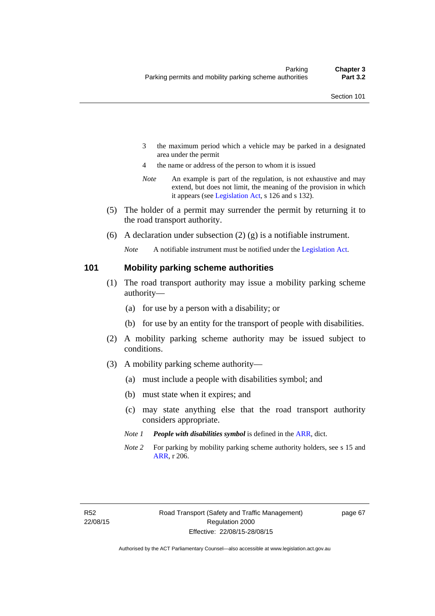- 3 the maximum period which a vehicle may be parked in a designated area under the permit
- 4 the name or address of the person to whom it is issued
- *Note* An example is part of the regulation, is not exhaustive and may extend, but does not limit, the meaning of the provision in which it appears (see [Legislation Act,](http://www.legislation.act.gov.au/a/2001-14) s 126 and s 132).
- (5) The holder of a permit may surrender the permit by returning it to the road transport authority.
- (6) A declaration under subsection  $(2)$  (g) is a notifiable instrument.

*Note* A notifiable instrument must be notified under the [Legislation Act](http://www.legislation.act.gov.au/a/2001-14).

#### **101 Mobility parking scheme authorities**

- (1) The road transport authority may issue a mobility parking scheme authority—
	- (a) for use by a person with a disability; or
	- (b) for use by an entity for the transport of people with disabilities.
- (2) A mobility parking scheme authority may be issued subject to conditions.
- (3) A mobility parking scheme authority—
	- (a) must include a people with disabilities symbol; and
	- (b) must state when it expires; and
	- (c) may state anything else that the road transport authority considers appropriate.
	- *Note 1 People with disabilities symbol* is defined in the [ARR,](http://www.legislation.act.gov.au//ni/db_37271/default.asp) dict.
	- *Note 2* For parking by mobility parking scheme authority holders, see s 15 and [ARR,](http://www.legislation.act.gov.au//ni/db_37271/default.asp) r 206.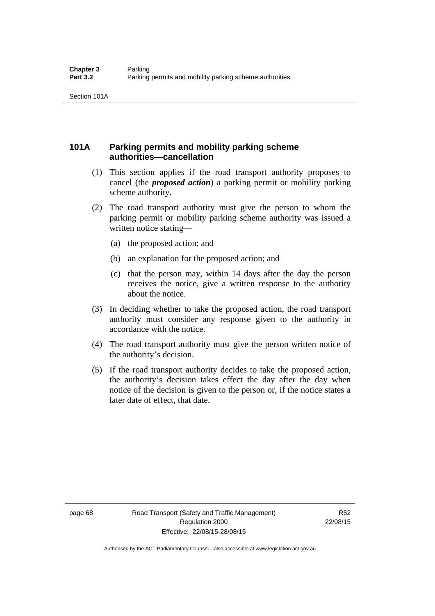# **101A Parking permits and mobility parking scheme authorities—cancellation**

- (1) This section applies if the road transport authority proposes to cancel (the *proposed action*) a parking permit or mobility parking scheme authority.
- (2) The road transport authority must give the person to whom the parking permit or mobility parking scheme authority was issued a written notice stating—
	- (a) the proposed action; and
	- (b) an explanation for the proposed action; and
	- (c) that the person may, within 14 days after the day the person receives the notice, give a written response to the authority about the notice.
- (3) In deciding whether to take the proposed action, the road transport authority must consider any response given to the authority in accordance with the notice.
- (4) The road transport authority must give the person written notice of the authority's decision.
- (5) If the road transport authority decides to take the proposed action, the authority's decision takes effect the day after the day when notice of the decision is given to the person or, if the notice states a later date of effect, that date.

page 68 Road Transport (Safety and Traffic Management) Regulation 2000 Effective: 22/08/15-28/08/15

R52 22/08/15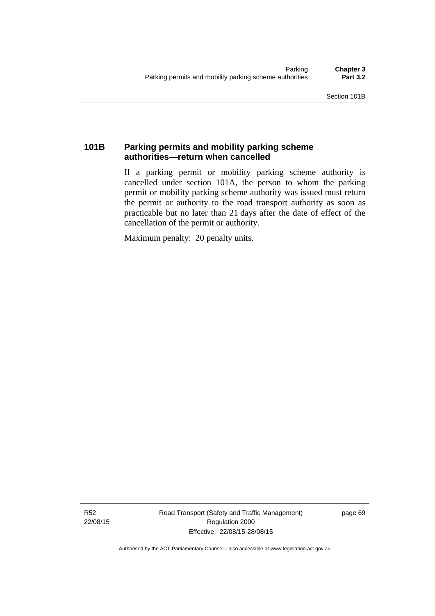# **101B Parking permits and mobility parking scheme authorities—return when cancelled**

If a parking permit or mobility parking scheme authority is cancelled under section 101A, the person to whom the parking permit or mobility parking scheme authority was issued must return the permit or authority to the road transport authority as soon as practicable but no later than 21 days after the date of effect of the cancellation of the permit or authority.

Maximum penalty: 20 penalty units.

R52 22/08/15 Road Transport (Safety and Traffic Management) Regulation 2000 Effective: 22/08/15-28/08/15

page 69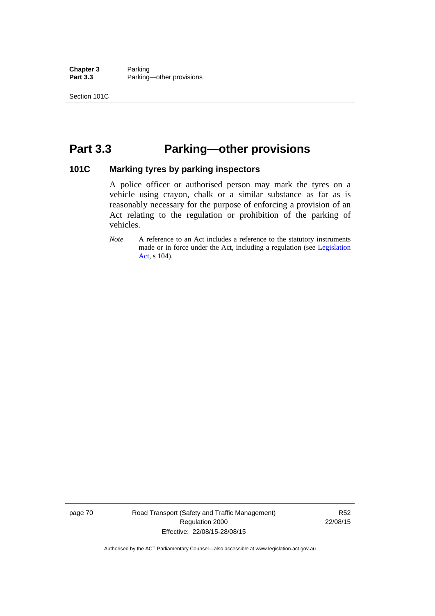**Chapter 3** Parking<br>**Part 3.3** Parking Parking—other provisions

# **Part 3.3 Parking—other provisions**

#### **101C Marking tyres by parking inspectors**

A police officer or authorised person may mark the tyres on a vehicle using crayon, chalk or a similar substance as far as is reasonably necessary for the purpose of enforcing a provision of an Act relating to the regulation or prohibition of the parking of vehicles.

*Note* A reference to an Act includes a reference to the statutory instruments made or in force under the Act, including a regulation (see [Legislation](http://www.legislation.act.gov.au/a/2001-14)  [Act](http://www.legislation.act.gov.au/a/2001-14), s 104).

page 70 Road Transport (Safety and Traffic Management) Regulation 2000 Effective: 22/08/15-28/08/15

R52 22/08/15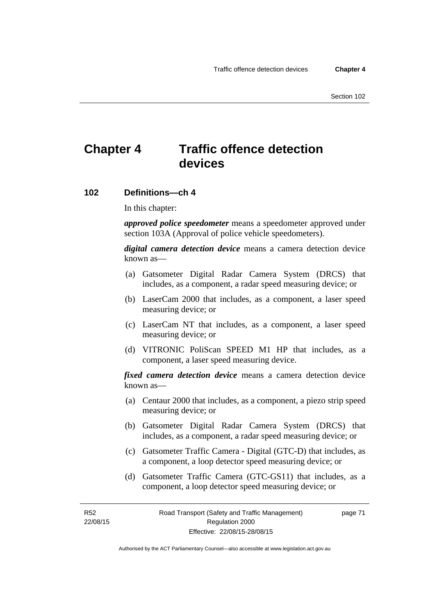# **Chapter 4 Traffic offence detection devices**

#### **102 Definitions—ch 4**

In this chapter:

*approved police speedometer* means a speedometer approved under section 103A (Approval of police vehicle speedometers).

*digital camera detection device* means a camera detection device known as—

- (a) Gatsometer Digital Radar Camera System (DRCS) that includes, as a component, a radar speed measuring device; or
- (b) LaserCam 2000 that includes, as a component, a laser speed measuring device; or
- (c) LaserCam NT that includes, as a component, a laser speed measuring device; or
- (d) VITRONIC PoliScan SPEED M1 HP that includes, as a component, a laser speed measuring device.

*fixed camera detection device* means a camera detection device known as—

- (a) Centaur 2000 that includes, as a component, a piezo strip speed measuring device; or
- (b) Gatsometer Digital Radar Camera System (DRCS) that includes, as a component, a radar speed measuring device; or
- (c) Gatsometer Traffic Camera Digital (GTC-D) that includes, as a component, a loop detector speed measuring device; or
- (d) Gatsometer Traffic Camera (GTC-GS11) that includes, as a component, a loop detector speed measuring device; or

R52 22/08/15 page 71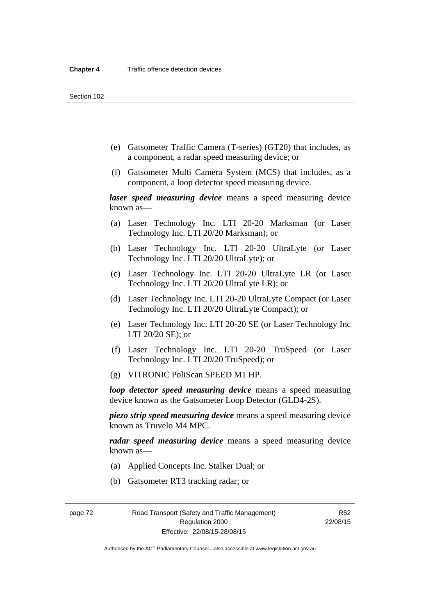- (e) Gatsometer Traffic Camera (T-series) (GT20) that includes, as a component, a radar speed measuring device; or
- (f) Gatsometer Multi Camera System (MCS) that includes, as a component, a loop detector speed measuring device.

*laser speed measuring device* means a speed measuring device known as—

- (a) Laser Technology Inc. LTI 20-20 Marksman (or Laser Technology Inc. LTI 20/20 Marksman); or
- (b) Laser Technology Inc. LTI 20-20 UltraLyte (or Laser Technology Inc. LTI 20/20 UltraLyte); or
- (c) Laser Technology Inc. LTI 20-20 UltraLyte LR (or Laser Technology Inc. LTI 20/20 UltraLyte LR); or
- (d) Laser Technology Inc. LTI 20-20 UltraLyte Compact (or Laser Technology Inc. LTI 20/20 UltraLyte Compact); or
- (e) Laser Technology Inc. LTI 20-20 SE (or Laser Technology Inc LTI 20/20 SE); or
- (f) Laser Technology Inc. LTI 20-20 TruSpeed (or Laser Technology Inc. LTI 20/20 TruSpeed); or
- (g) VITRONIC PoliScan SPEED M1 HP.

*loop detector speed measuring device* means a speed measuring device known as the Gatsometer Loop Detector (GLD4-2S).

*piezo strip speed measuring device* means a speed measuring device known as Truvelo M4 MPC.

*radar speed measuring device* means a speed measuring device known as—

- (a) Applied Concepts Inc. Stalker Dual; or
- (b) Gatsometer RT3 tracking radar; or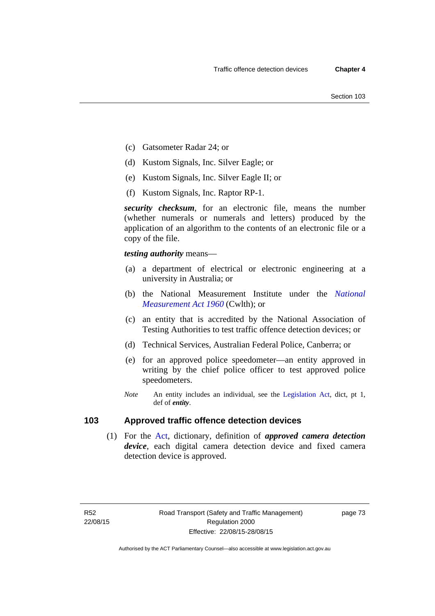- (c) Gatsometer Radar 24; or
- (d) Kustom Signals, Inc. Silver Eagle; or
- (e) Kustom Signals, Inc. Silver Eagle II; or
- (f) Kustom Signals, Inc. Raptor RP-1.

*security checksum*, for an electronic file, means the number (whether numerals or numerals and letters) produced by the application of an algorithm to the contents of an electronic file or a copy of the file.

*testing authority* means—

- (a) a department of electrical or electronic engineering at a university in Australia; or
- (b) the National Measurement Institute under the *[National](http://www.comlaw.gov.au/Series/C2004A07405)  [Measurement Act 1960](http://www.comlaw.gov.au/Series/C2004A07405)* (Cwlth); or
- (c) an entity that is accredited by the National Association of Testing Authorities to test traffic offence detection devices; or
- (d) Technical Services, Australian Federal Police, Canberra; or
- (e) for an approved police speedometer—an entity approved in writing by the chief police officer to test approved police speedometers.
- *Note* An entity includes an individual, see the [Legislation Act,](http://www.legislation.act.gov.au/a/2001-14) dict, pt 1, def of *entity*.

# **103 Approved traffic offence detection devices**

 (1) For the [Act,](http://www.legislation.act.gov.au/a/1999-80/default.asp) dictionary, definition of *approved camera detection device*, each digital camera detection device and fixed camera detection device is approved.

page 73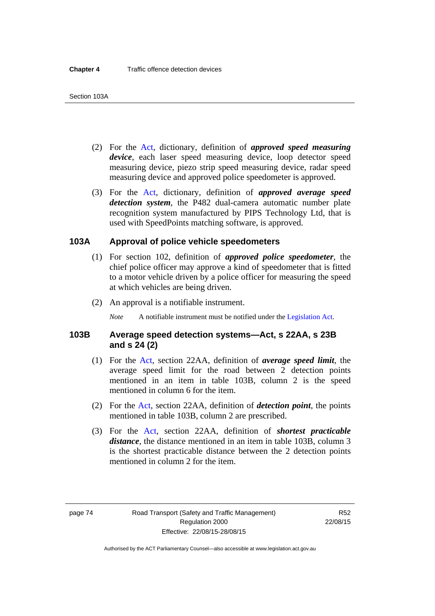- (2) For the [Act,](http://www.legislation.act.gov.au/a/1999-80/default.asp) dictionary, definition of *approved speed measuring device*, each laser speed measuring device, loop detector speed measuring device, piezo strip speed measuring device, radar speed measuring device and approved police speedometer is approved.
- (3) For the [Act](http://www.legislation.act.gov.au/a/1999-80/default.asp), dictionary, definition of *approved average speed detection system*, the P482 dual-camera automatic number plate recognition system manufactured by PIPS Technology Ltd, that is used with SpeedPoints matching software, is approved.

#### **103A Approval of police vehicle speedometers**

- (1) For section 102, definition of *approved police speedometer*, the chief police officer may approve a kind of speedometer that is fitted to a motor vehicle driven by a police officer for measuring the speed at which vehicles are being driven.
- (2) An approval is a notifiable instrument.

*Note* A notifiable instrument must be notified under the [Legislation Act](http://www.legislation.act.gov.au/a/2001-14).

#### **103B Average speed detection systems—Act, s 22AA, s 23B and s 24 (2)**

- (1) For the [Act](http://www.legislation.act.gov.au/a/1999-80/default.asp), section 22AA, definition of *average speed limit*, the average speed limit for the road between 2 detection points mentioned in an item in table 103B, column 2 is the speed mentioned in column 6 for the item.
- (2) For the [Act](http://www.legislation.act.gov.au/a/1999-80/default.asp), section 22AA, definition of *detection point*, the points mentioned in table 103B, column 2 are prescribed.
- (3) For the [Act](http://www.legislation.act.gov.au/a/1999-80/default.asp), section 22AA, definition of *shortest practicable distance*, the distance mentioned in an item in table 103B, column 3 is the shortest practicable distance between the 2 detection points mentioned in column 2 for the item.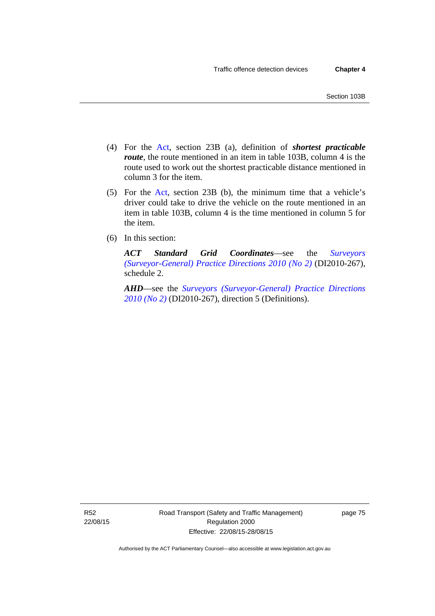- (4) For the [Act,](http://www.legislation.act.gov.au/a/1999-80/default.asp) section 23B (a), definition of *shortest practicable route*, the route mentioned in an item in table 103B, column 4 is the route used to work out the shortest practicable distance mentioned in column 3 for the item.
- (5) For the [Act](http://www.legislation.act.gov.au/a/1999-80/default.asp), section 23B (b), the minimum time that a vehicle's driver could take to drive the vehicle on the route mentioned in an item in table 103B, column 4 is the time mentioned in column 5 for the item.
- (6) In this section:

*ACT Standard Grid Coordinates*—see the *[Surveyors](http://www.legislation.act.gov.au/di/2010-267/default.asp)  [\(Surveyor-General\) Practice Directions 2010 \(No 2\)](http://www.legislation.act.gov.au/di/2010-267/default.asp)* (DI2010-267), schedule 2.

*AHD*—see the *[Surveyors \(Surveyor-General\) Practice Directions](http://www.legislation.act.gov.au/di/2010-267/default.asp)  [2010 \(No 2\)](http://www.legislation.act.gov.au/di/2010-267/default.asp)* (DI2010-267), direction 5 (Definitions).

R52 22/08/15 Road Transport (Safety and Traffic Management) Regulation 2000 Effective: 22/08/15-28/08/15

page 75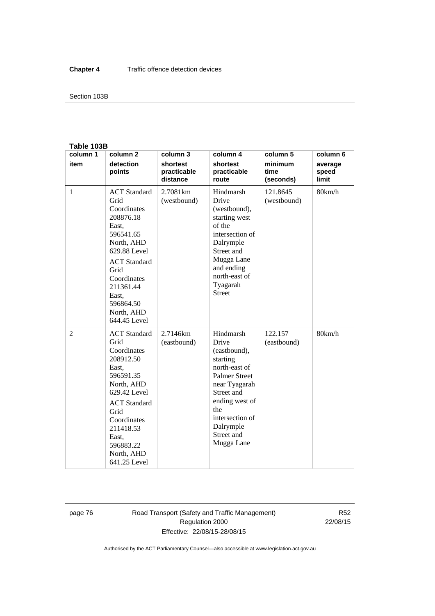#### Section 103B

#### **Table 103B**

| column 1       | column <sub>2</sub>                                                                                                                                                                                                        | column 3                            | column 4                                                                                                                                                                                                    | column 5                     | column 6                  |
|----------------|----------------------------------------------------------------------------------------------------------------------------------------------------------------------------------------------------------------------------|-------------------------------------|-------------------------------------------------------------------------------------------------------------------------------------------------------------------------------------------------------------|------------------------------|---------------------------|
| item           | detection<br>points                                                                                                                                                                                                        | shortest<br>practicable<br>distance | shortest<br>practicable<br>route                                                                                                                                                                            | minimum<br>time<br>(seconds) | average<br>speed<br>limit |
| $\mathbf{1}$   | <b>ACT</b> Standard<br>Grid<br>Coordinates<br>208876.18<br>East,<br>596541.65<br>North, AHD<br>629.88 Level<br><b>ACT</b> Standard<br>Grid<br>Coordinates<br>211361.44<br>East.<br>596864.50<br>North, AHD<br>644.45 Level | 2.7081km<br>(westbound)             | Hindmarsh<br>Drive<br>(westbound),<br>starting west<br>of the<br>intersection of<br>Dalrymple<br>Street and<br>Mugga Lane<br>and ending<br>north-east of<br>Tyagarah<br><b>Street</b>                       | 121.8645<br>(westbound)      | 80km/h                    |
| $\overline{2}$ | <b>ACT</b> Standard<br>Grid<br>Coordinates<br>208912.50<br>East,<br>596591.35<br>North, AHD<br>629.42 Level<br><b>ACT</b> Standard<br>Grid<br>Coordinates<br>211418.53<br>East,<br>596883.22<br>North, AHD<br>641.25 Level | 2.7146km<br>(eastbound)             | Hindmarsh<br>Drive<br>(eastbound),<br>starting<br>north-east of<br><b>Palmer Street</b><br>near Tyagarah<br>Street and<br>ending west of<br>the<br>intersection of<br>Dalrymple<br>Street and<br>Mugga Lane | 122.157<br>(eastbound)       | 80km/h                    |

page 76 Road Transport (Safety and Traffic Management) Regulation 2000 Effective: 22/08/15-28/08/15

R52 22/08/15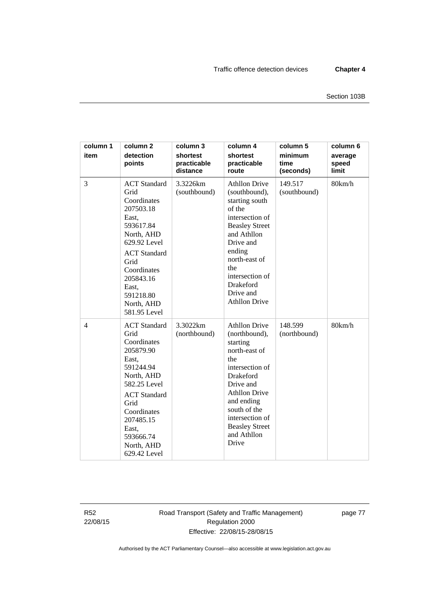| column 1<br>item | column <sub>2</sub><br>detection<br>points                                                                                                                                                                                 | column 3<br>shortest<br>practicable<br>distance | column 4<br>shortest<br>practicable<br>route                                                                                                                                                                                                            | column 5<br>minimum<br>time<br>(seconds) | column 6<br>average<br>speed<br>limit |
|------------------|----------------------------------------------------------------------------------------------------------------------------------------------------------------------------------------------------------------------------|-------------------------------------------------|---------------------------------------------------------------------------------------------------------------------------------------------------------------------------------------------------------------------------------------------------------|------------------------------------------|---------------------------------------|
| 3                | <b>ACT</b> Standard<br>Grid<br>Coordinates<br>207503.18<br>East,<br>593617.84<br>North, AHD<br>629.92 Level<br><b>ACT</b> Standard<br>Grid<br>Coordinates<br>205843.16<br>East,<br>591218.80<br>North, AHD<br>581.95 Level | 3.3226km<br>(southbound)                        | <b>Athllon Drive</b><br>(southbound),<br>starting south<br>of the<br>intersection of<br><b>Beasley Street</b><br>and Athllon<br>Drive and<br>ending<br>north-east of<br>the<br>intersection of<br>Drakeford<br>Drive and<br><b>Athllon Drive</b>        | 149.517<br>(southbound)                  | 80km/h                                |
| $\overline{4}$   | <b>ACT</b> Standard<br>Grid<br>Coordinates<br>205879.90<br>East,<br>591244.94<br>North, AHD<br>582.25 Level<br><b>ACT</b> Standard<br>Grid<br>Coordinates<br>207485.15<br>East,<br>593666.74<br>North, AHD<br>629.42 Level | 3.3022km<br>(northbound)                        | <b>Athllon Drive</b><br>(northbound),<br>starting<br>north-east of<br>the<br>intersection of<br><b>Drakeford</b><br>Drive and<br><b>Athllon Drive</b><br>and ending<br>south of the<br>intersection of<br><b>Beasley Street</b><br>and Athllon<br>Drive | 148.599<br>(northbound)                  | 80km/h                                |

R52 22/08/15 Road Transport (Safety and Traffic Management) Regulation 2000 Effective: 22/08/15-28/08/15

page 77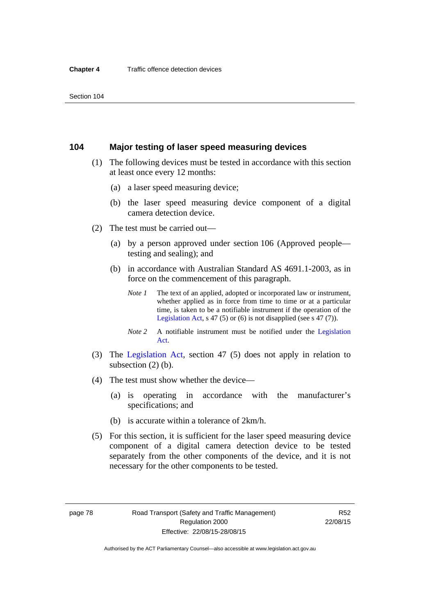#### **104 Major testing of laser speed measuring devices**

- (1) The following devices must be tested in accordance with this section at least once every 12 months:
	- (a) a laser speed measuring device;
	- (b) the laser speed measuring device component of a digital camera detection device.
- (2) The test must be carried out—
	- (a) by a person approved under section 106 (Approved people testing and sealing); and
	- (b) in accordance with Australian Standard AS 4691.1-2003, as in force on the commencement of this paragraph.
		- *Note 1* The text of an applied, adopted or incorporated law or instrument, whether applied as in force from time to time or at a particular time, is taken to be a notifiable instrument if the operation of the [Legislation Act,](http://www.legislation.act.gov.au/a/2001-14) s 47 (5) or (6) is not disapplied (see s 47 (7)).
		- *Note 2* A notifiable instrument must be notified under the [Legislation](http://www.legislation.act.gov.au/a/2001-14)  [Act](http://www.legislation.act.gov.au/a/2001-14).
- (3) The [Legislation Act,](http://www.legislation.act.gov.au/a/2001-14) section 47 (5) does not apply in relation to subsection (2) (b).
- (4) The test must show whether the device—
	- (a) is operating in accordance with the manufacturer's specifications; and
	- (b) is accurate within a tolerance of 2km/h.
- (5) For this section, it is sufficient for the laser speed measuring device component of a digital camera detection device to be tested separately from the other components of the device, and it is not necessary for the other components to be tested.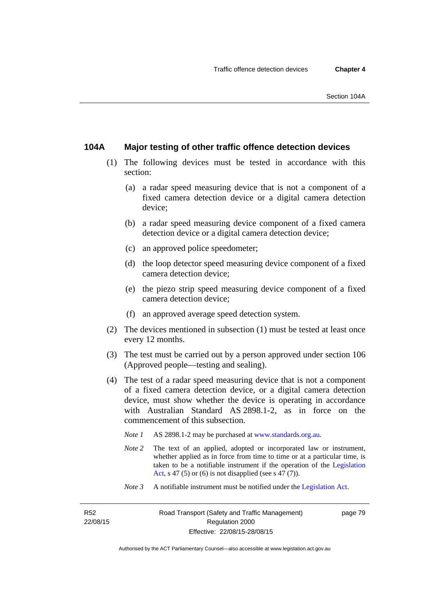### **104A Major testing of other traffic offence detection devices**

- (1) The following devices must be tested in accordance with this section:
	- (a) a radar speed measuring device that is not a component of a fixed camera detection device or a digital camera detection device;
	- (b) a radar speed measuring device component of a fixed camera detection device or a digital camera detection device;
	- (c) an approved police speedometer;
	- (d) the loop detector speed measuring device component of a fixed camera detection device;
	- (e) the piezo strip speed measuring device component of a fixed camera detection device;
	- (f) an approved average speed detection system.
- (2) The devices mentioned in subsection (1) must be tested at least once every 12 months.
- (3) The test must be carried out by a person approved under section 106 (Approved people—testing and sealing).
- (4) The test of a radar speed measuring device that is not a component of a fixed camera detection device, or a digital camera detection device, must show whether the device is operating in accordance with Australian Standard AS 2898.1-2, as in force on the commencement of this subsection.
	- *Note 1* AS 2898.1-2 may be purchased at [www.standards.org.au](http://www.standards.org.au/Pages/default.aspx)*.*
	- *Note* 2 The text of an applied, adopted or incorporated law or instrument, whether applied as in force from time to time or at a particular time, is taken to be a notifiable instrument if the operation of the [Legislation](http://www.legislation.act.gov.au/a/2001-14)  [Act,](http://www.legislation.act.gov.au/a/2001-14) s 47 (5) or (6) is not disapplied (see s 47 (7)).
	- *Note 3* A notifiable instrument must be notified under the [Legislation Act](http://www.legislation.act.gov.au/a/2001-14).

R52 22/08/15 page 79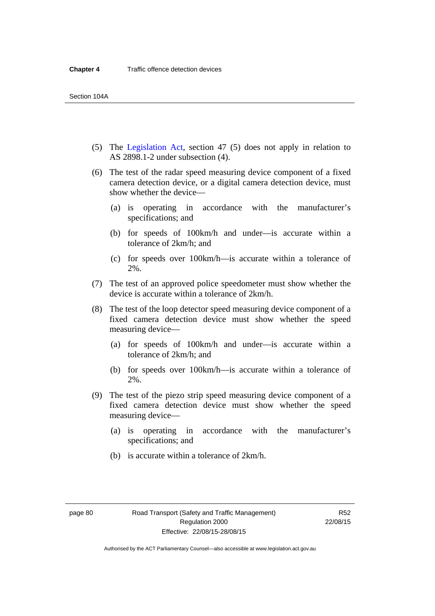- (5) The [Legislation Act,](http://www.legislation.act.gov.au/a/2001-14) section 47 (5) does not apply in relation to AS 2898.1-2 under subsection (4).
- (6) The test of the radar speed measuring device component of a fixed camera detection device, or a digital camera detection device, must show whether the device—
	- (a) is operating in accordance with the manufacturer's specifications; and
	- (b) for speeds of 100km/h and under—is accurate within a tolerance of 2km/h; and
	- (c) for speeds over 100km/h—is accurate within a tolerance of 2%.
- (7) The test of an approved police speedometer must show whether the device is accurate within a tolerance of 2km/h.
- (8) The test of the loop detector speed measuring device component of a fixed camera detection device must show whether the speed measuring device—
	- (a) for speeds of 100km/h and under—is accurate within a tolerance of 2km/h; and
	- (b) for speeds over 100km/h—is accurate within a tolerance of 2%.
- (9) The test of the piezo strip speed measuring device component of a fixed camera detection device must show whether the speed measuring device—
	- (a) is operating in accordance with the manufacturer's specifications; and
	- (b) is accurate within a tolerance of 2km/h.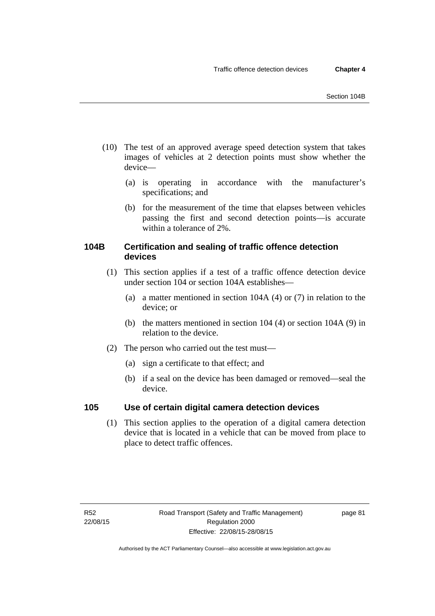- (10) The test of an approved average speed detection system that takes images of vehicles at 2 detection points must show whether the device—
	- (a) is operating in accordance with the manufacturer's specifications; and
	- (b) for the measurement of the time that elapses between vehicles passing the first and second detection points—is accurate within a tolerance of 2%.

# **104B Certification and sealing of traffic offence detection devices**

- (1) This section applies if a test of a traffic offence detection device under section 104 or section 104A establishes—
	- (a) a matter mentioned in section 104A (4) or (7) in relation to the device; or
	- (b) the matters mentioned in section 104 (4) or section 104A (9) in relation to the device.
- (2) The person who carried out the test must—
	- (a) sign a certificate to that effect; and
	- (b) if a seal on the device has been damaged or removed—seal the device.

# **105 Use of certain digital camera detection devices**

(1) This section applies to the operation of a digital camera detection device that is located in a vehicle that can be moved from place to place to detect traffic offences.

page 81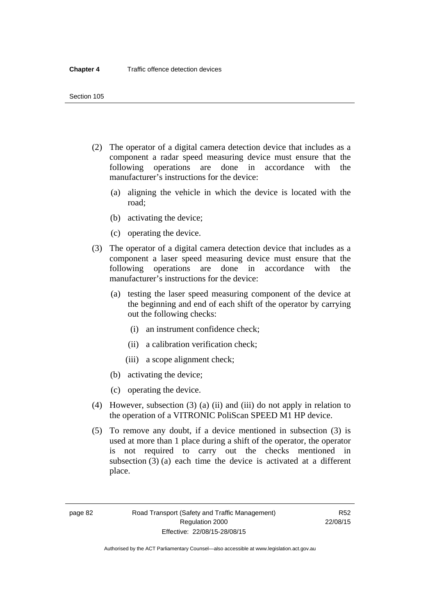- (2) The operator of a digital camera detection device that includes as a component a radar speed measuring device must ensure that the following operations are done in accordance with the manufacturer's instructions for the device:
	- (a) aligning the vehicle in which the device is located with the road;
	- (b) activating the device;
	- (c) operating the device.
- (3) The operator of a digital camera detection device that includes as a component a laser speed measuring device must ensure that the following operations are done in accordance with the manufacturer's instructions for the device:
	- (a) testing the laser speed measuring component of the device at the beginning and end of each shift of the operator by carrying out the following checks:
		- (i) an instrument confidence check;
		- (ii) a calibration verification check;
		- (iii) a scope alignment check;
	- (b) activating the device;
	- (c) operating the device.
- (4) However, subsection (3) (a) (ii) and (iii) do not apply in relation to the operation of a VITRONIC PoliScan SPEED M1 HP device.
- (5) To remove any doubt, if a device mentioned in subsection (3) is used at more than 1 place during a shift of the operator, the operator is not required to carry out the checks mentioned in subsection (3) (a) each time the device is activated at a different place.

page 82 Road Transport (Safety and Traffic Management) Regulation 2000 Effective: 22/08/15-28/08/15

R52 22/08/15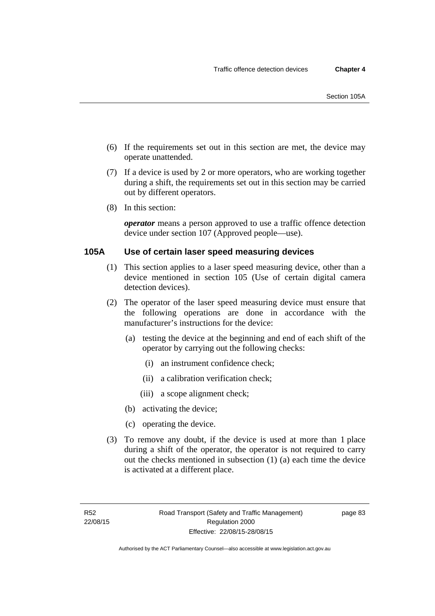- (6) If the requirements set out in this section are met, the device may operate unattended.
- (7) If a device is used by 2 or more operators, who are working together during a shift, the requirements set out in this section may be carried out by different operators.
- (8) In this section:

*operator* means a person approved to use a traffic offence detection device under section 107 (Approved people—use).

#### **105A Use of certain laser speed measuring devices**

- (1) This section applies to a laser speed measuring device, other than a device mentioned in section 105 (Use of certain digital camera detection devices).
- (2) The operator of the laser speed measuring device must ensure that the following operations are done in accordance with the manufacturer's instructions for the device:
	- (a) testing the device at the beginning and end of each shift of the operator by carrying out the following checks:
		- (i) an instrument confidence check;
		- (ii) a calibration verification check;
		- (iii) a scope alignment check;
	- (b) activating the device;
	- (c) operating the device.
- (3) To remove any doubt, if the device is used at more than 1 place during a shift of the operator, the operator is not required to carry out the checks mentioned in subsection (1) (a) each time the device is activated at a different place.

page 83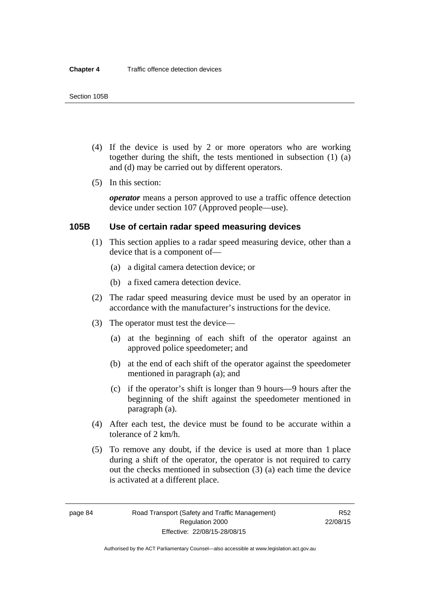- (4) If the device is used by 2 or more operators who are working together during the shift, the tests mentioned in subsection (1) (a) and (d) may be carried out by different operators.
- (5) In this section:

*operator* means a person approved to use a traffic offence detection device under section 107 (Approved people—use).

#### **105B Use of certain radar speed measuring devices**

- (1) This section applies to a radar speed measuring device, other than a device that is a component of—
	- (a) a digital camera detection device; or
	- (b) a fixed camera detection device.
- (2) The radar speed measuring device must be used by an operator in accordance with the manufacturer's instructions for the device.
- (3) The operator must test the device—
	- (a) at the beginning of each shift of the operator against an approved police speedometer; and
	- (b) at the end of each shift of the operator against the speedometer mentioned in paragraph (a); and
	- (c) if the operator's shift is longer than 9 hours—9 hours after the beginning of the shift against the speedometer mentioned in paragraph (a).
- (4) After each test, the device must be found to be accurate within a tolerance of 2 km/h.
- (5) To remove any doubt, if the device is used at more than 1 place during a shift of the operator, the operator is not required to carry out the checks mentioned in subsection (3) (a) each time the device is activated at a different place.

page 84 Road Transport (Safety and Traffic Management) Regulation 2000 Effective: 22/08/15-28/08/15

R52 22/08/15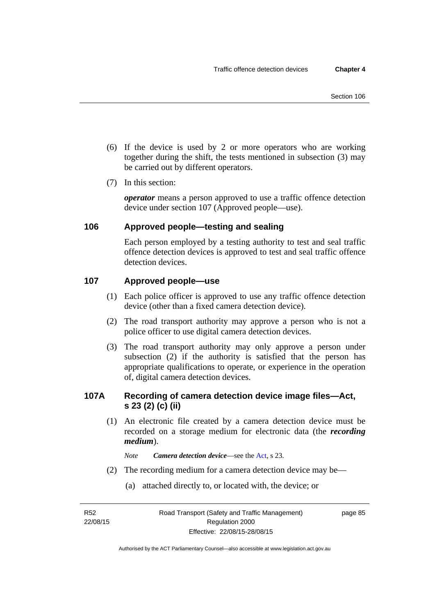- (6) If the device is used by 2 or more operators who are working together during the shift, the tests mentioned in subsection (3) may be carried out by different operators.
- (7) In this section:

*operator* means a person approved to use a traffic offence detection device under section 107 (Approved people—use).

# **106 Approved people—testing and sealing**

Each person employed by a testing authority to test and seal traffic offence detection devices is approved to test and seal traffic offence detection devices.

# **107 Approved people—use**

- (1) Each police officer is approved to use any traffic offence detection device (other than a fixed camera detection device).
- (2) The road transport authority may approve a person who is not a police officer to use digital camera detection devices.
- (3) The road transport authority may only approve a person under subsection (2) if the authority is satisfied that the person has appropriate qualifications to operate, or experience in the operation of, digital camera detection devices.

# **107A Recording of camera detection device image files—Act, s 23 (2) (c) (ii)**

(1) An electronic file created by a camera detection device must be recorded on a storage medium for electronic data (the *recording medium*).

*Note Camera detection device*—see the [Act](http://www.legislation.act.gov.au/a/1999-80/default.asp), s 23.

- (2) The recording medium for a camera detection device may be—
	- (a) attached directly to, or located with, the device; or

R52 22/08/15 page 85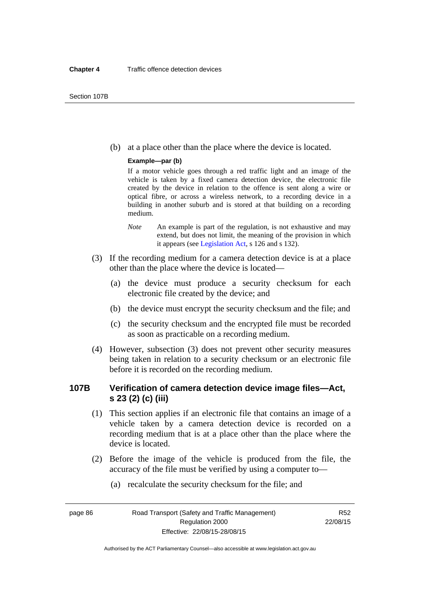(b) at a place other than the place where the device is located.

#### **Example—par (b)**

If a motor vehicle goes through a red traffic light and an image of the vehicle is taken by a fixed camera detection device, the electronic file created by the device in relation to the offence is sent along a wire or optical fibre, or across a wireless network, to a recording device in a building in another suburb and is stored at that building on a recording medium.

- *Note* An example is part of the regulation, is not exhaustive and may extend, but does not limit, the meaning of the provision in which it appears (see [Legislation Act,](http://www.legislation.act.gov.au/a/2001-14) s 126 and s 132).
- (3) If the recording medium for a camera detection device is at a place other than the place where the device is located—
	- (a) the device must produce a security checksum for each electronic file created by the device; and
	- (b) the device must encrypt the security checksum and the file; and
	- (c) the security checksum and the encrypted file must be recorded as soon as practicable on a recording medium.
- (4) However, subsection (3) does not prevent other security measures being taken in relation to a security checksum or an electronic file before it is recorded on the recording medium.

# **107B Verification of camera detection device image files—Act, s 23 (2) (c) (iii)**

- (1) This section applies if an electronic file that contains an image of a vehicle taken by a camera detection device is recorded on a recording medium that is at a place other than the place where the device is located.
- (2) Before the image of the vehicle is produced from the file, the accuracy of the file must be verified by using a computer to—
	- (a) recalculate the security checksum for the file; and

page 86 Road Transport (Safety and Traffic Management) Regulation 2000 Effective: 22/08/15-28/08/15

R52 22/08/15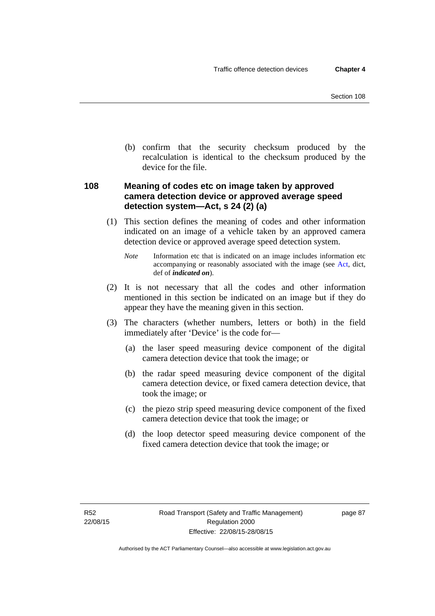(b) confirm that the security checksum produced by the recalculation is identical to the checksum produced by the device for the file.

# **108 Meaning of codes etc on image taken by approved camera detection device or approved average speed detection system—Act, s 24 (2) (a)**

(1) This section defines the meaning of codes and other information indicated on an image of a vehicle taken by an approved camera detection device or approved average speed detection system.

*Note* Information etc that is indicated on an image includes information etc accompanying or reasonably associated with the image (see [Act,](http://www.legislation.act.gov.au/a/1999-80/default.asp) dict, def of *indicated on*).

- (2) It is not necessary that all the codes and other information mentioned in this section be indicated on an image but if they do appear they have the meaning given in this section.
- (3) The characters (whether numbers, letters or both) in the field immediately after 'Device' is the code for—
	- (a) the laser speed measuring device component of the digital camera detection device that took the image; or
	- (b) the radar speed measuring device component of the digital camera detection device, or fixed camera detection device, that took the image; or
	- (c) the piezo strip speed measuring device component of the fixed camera detection device that took the image; or
	- (d) the loop detector speed measuring device component of the fixed camera detection device that took the image; or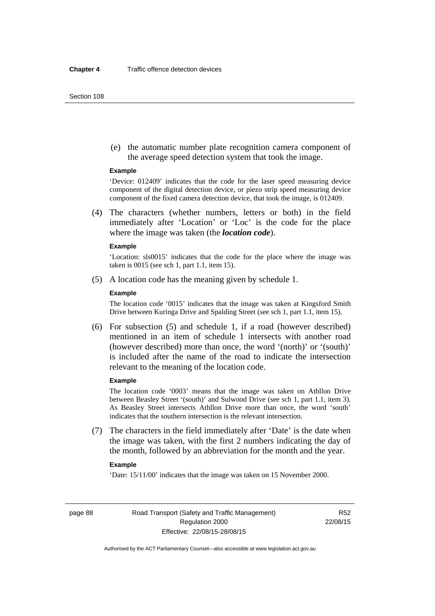(e) the automatic number plate recognition camera component of the average speed detection system that took the image.

#### **Example**

'Device: 012409' indicates that the code for the laser speed measuring device component of the digital detection device, or piezo strip speed measuring device component of the fixed camera detection device, that took the image, is 012409.

 (4) The characters (whether numbers, letters or both) in the field immediately after 'Location' or 'Loc' is the code for the place where the image was taken (the *location code*).

#### **Example**

'Location: sls0015' indicates that the code for the place where the image was taken is 0015 (see sch 1, part 1.1, item 15).

(5) A location code has the meaning given by schedule 1.

#### **Example**

The location code '0015' indicates that the image was taken at Kingsford Smith Drive between Kuringa Drive and Spalding Street (see sch 1, part 1.1, item 15).

 (6) For subsection (5) and schedule 1, if a road (however described) mentioned in an item of schedule 1 intersects with another road (however described) more than once, the word '(north)' or '(south)' is included after the name of the road to indicate the intersection relevant to the meaning of the location code.

#### **Example**

The location code '0003' means that the image was taken on Athllon Drive between Beasley Street '(south)' and Sulwood Drive (see sch 1, part 1.1, item 3). As Beasley Street intersects Athllon Drive more than once, the word 'south' indicates that the southern intersection is the relevant intersection.

 (7) The characters in the field immediately after 'Date' is the date when the image was taken, with the first 2 numbers indicating the day of the month, followed by an abbreviation for the month and the year.

#### **Example**

'Date: 15/11/00' indicates that the image was taken on 15 November 2000.

page 88 Road Transport (Safety and Traffic Management) Regulation 2000 Effective: 22/08/15-28/08/15

R52 22/08/15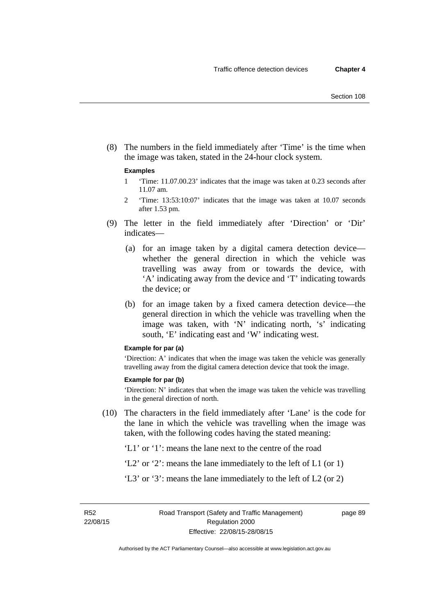(8) The numbers in the field immediately after 'Time' is the time when the image was taken, stated in the 24-hour clock system.

#### **Examples**

- 1 'Time: 11.07.00.23' indicates that the image was taken at 0.23 seconds after 11.07 am.
- 2 'Time: 13:53:10:07' indicates that the image was taken at 10.07 seconds after 1.53 pm.
- (9) The letter in the field immediately after 'Direction' or 'Dir' indicates—
	- (a) for an image taken by a digital camera detection device whether the general direction in which the vehicle was travelling was away from or towards the device, with 'A' indicating away from the device and 'T' indicating towards the device; or
	- (b) for an image taken by a fixed camera detection device—the general direction in which the vehicle was travelling when the image was taken, with 'N' indicating north, 's' indicating south, 'E' indicating east and 'W' indicating west.

#### **Example for par (a)**

'Direction: A' indicates that when the image was taken the vehicle was generally travelling away from the digital camera detection device that took the image.

#### **Example for par (b)**

'Direction: N' indicates that when the image was taken the vehicle was travelling in the general direction of north.

 (10) The characters in the field immediately after 'Lane' is the code for the lane in which the vehicle was travelling when the image was taken, with the following codes having the stated meaning:

'L1' or '1': means the lane next to the centre of the road

- 'L2' or '2': means the lane immediately to the left of L1 (or 1)
- 'L3' or '3': means the lane immediately to the left of L2 (or 2)

R52 22/08/15 page 89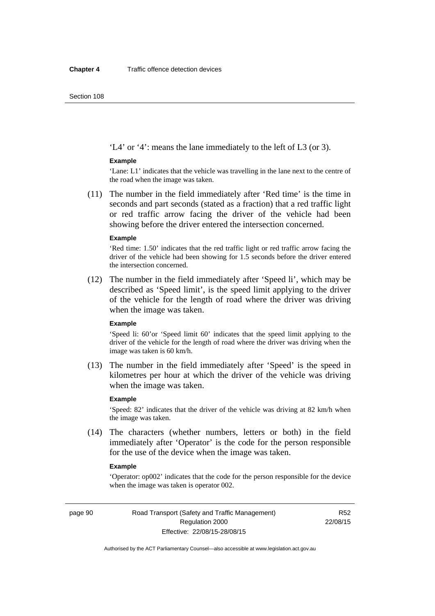'L4' or '4': means the lane immediately to the left of L3 (or 3).

#### **Example**

'Lane: L1' indicates that the vehicle was travelling in the lane next to the centre of the road when the image was taken.

 (11) The number in the field immediately after 'Red time' is the time in seconds and part seconds (stated as a fraction) that a red traffic light or red traffic arrow facing the driver of the vehicle had been showing before the driver entered the intersection concerned.

#### **Example**

'Red time: 1.50' indicates that the red traffic light or red traffic arrow facing the driver of the vehicle had been showing for 1.5 seconds before the driver entered the intersection concerned.

 (12) The number in the field immediately after 'Speed li', which may be described as 'Speed limit', is the speed limit applying to the driver of the vehicle for the length of road where the driver was driving when the image was taken.

#### **Example**

'Speed li: 60'or 'Speed limit 60' indicates that the speed limit applying to the driver of the vehicle for the length of road where the driver was driving when the image was taken is 60 km/h.

 (13) The number in the field immediately after 'Speed' is the speed in kilometres per hour at which the driver of the vehicle was driving when the image was taken.

#### **Example**

'Speed: 82' indicates that the driver of the vehicle was driving at 82 km/h when the image was taken.

 (14) The characters (whether numbers, letters or both) in the field immediately after 'Operator' is the code for the person responsible for the use of the device when the image was taken.

#### **Example**

'Operator: op002' indicates that the code for the person responsible for the device when the image was taken is operator 002.

page 90 Road Transport (Safety and Traffic Management) Regulation 2000 Effective: 22/08/15-28/08/15

R52 22/08/15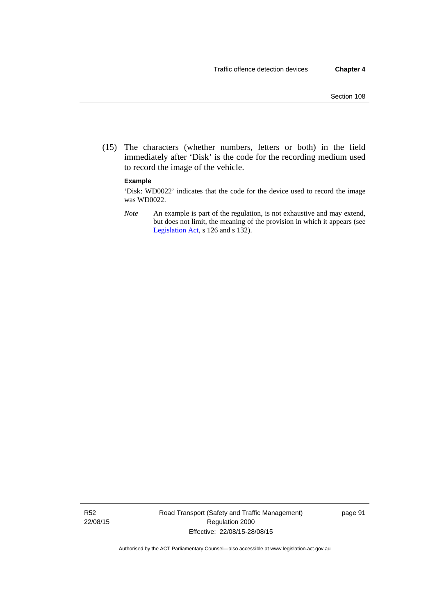(15) The characters (whether numbers, letters or both) in the field immediately after 'Disk' is the code for the recording medium used to record the image of the vehicle.

#### **Example**

'Disk: WD0022' indicates that the code for the device used to record the image was WD0022.

*Note* An example is part of the regulation, is not exhaustive and may extend, but does not limit, the meaning of the provision in which it appears (see [Legislation Act,](http://www.legislation.act.gov.au/a/2001-14) s 126 and s 132).

R52 22/08/15 Road Transport (Safety and Traffic Management) Regulation 2000 Effective: 22/08/15-28/08/15

page 91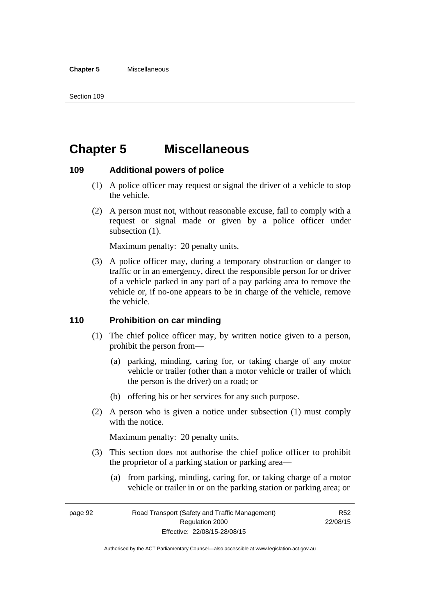# **Chapter 5 Miscellaneous**

# **109 Additional powers of police**

- (1) A police officer may request or signal the driver of a vehicle to stop the vehicle.
- (2) A person must not, without reasonable excuse, fail to comply with a request or signal made or given by a police officer under subsection  $(1)$ .

Maximum penalty: 20 penalty units.

 (3) A police officer may, during a temporary obstruction or danger to traffic or in an emergency, direct the responsible person for or driver of a vehicle parked in any part of a pay parking area to remove the vehicle or, if no-one appears to be in charge of the vehicle, remove the vehicle.

# **110 Prohibition on car minding**

- (1) The chief police officer may, by written notice given to a person, prohibit the person from—
	- (a) parking, minding, caring for, or taking charge of any motor vehicle or trailer (other than a motor vehicle or trailer of which the person is the driver) on a road; or
	- (b) offering his or her services for any such purpose.
- (2) A person who is given a notice under subsection (1) must comply with the notice.

Maximum penalty: 20 penalty units.

- (3) This section does not authorise the chief police officer to prohibit the proprietor of a parking station or parking area—
	- (a) from parking, minding, caring for, or taking charge of a motor vehicle or trailer in or on the parking station or parking area; or

page 92 Road Transport (Safety and Traffic Management) Regulation 2000 Effective: 22/08/15-28/08/15

R52 22/08/15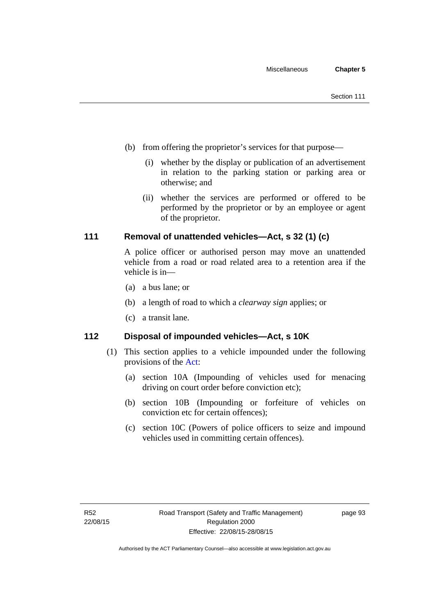- (b) from offering the proprietor's services for that purpose—
	- (i) whether by the display or publication of an advertisement in relation to the parking station or parking area or otherwise; and
	- (ii) whether the services are performed or offered to be performed by the proprietor or by an employee or agent of the proprietor.

# **111 Removal of unattended vehicles—Act, s 32 (1) (c)**

A police officer or authorised person may move an unattended vehicle from a road or road related area to a retention area if the vehicle is in—

- (a) a bus lane; or
- (b) a length of road to which a *clearway sign* applies; or
- (c) a transit lane.

# **112 Disposal of impounded vehicles—Act, s 10K**

- (1) This section applies to a vehicle impounded under the following provisions of the [Act](http://www.legislation.act.gov.au/a/1999-80/default.asp):
	- (a) section 10A (Impounding of vehicles used for menacing driving on court order before conviction etc);
	- (b) section 10B (Impounding or forfeiture of vehicles on conviction etc for certain offences);
	- (c) section 10C (Powers of police officers to seize and impound vehicles used in committing certain offences).

page 93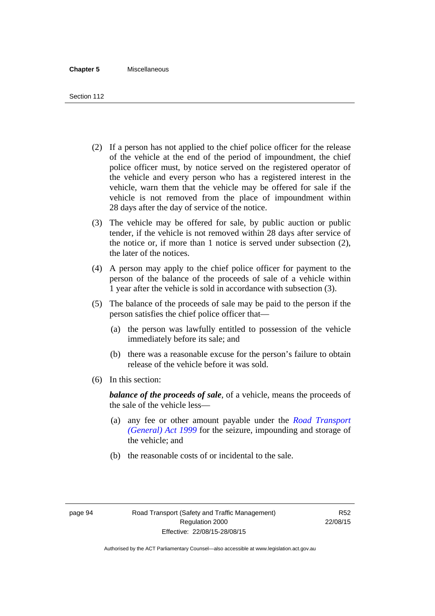- (2) If a person has not applied to the chief police officer for the release of the vehicle at the end of the period of impoundment, the chief police officer must, by notice served on the registered operator of the vehicle and every person who has a registered interest in the vehicle, warn them that the vehicle may be offered for sale if the vehicle is not removed from the place of impoundment within 28 days after the day of service of the notice.
- (3) The vehicle may be offered for sale, by public auction or public tender, if the vehicle is not removed within 28 days after service of the notice or, if more than 1 notice is served under subsection (2), the later of the notices.
- (4) A person may apply to the chief police officer for payment to the person of the balance of the proceeds of sale of a vehicle within 1 year after the vehicle is sold in accordance with subsection (3).
- (5) The balance of the proceeds of sale may be paid to the person if the person satisfies the chief police officer that—
	- (a) the person was lawfully entitled to possession of the vehicle immediately before its sale; and
	- (b) there was a reasonable excuse for the person's failure to obtain release of the vehicle before it was sold.
- (6) In this section:

*balance of the proceeds of sale*, of a vehicle, means the proceeds of the sale of the vehicle less—

- (a) any fee or other amount payable under the *[Road Transport](http://www.legislation.act.gov.au/a/1999-77)  [\(General\) Act 1999](http://www.legislation.act.gov.au/a/1999-77)* for the seizure, impounding and storage of the vehicle; and
- (b) the reasonable costs of or incidental to the sale.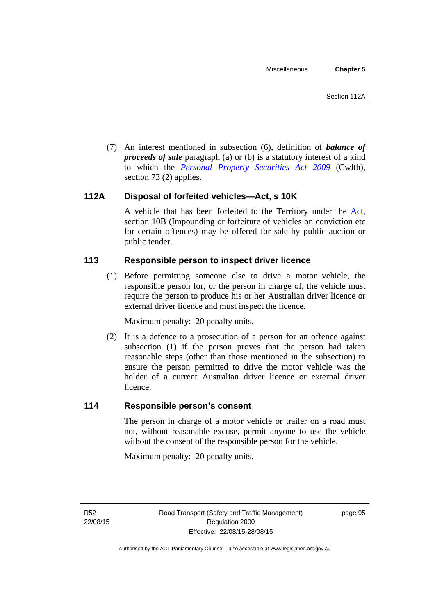(7) An interest mentioned in subsection (6), definition of *balance of proceeds of sale* paragraph (a) or (b) is a statutory interest of a kind to which the *[Personal Property Securities Act 2009](http://www.comlaw.gov.au/Series/C2009A00130)* (Cwlth), section 73 (2) applies.

# **112A Disposal of forfeited vehicles—Act, s 10K**

A vehicle that has been forfeited to the Territory under the [Act](http://www.legislation.act.gov.au/a/1999-80/default.asp), section 10B (Impounding or forfeiture of vehicles on conviction etc for certain offences) may be offered for sale by public auction or public tender.

# **113 Responsible person to inspect driver licence**

(1) Before permitting someone else to drive a motor vehicle, the responsible person for, or the person in charge of, the vehicle must require the person to produce his or her Australian driver licence or external driver licence and must inspect the licence.

Maximum penalty: 20 penalty units.

 (2) It is a defence to a prosecution of a person for an offence against subsection (1) if the person proves that the person had taken reasonable steps (other than those mentioned in the subsection) to ensure the person permitted to drive the motor vehicle was the holder of a current Australian driver licence or external driver licence.

# **114 Responsible person's consent**

The person in charge of a motor vehicle or trailer on a road must not, without reasonable excuse, permit anyone to use the vehicle without the consent of the responsible person for the vehicle.

Maximum penalty: 20 penalty units.

R52 22/08/15 page 95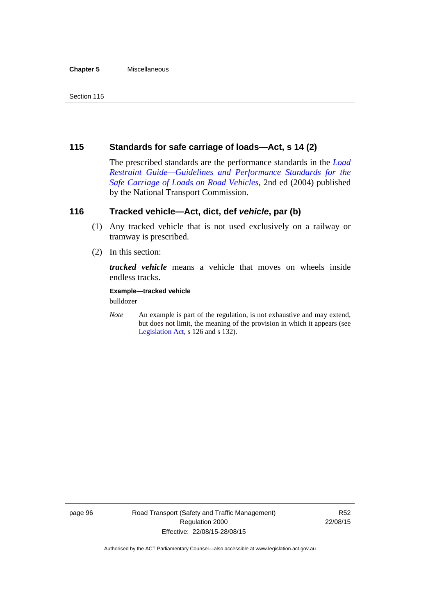#### **Chapter 5** Miscellaneous

# **115 Standards for safe carriage of loads—Act, s 14 (2)**

The prescribed standards are the performance standards in the *[Load](http://www.ntc.gov.au/viewpage.aspx?documentid=862)  [Restraint Guide—Guidelines and Performance Standards for the](http://www.ntc.gov.au/viewpage.aspx?documentid=862)  [Safe Carriage of Loads on Road Vehicles](http://www.ntc.gov.au/viewpage.aspx?documentid=862)*, 2nd ed (2004) published by the National Transport Commission.

# **116 Tracked vehicle—Act, dict, def** *vehicle***, par (b)**

- (1) Any tracked vehicle that is not used exclusively on a railway or tramway is prescribed.
- (2) In this section:

*tracked vehicle* means a vehicle that moves on wheels inside endless tracks.

#### **Example—tracked vehicle**

bulldozer

*Note* An example is part of the regulation, is not exhaustive and may extend, but does not limit, the meaning of the provision in which it appears (see [Legislation Act,](http://www.legislation.act.gov.au/a/2001-14) s 126 and s 132).

page 96 Road Transport (Safety and Traffic Management) Regulation 2000 Effective: 22/08/15-28/08/15

R52 22/08/15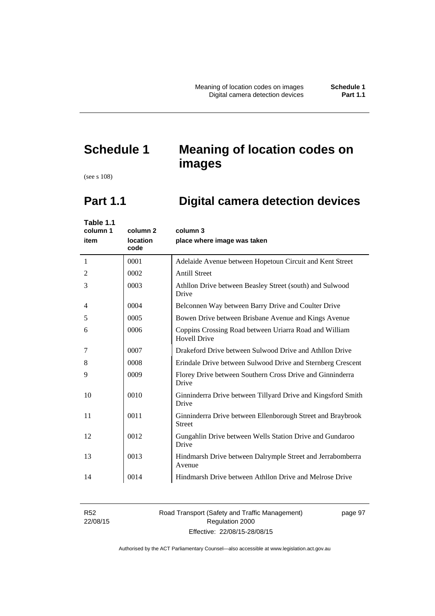# **Schedule 1 Meaning of location codes on images**

(see s 108)

# **Part 1.1 Digital camera detection devices**

| Table 1.1<br>column 1<br>item | column 2<br>location<br>code | column 3<br>place where image was taken                                       |
|-------------------------------|------------------------------|-------------------------------------------------------------------------------|
| 1                             | 0001                         | Adelaide Avenue between Hopetoun Circuit and Kent Street                      |
| 2                             | 0002                         | <b>Antill Street</b>                                                          |
| 3                             | 0003                         | Athllon Drive between Beasley Street (south) and Sulwood<br>Drive             |
| 4                             | 0004                         | Belconnen Way between Barry Drive and Coulter Drive                           |
| 5                             | 0005                         | Bowen Drive between Brisbane Avenue and Kings Avenue                          |
| 6                             | 0006                         | Coppins Crossing Road between Uriarra Road and William<br><b>Hovell Drive</b> |
| 7                             | 0007                         | Drakeford Drive between Sulwood Drive and Athllon Drive                       |
| 8                             | 0008                         | Erindale Drive between Sulwood Drive and Sternberg Crescent                   |
| 9                             | 0009                         | Florey Drive between Southern Cross Drive and Ginninderra<br>Drive            |
| 10                            | 0010                         | Ginninderra Drive between Tillyard Drive and Kingsford Smith<br>Drive         |
| 11                            | 0011                         | Ginninderra Drive between Ellenborough Street and Braybrook<br><b>Street</b>  |
| 12                            | 0012                         | Gungahlin Drive between Wells Station Drive and Gundaroo<br>Drive             |
| 13                            | 0013                         | Hindmarsh Drive between Dalrymple Street and Jerrabomberra<br>Avenue          |
| 14                            | 0014                         | Hindmarsh Drive between Athllon Drive and Melrose Drive                       |

R52 22/08/15 Road Transport (Safety and Traffic Management) Regulation 2000 Effective: 22/08/15-28/08/15

page 97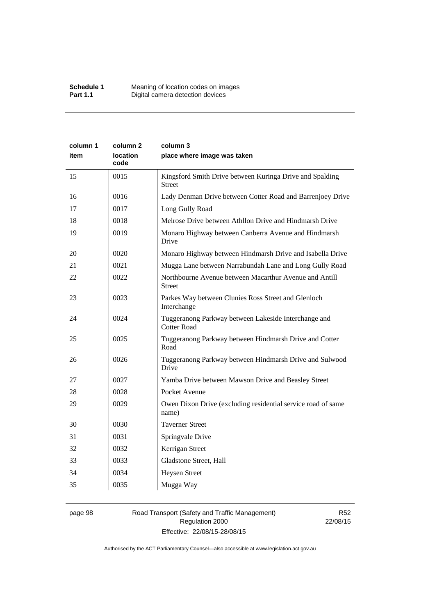| column 1<br>item | column 2<br><b>location</b><br>code | column 3<br>place where image was taken                                    |
|------------------|-------------------------------------|----------------------------------------------------------------------------|
| 15               | 0015                                | Kingsford Smith Drive between Kuringa Drive and Spalding<br><b>Street</b>  |
| 16               | 0016                                | Lady Denman Drive between Cotter Road and Barrenjoey Drive                 |
| 17               | 0017                                | Long Gully Road                                                            |
| 18               | 0018                                | Melrose Drive between Athllon Drive and Hindmarsh Drive                    |
| 19               | 0019                                | Monaro Highway between Canberra Avenue and Hindmarsh<br>Drive              |
| 20               | 0020                                | Monaro Highway between Hindmarsh Drive and Isabella Drive                  |
| 21               | 0021                                | Mugga Lane between Narrabundah Lane and Long Gully Road                    |
| 22               | 0022                                | Northbourne Avenue between Macarthur Avenue and Antill<br><b>Street</b>    |
| 23               | 0023                                | Parkes Way between Clunies Ross Street and Glenloch<br>Interchange         |
| 24               | 0024                                | Tuggeranong Parkway between Lakeside Interchange and<br><b>Cotter Road</b> |
| 25               | 0025                                | Tuggeranong Parkway between Hindmarsh Drive and Cotter<br>Road             |
| 26               | 0026                                | Tuggeranong Parkway between Hindmarsh Drive and Sulwood<br>Drive           |
| 27               | 0027                                | Yamba Drive between Mawson Drive and Beasley Street                        |
| 28               | 0028                                | Pocket Avenue                                                              |
| 29               | 0029                                | Owen Dixon Drive (excluding residential service road of same<br>name)      |
| 30               | 0030                                | <b>Taverner Street</b>                                                     |
| 31               | 0031                                | Springvale Drive                                                           |
| 32               | 0032                                | Kerrigan Street                                                            |
| 33               | 0033                                | Gladstone Street, Hall                                                     |
| 34               | 0034                                | <b>Heysen Street</b>                                                       |
| 35               | 0035                                | Mugga Way                                                                  |

# page 98 Road Transport (Safety and Traffic Management) Regulation 2000 Effective: 22/08/15-28/08/15

R52 22/08/15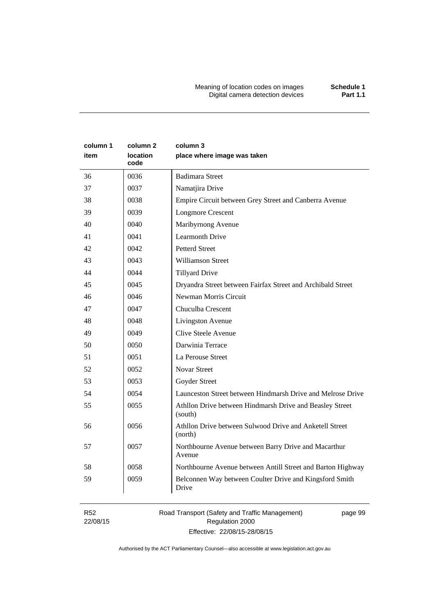Meaning of location codes on images **Schedule 1** Digital camera detection devices **Part 1.1** 

| column 1<br>item | column 2<br>location<br>code | column 3<br>place where image was taken                             |
|------------------|------------------------------|---------------------------------------------------------------------|
| 36               | 0036                         | <b>Badimara Street</b>                                              |
| 37               | 0037                         | Namatjira Drive                                                     |
| 38               | 0038                         | Empire Circuit between Grey Street and Canberra Avenue              |
| 39               | 0039                         | <b>Longmore Crescent</b>                                            |
| 40               | 0040                         | Maribyrnong Avenue                                                  |
| 41               | 0041                         | <b>Learmonth Drive</b>                                              |
| 42               | 0042                         | <b>Petterd Street</b>                                               |
| 43               | 0043                         | <b>Williamson Street</b>                                            |
| 44               | 0044                         | <b>Tillyard Drive</b>                                               |
| 45               | 0045                         | Dryandra Street between Fairfax Street and Archibald Street         |
| 46               | 0046                         | Newman Morris Circuit                                               |
| 47               | 0047                         | Chuculba Crescent                                                   |
| 48               | 0048                         | Livingston Avenue                                                   |
| 49               | 0049                         | Clive Steele Avenue                                                 |
| 50               | 0050                         | Darwinia Terrace                                                    |
| 51               | 0051                         | La Perouse Street                                                   |
| 52               | 0052                         | <b>Novar Street</b>                                                 |
| 53               | 0053                         | Goyder Street                                                       |
| 54               | 0054                         | Launceston Street between Hindmarsh Drive and Melrose Drive         |
| 55               | 0055                         | Athllon Drive between Hindmarsh Drive and Beasley Street<br>(south) |
| 56               | 0056                         | Athllon Drive between Sulwood Drive and Anketell Street<br>(north)  |
| 57               | 0057                         | Northbourne Avenue between Barry Drive and Macarthur<br>Avenue      |
| 58               | 0058                         | Northbourne Avenue between Antill Street and Barton Highway         |
| 59               | 0059                         | Belconnen Way between Coulter Drive and Kingsford Smith<br>Drive    |

R52 22/08/15 Road Transport (Safety and Traffic Management) Regulation 2000 Effective: 22/08/15-28/08/15

page 99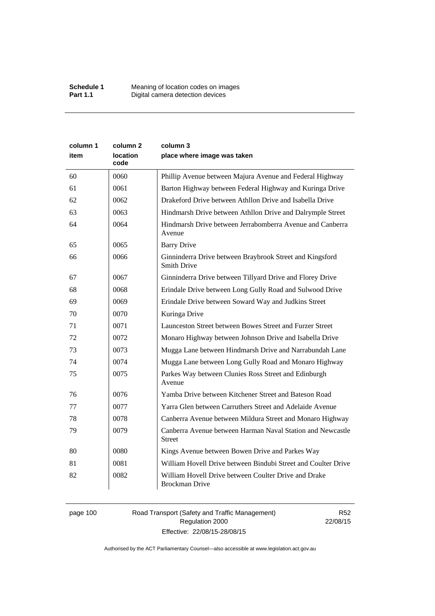| column 1<br>item | column <sub>2</sub><br><b>location</b><br>code | column 3<br>place where image was taken                                        |
|------------------|------------------------------------------------|--------------------------------------------------------------------------------|
| 60               | 0060                                           | Phillip Avenue between Majura Avenue and Federal Highway                       |
| 61               | 0061                                           | Barton Highway between Federal Highway and Kuringa Drive                       |
| 62               | 0062                                           | Drakeford Drive between Athllon Drive and Isabella Drive                       |
| 63               | 0063                                           | Hindmarsh Drive between Athllon Drive and Dalrymple Street                     |
| 64               | 0064                                           | Hindmarsh Drive between Jerrabomberra Avenue and Canberra<br>Avenue            |
| 65               | 0065                                           | <b>Barry Drive</b>                                                             |
| 66               | 0066                                           | Ginninderra Drive between Braybrook Street and Kingsford<br><b>Smith Drive</b> |
| 67               | 0067                                           | Ginninderra Drive between Tillyard Drive and Florey Drive                      |
| 68               | 0068                                           | Erindale Drive between Long Gully Road and Sulwood Drive                       |
| 69               | 0069                                           | Erindale Drive between Soward Way and Judkins Street                           |
| 70               | 0070                                           | Kuringa Drive                                                                  |
| 71               | 0071                                           | Launceston Street between Bowes Street and Furzer Street                       |
| 72               | 0072                                           | Monaro Highway between Johnson Drive and Isabella Drive                        |
| 73               | 0073                                           | Mugga Lane between Hindmarsh Drive and Narrabundah Lane                        |
| 74               | 0074                                           | Mugga Lane between Long Gully Road and Monaro Highway                          |
| 75               | 0075                                           | Parkes Way between Clunies Ross Street and Edinburgh<br>Avenue                 |
| 76               | 0076                                           | Yamba Drive between Kitchener Street and Bateson Road                          |
| 77               | 0077                                           | Yarra Glen between Carruthers Street and Adelaide Avenue                       |
| 78               | 0078                                           | Canberra Avenue between Mildura Street and Monaro Highway                      |
| 79               | 0079                                           | Canberra Avenue between Harman Naval Station and Newcastle<br><b>Street</b>    |
| 80               | 0080                                           | Kings Avenue between Bowen Drive and Parkes Way                                |
| 81               | 0081                                           | William Hovell Drive between Bindubi Street and Coulter Drive                  |
| 82               | 0082                                           | William Hovell Drive between Coulter Drive and Drake<br><b>Brockman Drive</b>  |

page 100 Road Transport (Safety and Traffic Management) Regulation 2000 Effective: 22/08/15-28/08/15

R52 22/08/15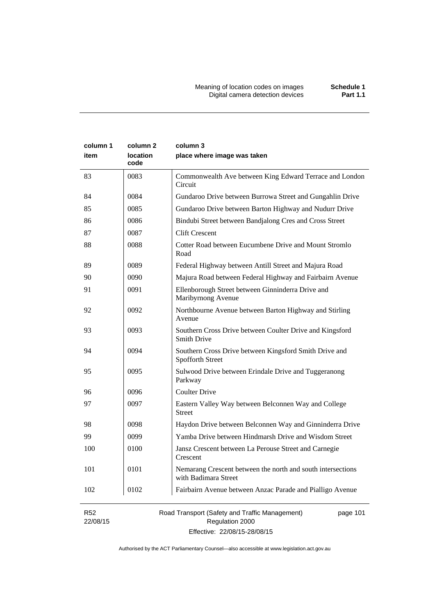| column 1<br>item | column <sub>2</sub><br><b>location</b><br>code | column 3<br>place where image was taken                                             |
|------------------|------------------------------------------------|-------------------------------------------------------------------------------------|
| 83               | 0083                                           | Commonwealth Ave between King Edward Terrace and London<br>Circuit                  |
| 84               | 0084                                           | Gundaroo Drive between Burrowa Street and Gungahlin Drive                           |
| 85               | 0085                                           | Gundaroo Drive between Barton Highway and Nudurr Drive                              |
| 86               | 0086                                           | Bindubi Street between Bandjalong Cres and Cross Street                             |
| 87               | 0087                                           | <b>Clift Crescent</b>                                                               |
| 88               | 0088                                           | Cotter Road between Eucumbene Drive and Mount Stromlo<br>Road                       |
| 89               | 0089                                           | Federal Highway between Antill Street and Majura Road                               |
| 90               | 0090                                           | Majura Road between Federal Highway and Fairbairn Avenue                            |
| 91               | 0091                                           | Ellenborough Street between Ginninderra Drive and<br>Maribyrnong Avenue             |
| 92               | 0092                                           | Northbourne Avenue between Barton Highway and Stirling<br>Avenue                    |
| 93               | 0093                                           | Southern Cross Drive between Coulter Drive and Kingsford<br><b>Smith Drive</b>      |
| 94               | 0094                                           | Southern Cross Drive between Kingsford Smith Drive and<br>Spofforth Street          |
| 95               | 0095                                           | Sulwood Drive between Erindale Drive and Tuggeranong<br>Parkway                     |
| 96               | 0096                                           | <b>Coulter Drive</b>                                                                |
| 97               | 0097                                           | Eastern Valley Way between Belconnen Way and College<br><b>Street</b>               |
| 98               | 0098                                           | Haydon Drive between Belconnen Way and Ginninderra Drive                            |
| 99               | 0099                                           | Yamba Drive between Hindmarsh Drive and Wisdom Street                               |
| 100              | 0100                                           | Jansz Crescent between La Perouse Street and Carnegie<br>Crescent                   |
| 101              | 0101                                           | Nemarang Crescent between the north and south intersections<br>with Badimara Street |
| 102              | 0102                                           | Fairbairn Avenue between Anzac Parade and Pialligo Avenue                           |
| <b>R52</b>       |                                                | Road Transport (Safety and Traffic Management)<br>page 101                          |

22/08/15

Road Transport (Safety and Traffic Management) Regulation 2000 Effective: 22/08/15-28/08/15

pag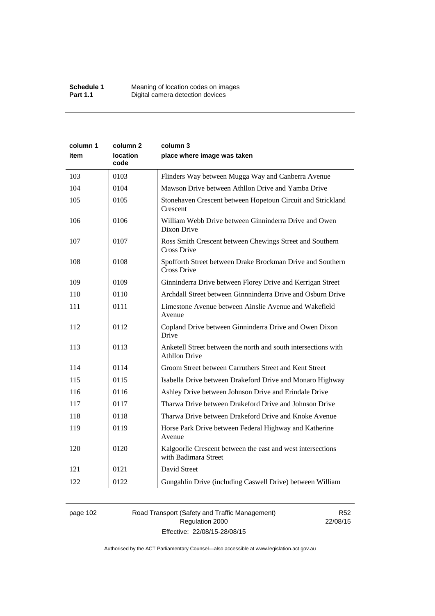| column 1 | column 2                | column 3                                                                               |
|----------|-------------------------|----------------------------------------------------------------------------------------|
| item     | <b>location</b><br>code | place where image was taken                                                            |
| 103      | 0103                    | Flinders Way between Mugga Way and Canberra Avenue                                     |
| 104      | 0104                    | Mawson Drive between Athllon Drive and Yamba Drive                                     |
| 105      | 0105                    | Stonehaven Crescent between Hopetoun Circuit and Strickland<br>Crescent                |
| 106      | 0106                    | William Webb Drive between Ginninderra Drive and Owen<br>Dixon Drive                   |
| 107      | 0107                    | Ross Smith Crescent between Chewings Street and Southern<br>Cross Drive                |
| 108      | 0108                    | Spofforth Street between Drake Brockman Drive and Southern<br>Cross Drive              |
| 109      | 0109                    | Ginninderra Drive between Florey Drive and Kerrigan Street                             |
| 110      | 0110                    | Archdall Street between Ginnninderra Drive and Osburn Drive                            |
| 111      | 0111                    | Limestone Avenue between Ainslie Avenue and Wakefield<br>Avenue                        |
| 112      | 0112                    | Copland Drive between Ginninderra Drive and Owen Dixon<br>Drive                        |
| 113      | 0113                    | Anketell Street between the north and south intersections with<br><b>Athllon Drive</b> |
| 114      | 0114                    | Groom Street between Carruthers Street and Kent Street                                 |
| 115      | 0115                    | Isabella Drive between Drakeford Drive and Monaro Highway                              |
| 116      | 0116                    | Ashley Drive between Johnson Drive and Erindale Drive                                  |
| 117      | 0117                    | Tharwa Drive between Drakeford Drive and Johnson Drive                                 |
| 118      | 0118                    | Tharwa Drive between Drakeford Drive and Knoke Avenue                                  |
| 119      | 0119                    | Horse Park Drive between Federal Highway and Katherine<br>Avenue                       |
| 120      | 0120                    | Kalgoorlie Crescent between the east and west intersections<br>with Badimara Street    |
| 121      | 0121                    | David Street                                                                           |
| 122      | 0122                    | Gungahlin Drive (including Caswell Drive) between William                              |

# page 102 Road Transport (Safety and Traffic Management) Regulation 2000 Effective: 22/08/15-28/08/15

R52 22/08/15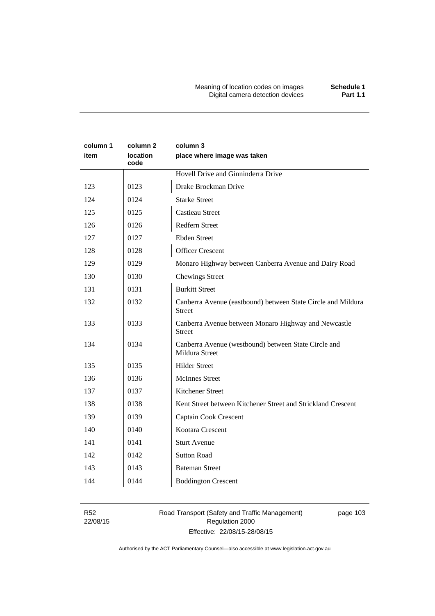# **column 1 item column 2 location code column 3 place where image was taken**  Hovell Drive and Ginninderra Drive 123 | 0123 | Drake Brockman Drive 124 | 0124 | Starke Street 125 0125 Castieau Street 126 0126 Redfern Street 127 0127 Ebden Street 128 0128 Officer Crescent 129 0129 Monaro Highway between Canberra Avenue and Dairy Road 130 0130 Chewings Street 131 | 0131 | Burkitt Street 132 0132 Canberra Avenue (eastbound) between State Circle and Mildura Street 133 0133 Canberra Avenue between Monaro Highway and Newcastle Street 134 0134 Canberra Avenue (westbound) between State Circle and Mildura Street 135 0135 Hilder Street 136 | 0136 | McInnes Street 137 0137 Kitchener Street 138 0138 Kent Street between Kitchener Street and Strickland Crescent 139 0139 Captain Cook Crescent 140 0140 Kootara Crescent 141 0141 Sturt Avenue 142 | 0142 | Sutton Road 143 0143 Bateman Street 144 0144 Boddington Crescent

R52 22/08/15 Road Transport (Safety and Traffic Management) Regulation 2000 Effective: 22/08/15-28/08/15

page 103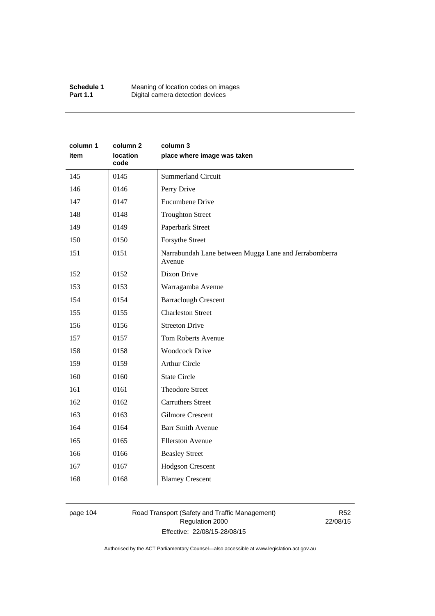| Schedule 1      | Meaning of location codes on images |
|-----------------|-------------------------------------|
| <b>Part 1.1</b> | Digital camera detection devices    |

| column 1<br>item | column <sub>2</sub><br>location<br>code | column 3<br>place where image was taken                         |
|------------------|-----------------------------------------|-----------------------------------------------------------------|
| 145              | 0145                                    | <b>Summerland Circuit</b>                                       |
| 146              | 0146                                    | Perry Drive                                                     |
| 147              | 0147                                    | Eucumbene Drive                                                 |
| 148              | 0148                                    | <b>Troughton Street</b>                                         |
| 149              | 0149                                    | Paperbark Street                                                |
| 150              | 0150                                    | Forsythe Street                                                 |
| 151              | 0151                                    | Narrabundah Lane between Mugga Lane and Jerrabomberra<br>Avenue |
| 152              | 0152                                    | Dixon Drive                                                     |
| 153              | 0153                                    | Warragamba Avenue                                               |
| 154              | 0154                                    | <b>Barraclough Crescent</b>                                     |
| 155              | 0155                                    | <b>Charleston Street</b>                                        |
| 156              | 0156                                    | <b>Streeton Drive</b>                                           |
| 157              | 0157                                    | Tom Roberts Avenue                                              |
| 158              | 0158                                    | <b>Woodcock Drive</b>                                           |
| 159              | 0159                                    | <b>Arthur Circle</b>                                            |
| 160              | 0160                                    | <b>State Circle</b>                                             |
| 161              | 0161                                    | <b>Theodore Street</b>                                          |
| 162              | 0162                                    | <b>Carruthers Street</b>                                        |
| 163              | 0163                                    | <b>Gilmore Crescent</b>                                         |
| 164              | 0164                                    | <b>Barr Smith Avenue</b>                                        |
| 165              | 0165                                    | <b>Ellerston Avenue</b>                                         |
| 166              | 0166                                    | <b>Beasley Street</b>                                           |
| 167              | 0167                                    | <b>Hodgson Crescent</b>                                         |
| 168              | 0168                                    | <b>Blamey Crescent</b>                                          |

# page 104 Road Transport (Safety and Traffic Management) Regulation 2000 Effective: 22/08/15-28/08/15

R52 22/08/15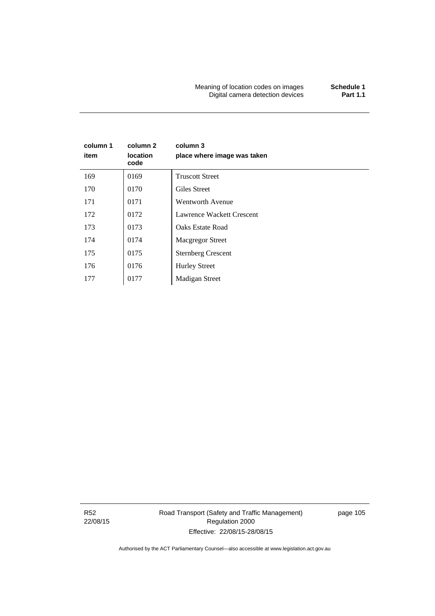Meaning of location codes on images **Schedule 1 Digital camera detection devices** 

# **column 1 item column 2 location code column 3 place where image was taken**  169 0169 Truscott Street 170 | 0170 | Giles Street 171 0171 Wentworth Avenue 172 | 0172 | Lawrence Wackett Crescent 173 | 0173 | Oaks Estate Road 174 | 0174 Macgregor Street 175 | 0175 | Sternberg Crescent 176 | 0176 | Hurley Street 177 | 0177 | Madigan Street

R52 22/08/15 Road Transport (Safety and Traffic Management) Regulation 2000 Effective: 22/08/15-28/08/15

page 105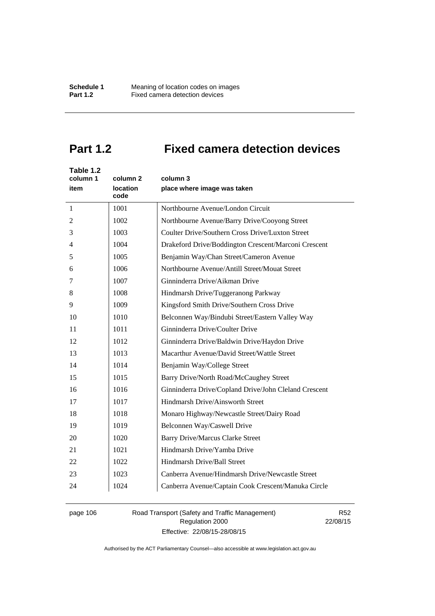# **Part 1.2 Fixed camera detection devices**

| Table 1.2<br>column 1<br>item | column <sub>2</sub><br>location<br>code | column 3<br>place where image was taken               |
|-------------------------------|-----------------------------------------|-------------------------------------------------------|
| $\mathbf{1}$                  | 1001                                    | Northbourne Avenue/London Circuit                     |
| 2                             | 1002                                    | Northbourne Avenue/Barry Drive/Cooyong Street         |
| 3                             | 1003                                    | Coulter Drive/Southern Cross Drive/Luxton Street      |
| 4                             | 1004                                    | Drakeford Drive/Boddington Crescent/Marconi Crescent  |
| 5                             | 1005                                    | Benjamin Way/Chan Street/Cameron Avenue               |
| 6                             | 1006                                    | Northbourne Avenue/Antill Street/Mouat Street         |
| 7                             | 1007                                    | Ginninderra Drive/Aikman Drive                        |
| 8                             | 1008                                    | Hindmarsh Drive/Tuggeranong Parkway                   |
| 9                             | 1009                                    | Kingsford Smith Drive/Southern Cross Drive            |
| 10                            | 1010                                    | Belconnen Way/Bindubi Street/Eastern Valley Way       |
| 11                            | 1011                                    | Ginninderra Drive/Coulter Drive                       |
| 12                            | 1012                                    | Ginninderra Drive/Baldwin Drive/Haydon Drive          |
| 13                            | 1013                                    | Macarthur Avenue/David Street/Wattle Street           |
| 14                            | 1014                                    | Benjamin Way/College Street                           |
| 15                            | 1015                                    | Barry Drive/North Road/McCaughey Street               |
| 16                            | 1016                                    | Ginninderra Drive/Copland Drive/John Cleland Crescent |
| 17                            | 1017                                    | Hindmarsh Drive/Ainsworth Street                      |
| 18                            | 1018                                    | Monaro Highway/Newcastle Street/Dairy Road            |
| 19                            | 1019                                    | Belconnen Way/Caswell Drive                           |
| 20                            | 1020                                    | <b>Barry Drive/Marcus Clarke Street</b>               |
| 21                            | 1021                                    | Hindmarsh Drive/Yamba Drive                           |
| 22                            | 1022                                    | Hindmarsh Drive/Ball Street                           |
| 23                            | 1023                                    | Canberra Avenue/Hindmarsh Drive/Newcastle Street      |
| 24                            | 1024                                    | Canberra Avenue/Captain Cook Crescent/Manuka Circle   |

# page 106 Road Transport (Safety and Traffic Management) Regulation 2000 Effective: 22/08/15-28/08/15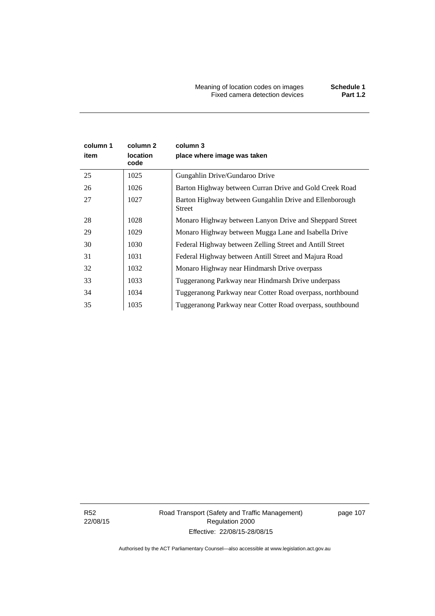Meaning of location codes on images **Schedule 1** Fixed camera detection devices **Part 1.2**

| column 1<br>item | column 2<br>location<br>code | column 3<br>place where image was taken                                  |
|------------------|------------------------------|--------------------------------------------------------------------------|
| 25               | 1025                         | Gungahlin Drive/Gundaroo Drive                                           |
| 26               | 1026                         | Barton Highway between Curran Drive and Gold Creek Road                  |
| 27               | 1027                         | Barton Highway between Gungahlin Drive and Ellenborough<br><b>Street</b> |
| 28               | 1028                         | Monaro Highway between Lanyon Drive and Sheppard Street                  |
| 29               | 1029                         | Monaro Highway between Mugga Lane and Isabella Drive                     |
| 30               | 1030                         | Federal Highway between Zelling Street and Antill Street                 |
| 31               | 1031                         | Federal Highway between Antill Street and Majura Road                    |
| 32               | 1032                         | Monaro Highway near Hindmarsh Drive overpass                             |
| 33               | 1033                         | Tuggeranong Parkway near Hindmarsh Drive underpass                       |
| 34               | 1034                         | Tuggeranong Parkway near Cotter Road overpass, northbound                |
| 35               | 1035                         | Tuggeranong Parkway near Cotter Road overpass, southbound                |

R52 22/08/15 Road Transport (Safety and Traffic Management) Regulation 2000 Effective: 22/08/15-28/08/15

page 107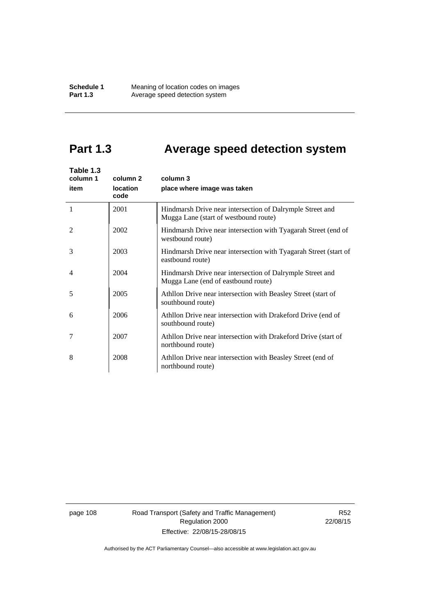# **Part 1.3 Average speed detection system**

| Table 1.3<br>column 1<br>item | column 2<br>location<br>code | column 3<br>place where image was taken                                                            |
|-------------------------------|------------------------------|----------------------------------------------------------------------------------------------------|
| 1                             | 2001                         | Hindmarsh Drive near intersection of Dalrymple Street and<br>Mugga Lane (start of westbound route) |
| $\mathfrak{D}$                | 2002                         | Hindmarsh Drive near intersection with Tyagarah Street (end of<br>westbound route)                 |
| 3                             | 2003                         | Hindmarsh Drive near intersection with Tyagarah Street (start of<br>eastbound route)               |
| 4                             | 2004                         | Hindmarsh Drive near intersection of Dalrymple Street and<br>Mugga Lane (end of eastbound route)   |
| 5                             | 2005                         | Athllon Drive near intersection with Beasley Street (start of<br>southbound route)                 |
| 6                             | 2006                         | Athllon Drive near intersection with Drakeford Drive (end of<br>southbound route)                  |
| 7                             | 2007                         | Athllon Drive near intersection with Drakeford Drive (start of<br>northbound route)                |
| 8                             | 2008                         | Athllon Drive near intersection with Beasley Street (end of<br>northbound route)                   |

page 108 Road Transport (Safety and Traffic Management) Regulation 2000 Effective: 22/08/15-28/08/15

R52 22/08/15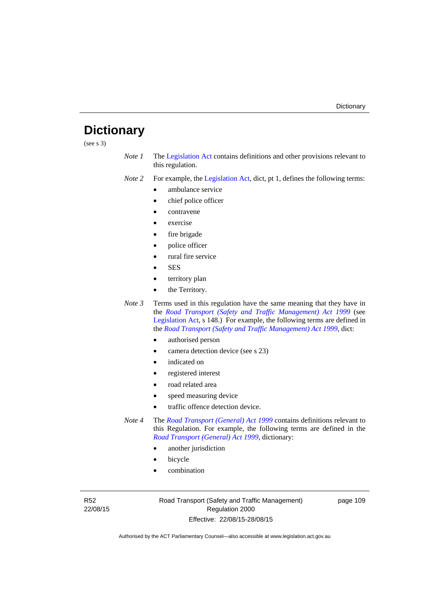# **Dictionary**

(see s 3)

*Note 1* The [Legislation Act](http://www.legislation.act.gov.au/a/2001-14) contains definitions and other provisions relevant to this regulation.

*Note 2* For example, the [Legislation Act,](http://www.legislation.act.gov.au/a/2001-14) dict, pt 1, defines the following terms:

- ambulance service
- chief police officer
- contravene
- exercise
- fire brigade
- police officer
- rural fire service
- SES
- territory plan
- the Territory.
- *Note 3* Terms used in this regulation have the same meaning that they have in the *[Road Transport \(Safety and Traffic Management\) Act 1999](http://www.legislation.act.gov.au/a/1999-80)* (see [Legislation Act,](http://www.legislation.act.gov.au/a/2001-14) s 148.) For example, the following terms are defined in the *[Road Transport \(Safety and Traffic Management\) Act 1999](http://www.legislation.act.gov.au/a/1999-80)*, dict:
	- authorised person
	- camera detection device (see s 23)
	- indicated on
	- registered interest
	- road related area
	- speed measuring device
	- traffic offence detection device.
- *Note 4* The *[Road Transport \(General\) Act 1999](http://www.legislation.act.gov.au/a/1999-77)* contains definitions relevant to this Regulation. For example, the following terms are defined in the *[Road Transport \(General\) Act 1999](http://www.legislation.act.gov.au/a/1999-77)*, dictionary:
	- another jurisdiction
	- bicycle
	- combination

R52 22/08/15 Road Transport (Safety and Traffic Management) Regulation 2000 Effective: 22/08/15-28/08/15

page 109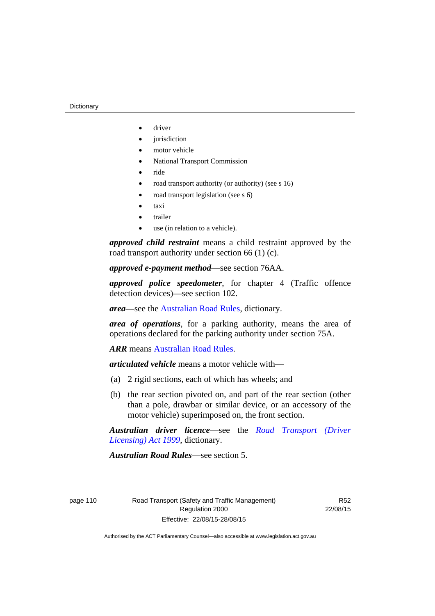- driver
- jurisdiction
- motor vehicle
- National Transport Commission
- ride
- road transport authority (or authority) (see s  $16$ )
- road transport legislation (see s 6)
- taxi
- trailer
- use (in relation to a vehicle).

*approved child restraint* means a child restraint approved by the road transport authority under section 66 (1) (c).

*approved e-payment method*—see section 76AA.

*approved police speedometer*, for chapter 4 (Traffic offence detection devices)—see section 102.

*area*—see the [Australian Road Rules,](http://www.legislation.act.gov.au//ni/db_37271/default.asp) dictionary.

*area of operations*, for a parking authority, means the area of operations declared for the parking authority under section 75A.

*ARR* means [Australian Road Rules](http://www.legislation.act.gov.au//ni/db_37271/default.asp).

*articulated vehicle* means a motor vehicle with—

- (a) 2 rigid sections, each of which has wheels; and
- (b) the rear section pivoted on, and part of the rear section (other than a pole, drawbar or similar device, or an accessory of the motor vehicle) superimposed on, the front section.

*Australian driver licence*—see the *[Road Transport \(Driver](http://www.legislation.act.gov.au/a/1999-78)  [Licensing\) Act 1999](http://www.legislation.act.gov.au/a/1999-78)*, dictionary.

*Australian Road Rules*—see section 5.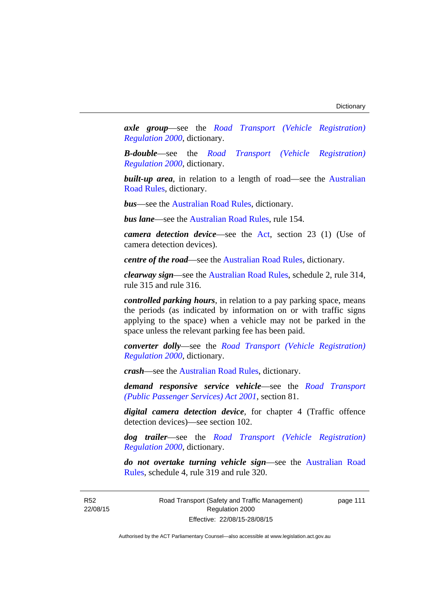*axle group*—see the *[Road Transport \(Vehicle Registration\)](http://www.legislation.act.gov.au/sl/2000-12)  [Regulation 2000](http://www.legislation.act.gov.au/sl/2000-12)*, dictionary.

*B-double*—see the *[Road Transport \(Vehicle Registration\)](http://www.legislation.act.gov.au/sl/2000-12)  [Regulation 2000](http://www.legislation.act.gov.au/sl/2000-12)*, dictionary.

**built-up area**, in relation to a length of road—see the Australian [Road Rules,](http://www.legislation.act.gov.au//ni/db_37271/default.asp) dictionary.

*bus*—see the [Australian Road Rules](http://www.legislation.act.gov.au//ni/db_37271/default.asp), dictionary.

*bus lane*—see the [Australian Road Rules](http://www.legislation.act.gov.au//ni/db_37271/default.asp), rule 154.

*camera detection device*—see the [Act,](http://www.legislation.act.gov.au/a/1999-80/default.asp) section 23 (1) (Use of camera detection devices).

*centre of the road*—see the [Australian Road Rules](http://www.legislation.act.gov.au//ni/db_37271/default.asp), dictionary.

*clearway sign*—see the [Australian Road Rules,](http://www.legislation.act.gov.au//ni/db_37271/default.asp) schedule 2, rule 314, rule 315 and rule 316.

*controlled parking hours*, in relation to a pay parking space, means the periods (as indicated by information on or with traffic signs applying to the space) when a vehicle may not be parked in the space unless the relevant parking fee has been paid.

*converter dolly*—see the *[Road Transport \(Vehicle Registration\)](http://www.legislation.act.gov.au/sl/2000-12)  [Regulation 2000](http://www.legislation.act.gov.au/sl/2000-12)*, dictionary.

*crash*—see the [Australian Road Rules](http://www.legislation.act.gov.au//ni/db_37271/default.asp), dictionary.

*demand responsive service vehicle*—see the *[Road Transport](http://www.legislation.act.gov.au/a/2001-62)  [\(Public Passenger Services\) Act 2001](http://www.legislation.act.gov.au/a/2001-62)*, section 81.

*digital camera detection device*, for chapter 4 (Traffic offence detection devices)—see section 102.

*dog trailer*—see the *[Road Transport \(Vehicle Registration\)](http://www.legislation.act.gov.au/sl/2000-12)  [Regulation 2000](http://www.legislation.act.gov.au/sl/2000-12)*, dictionary.

*do not overtake turning vehicle sign*—see the [Australian Road](http://www.legislation.act.gov.au//ni/db_37271/default.asp)  [Rules](http://www.legislation.act.gov.au//ni/db_37271/default.asp), schedule 4, rule 319 and rule 320.

R52 22/08/15 Road Transport (Safety and Traffic Management) Regulation 2000 Effective: 22/08/15-28/08/15

page 111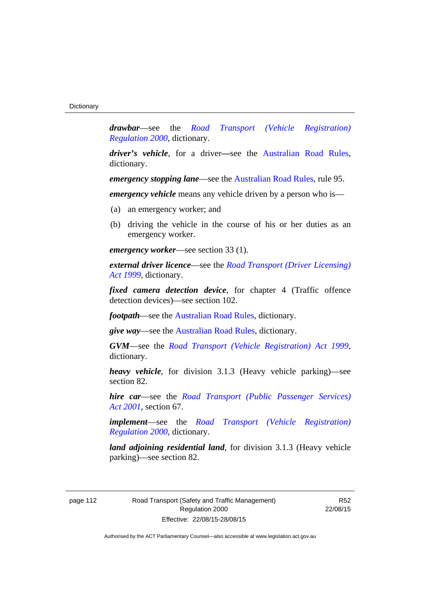*drawbar*—see the *[Road Transport \(Vehicle Registration\)](http://www.legislation.act.gov.au/sl/2000-12)  [Regulation 2000](http://www.legislation.act.gov.au/sl/2000-12)*, dictionary.

*driver's vehicle*, for a driver*—*see the [Australian Road Rules](http://www.legislation.act.gov.au//ni/db_37271/default.asp), dictionary.

*emergency stopping lane—see the [Australian Road Rules](http://www.legislation.act.gov.au//ni/db_37271/default.asp), rule 95.* 

*emergency vehicle* means any vehicle driven by a person who is—

- (a) an emergency worker; and
- (b) driving the vehicle in the course of his or her duties as an emergency worker.

*emergency worker*—see section 33 (1).

*external driver licence*—see the *[Road Transport \(Driver Licensing\)](http://www.legislation.act.gov.au/a/1999-78)  [Act 1999](http://www.legislation.act.gov.au/a/1999-78)*, dictionary.

*fixed camera detection device*, for chapter 4 (Traffic offence detection devices)—see section 102.

*footpath*—see the [Australian Road Rules](http://www.legislation.act.gov.au//ni/db_37271/default.asp), dictionary.

*give way*—see the [Australian Road Rules,](http://www.legislation.act.gov.au//ni/db_37271/default.asp) dictionary.

*GVM*—see the *[Road Transport \(Vehicle Registration\) Act 1999](http://www.legislation.act.gov.au/a/1999-81)*, dictionary.

*heavy vehicle*, for division 3.1.3 (Heavy vehicle parking)—see section 82.

*hire car*—see the *[Road Transport \(Public Passenger Services\)](http://www.legislation.act.gov.au/a/2001-62)  [Act 2001](http://www.legislation.act.gov.au/a/2001-62)*, section 67.

*implement*—see the *[Road Transport \(Vehicle Registration\)](http://www.legislation.act.gov.au/sl/2000-12)  [Regulation 2000](http://www.legislation.act.gov.au/sl/2000-12)*, dictionary.

*land adjoining residential land*, for division 3.1.3 (Heavy vehicle parking)—see section 82.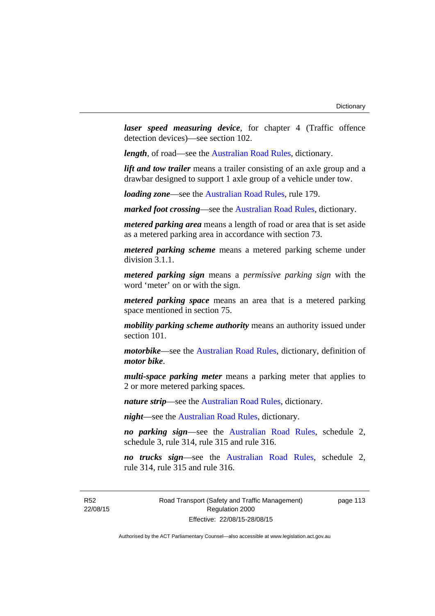*laser speed measuring device*, for chapter 4 (Traffic offence detection devices)—see section 102.

*length*, of road—see the [Australian Road Rules](http://www.legislation.act.gov.au//ni/db_37271/default.asp), dictionary.

*lift and tow trailer* means a trailer consisting of an axle group and a drawbar designed to support 1 axle group of a vehicle under tow.

*loading zone*—see the [Australian Road Rules,](http://www.legislation.act.gov.au//ni/db_37271/default.asp) rule 179.

*marked foot crossing*—see the [Australian Road Rules,](http://www.legislation.act.gov.au//ni/db_37271/default.asp) dictionary.

*metered parking area* means a length of road or area that is set aside as a metered parking area in accordance with section 73.

*metered parking scheme* means a metered parking scheme under division 3.1.1.

*metered parking sign* means a *permissive parking sign* with the word 'meter' on or with the sign.

*metered parking space* means an area that is a metered parking space mentioned in section 75.

*mobility parking scheme authority* means an authority issued under section 101.

*motorbike*—see the [Australian Road Rules,](http://www.legislation.act.gov.au//ni/db_37271/default.asp) dictionary, definition of *motor bike*.

*multi-space parking meter* means a parking meter that applies to 2 or more metered parking spaces.

*nature strip*—see the [Australian Road Rules](http://www.legislation.act.gov.au//ni/db_37271/default.asp), dictionary.

*night*—see the [Australian Road Rules,](http://www.legislation.act.gov.au//ni/db_37271/default.asp) dictionary.

*no parking sign*—see the [Australian Road Rules](http://www.legislation.act.gov.au//ni/db_37271/default.asp), schedule 2, schedule 3, rule 314, rule 315 and rule 316.

*no trucks sign*—see the [Australian Road Rules,](http://www.legislation.act.gov.au//ni/db_37271/default.asp) schedule 2, rule 314, rule 315 and rule 316.

R52 22/08/15 Road Transport (Safety and Traffic Management) Regulation 2000 Effective: 22/08/15-28/08/15

page 113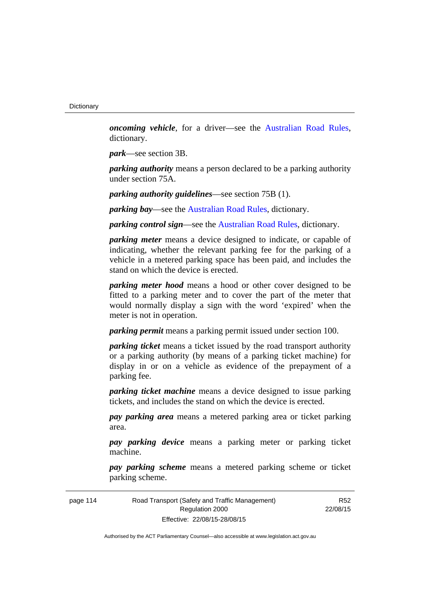*oncoming vehicle*, for a driver—see the [Australian Road Rules](http://www.legislation.act.gov.au//ni/db_37271/default.asp), dictionary.

*park*—see section 3B.

*parking authority* means a person declared to be a parking authority under section 75A.

*parking authority guidelines*—see section 75B (1).

*parking bay*—see the [Australian Road Rules,](http://www.legislation.act.gov.au//ni/db_37271/default.asp) dictionary.

*parking control sign*—see the [Australian Road Rules](http://www.legislation.act.gov.au//ni/db_37271/default.asp), dictionary.

*parking meter* means a device designed to indicate, or capable of indicating, whether the relevant parking fee for the parking of a vehicle in a metered parking space has been paid, and includes the stand on which the device is erected.

*parking meter hood* means a hood or other cover designed to be fitted to a parking meter and to cover the part of the meter that would normally display a sign with the word 'expired' when the meter is not in operation.

*parking permit* means a parking permit issued under section 100.

*parking ticket* means a ticket issued by the road transport authority or a parking authority (by means of a parking ticket machine) for display in or on a vehicle as evidence of the prepayment of a parking fee.

*parking ticket machine* means a device designed to issue parking tickets, and includes the stand on which the device is erected.

*pay parking area* means a metered parking area or ticket parking area.

*pay parking device* means a parking meter or parking ticket machine.

*pay parking scheme* means a metered parking scheme or ticket parking scheme.

| page 114 | Road Transport (Safety and Traffic Management) |
|----------|------------------------------------------------|
|          | Regulation 2000                                |
|          | Effective: 22/08/15-28/08/15                   |

R52 22/08/15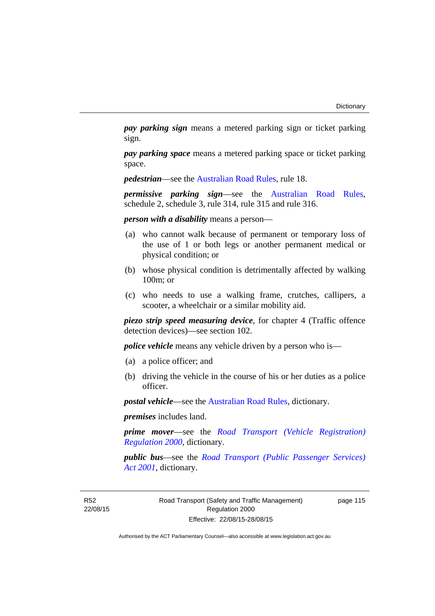*pay parking sign* means a metered parking sign or ticket parking sign.

*pay parking space* means a metered parking space or ticket parking space.

*pedestrian*—see the [Australian Road Rules](http://www.legislation.act.gov.au//ni/db_37271/default.asp), rule 18.

*permissive parking sign*—see the [Australian Road Rules](http://www.legislation.act.gov.au//ni/db_37271/default.asp), schedule 2, schedule 3, rule 314, rule 315 and rule 316.

*person with a disability* means a person—

- (a) who cannot walk because of permanent or temporary loss of the use of 1 or both legs or another permanent medical or physical condition; or
- (b) whose physical condition is detrimentally affected by walking 100m; or
- (c) who needs to use a walking frame, crutches, callipers, a scooter, a wheelchair or a similar mobility aid.

*piezo strip speed measuring device*, for chapter 4 (Traffic offence detection devices)—see section 102.

*police vehicle* means any vehicle driven by a person who is—

- (a) a police officer; and
- (b) driving the vehicle in the course of his or her duties as a police officer.

*postal vehicle*—see the [Australian Road Rules,](http://www.legislation.act.gov.au//ni/db_37271/default.asp) dictionary.

*premises* includes land.

*prime mover*—see the *[Road Transport \(Vehicle Registration\)](http://www.legislation.act.gov.au/sl/2000-12)  [Regulation 2000](http://www.legislation.act.gov.au/sl/2000-12)*, dictionary.

*public bus*—see the *[Road Transport \(Public Passenger Services\)](http://www.legislation.act.gov.au/a/2001-62)  [Act 2001](http://www.legislation.act.gov.au/a/2001-62)*, dictionary.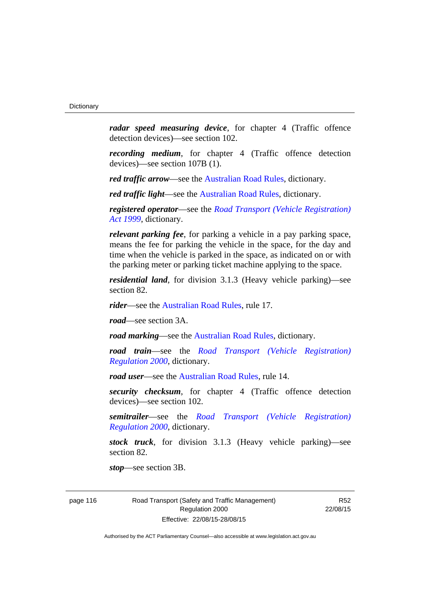*radar speed measuring device*, for chapter 4 (Traffic offence detection devices)—see section 102.

*recording medium*, for chapter 4 (Traffic offence detection devices)—see section 107B (1).

*red traffic arrow*—see the [Australian Road Rules,](http://www.legislation.act.gov.au//ni/db_37271/default.asp) dictionary.

*red traffic light*—see the [Australian Road Rules,](http://www.legislation.act.gov.au//ni/db_37271/default.asp) dictionary.

*registered operator*—see the *[Road Transport \(Vehicle Registration\)](http://www.legislation.act.gov.au/a/1999-81)  [Act 1999](http://www.legislation.act.gov.au/a/1999-81)*, dictionary.

*relevant parking fee*, for parking a vehicle in a pay parking space, means the fee for parking the vehicle in the space, for the day and time when the vehicle is parked in the space, as indicated on or with the parking meter or parking ticket machine applying to the space.

*residential land*, for division 3.1.3 (Heavy vehicle parking)—see section 82.

*rider*—see the [Australian Road Rules,](http://www.legislation.act.gov.au//ni/db_37271/default.asp) rule 17.

*road*—see section 3A.

*road marking*—see the [Australian Road Rules](http://www.legislation.act.gov.au//ni/db_37271/default.asp), dictionary.

*road train*—see the *[Road Transport \(Vehicle Registration\)](http://www.legislation.act.gov.au/sl/2000-12)  [Regulation 2000](http://www.legislation.act.gov.au/sl/2000-12)*, dictionary.

*road user***—see the Australian Road Rules**, rule 14.

*security checksum*, for chapter 4 (Traffic offence detection devices)—see section 102.

*semitrailer*—see the *[Road Transport \(Vehicle Registration\)](http://www.legislation.act.gov.au/sl/2000-12)  [Regulation 2000](http://www.legislation.act.gov.au/sl/2000-12)*, dictionary.

*stock truck*, for division 3.1.3 (Heavy vehicle parking)—see section 82.

*stop*—see section 3B.

page 116 Road Transport (Safety and Traffic Management) Regulation 2000 Effective: 22/08/15-28/08/15

R52 22/08/15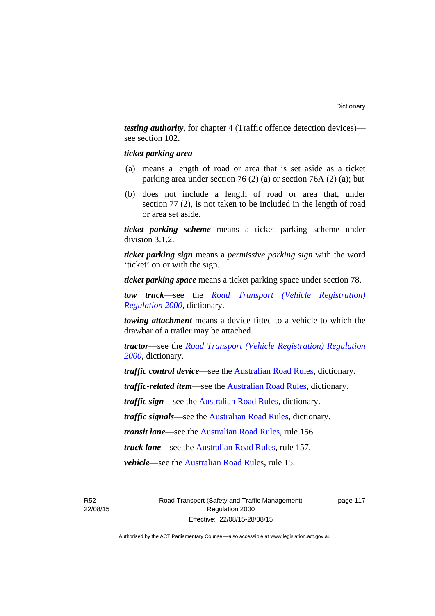*testing authority*, for chapter 4 (Traffic offence detection devices) see section 102.

#### *ticket parking area*—

- (a) means a length of road or area that is set aside as a ticket parking area under section 76 (2) (a) or section 76A (2) (a); but
- (b) does not include a length of road or area that, under section 77 (2), is not taken to be included in the length of road or area set aside.

*ticket parking scheme* means a ticket parking scheme under division 3.1.2.

*ticket parking sign* means a *permissive parking sign* with the word 'ticket' on or with the sign.

*ticket parking space* means a ticket parking space under section 78.

*tow truck*—see the *[Road Transport \(Vehicle Registration\)](http://www.legislation.act.gov.au/sl/2000-12)  [Regulation 2000](http://www.legislation.act.gov.au/sl/2000-12)*, dictionary.

*towing attachment* means a device fitted to a vehicle to which the drawbar of a trailer may be attached.

*tractor*—see the *[Road Transport \(Vehicle Registration\) Regulation](http://www.legislation.act.gov.au/sl/2000-12)  [2000](http://www.legislation.act.gov.au/sl/2000-12)*, dictionary.

*traffic control device*—see the [Australian Road Rules](http://www.legislation.act.gov.au//ni/db_37271/default.asp), dictionary.

*traffic-related item*—see the [Australian Road Rules,](http://www.legislation.act.gov.au//ni/db_37271/default.asp) dictionary.

*traffic sign*—see the [Australian Road Rules](http://www.legislation.act.gov.au//ni/db_37271/default.asp), dictionary.

*traffic signals*—see the [Australian Road Rules](http://www.legislation.act.gov.au//ni/db_37271/default.asp), dictionary.

*transit lane*—see the [Australian Road Rules](http://www.legislation.act.gov.au//ni/db_37271/default.asp), rule 156.

*truck lane*—see the [Australian Road Rules](http://www.legislation.act.gov.au//ni/db_37271/default.asp), rule 157.

*vehicle*—see the [Australian Road Rules](http://www.legislation.act.gov.au//ni/db_37271/default.asp), rule 15.

R52 22/08/15 Road Transport (Safety and Traffic Management) Regulation 2000 Effective: 22/08/15-28/08/15

page 117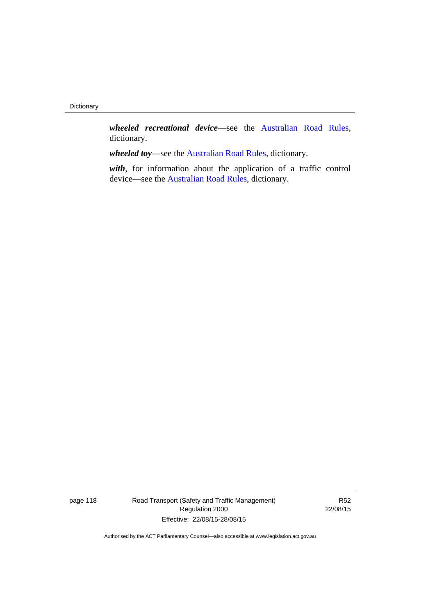*wheeled recreational device*—see the [Australian Road Rules](http://www.legislation.act.gov.au//ni/db_37271/default.asp), dictionary.

*wheeled toy*—see the [Australian Road Rules](http://www.legislation.act.gov.au//ni/db_37271/default.asp), dictionary.

*with*, for information about the application of a traffic control device—see the [Australian Road Rules,](http://www.legislation.act.gov.au//ni/db_37271/default.asp) dictionary.

page 118 Road Transport (Safety and Traffic Management) Regulation 2000 Effective: 22/08/15-28/08/15

R52 22/08/15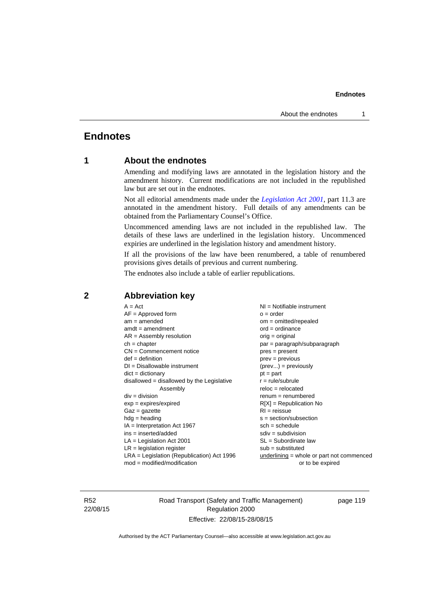# **Endnotes**

# **1 About the endnotes**

Amending and modifying laws are annotated in the legislation history and the amendment history. Current modifications are not included in the republished law but are set out in the endnotes.

Not all editorial amendments made under the *[Legislation Act 2001](http://www.legislation.act.gov.au/a/2001-14)*, part 11.3 are annotated in the amendment history. Full details of any amendments can be obtained from the Parliamentary Counsel's Office.

Uncommenced amending laws are not included in the republished law. The details of these laws are underlined in the legislation history. Uncommenced expiries are underlined in the legislation history and amendment history.

If all the provisions of the law have been renumbered, a table of renumbered provisions gives details of previous and current numbering.

The endnotes also include a table of earlier republications.

# **2 Abbreviation key**

R52 22/08/15 Road Transport (Safety and Traffic Management) Regulation 2000 Effective: 22/08/15-28/08/15

page 119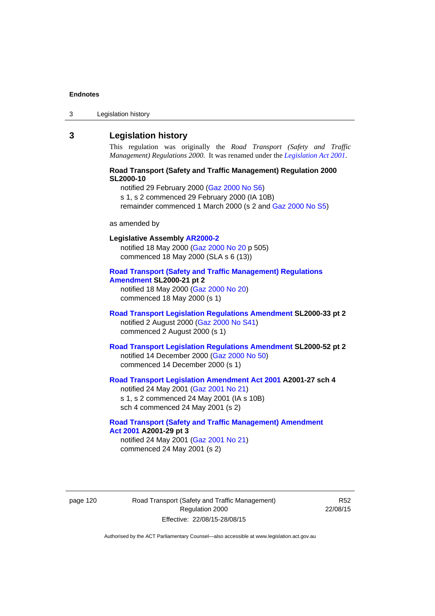3 Legislation history

## **3 Legislation history**

This regulation was originally the *Road Transport (Safety and Traffic Management) Regulations 2000*. It was renamed under the *[Legislation Act 2001](http://www.legislation.act.gov.au/a/2001-14)*.

#### **Road Transport (Safety and Traffic Management) Regulation 2000 SL2000-10**

notified 29 February 2000 [\(Gaz 2000 No S6\)](http://www.legislation.act.gov.au/gaz/2000-S6/default.asp) s 1, s 2 commenced 29 February 2000 (IA 10B) remainder commenced 1 March 2000 (s 2 and [Gaz 2000 No S5\)](http://www.legislation.act.gov.au/gaz/2000-S5/default.asp)

#### as amended by

# **Legislative Assembly [AR2000-2](http://www.legislation.act.gov.au/ar/2000-2/default.asp)** notified 18 May 2000 ([Gaz 2000 No 20 p](http://www.legislation.act.gov.au/gaz/2000-20/default.asp) 505) commenced 18 May 2000 (SLA s 6 (13)) **[Road Transport \(Safety and Traffic Management\) Regulations](http://www.legislation.act.gov.au/sl/2000-21/default.asp)**

# **[Amendment](http://www.legislation.act.gov.au/sl/2000-21/default.asp) SL2000-21 pt 2**  notified 18 May 2000 ([Gaz 2000 No 20\)](http://www.legislation.act.gov.au/gaz/2000-20/default.asp)

commenced 18 May 2000 (s 1)

### **[Road Transport Legislation Regulations Amendment](http://www.legislation.act.gov.au/sl/2000-33/default.asp) SL2000-33 pt 2**  notified 2 August 2000 ([Gaz 2000 No S41](http://www.legislation.act.gov.au/gaz/2000-S41/default.asp)) commenced 2 August 2000 (s 1)

#### **[Road Transport Legislation Regulations Amendment](http://www.legislation.act.gov.au/sl/2000-52/default.asp) SL2000-52 pt 2**  notified 14 December 2000 [\(Gaz 2000 No 50](http://www.legislation.act.gov.au/gaz/2000-50/default.asp)) commenced 14 December 2000 (s 1)

#### **[Road Transport Legislation Amendment Act 2001](http://www.legislation.act.gov.au/a/2001-27) A2001-27 sch 4**  notified 24 May 2001 ([Gaz 2001 No 21\)](http://www.legislation.act.gov.au/gaz/2001-21/default.asp) s 1, s 2 commenced 24 May 2001 (IA s 10B)

sch 4 commenced 24 May 2001 (s 2)

# **[Road Transport \(Safety and Traffic Management\) Amendment](http://www.legislation.act.gov.au/a/2001-29)  [Act 2001](http://www.legislation.act.gov.au/a/2001-29) A2001-29 pt 3**

notified 24 May 2001 ([Gaz 2001 No 21\)](http://www.legislation.act.gov.au/gaz/2001-21/default.asp) commenced 24 May 2001 (s 2)

page 120 Road Transport (Safety and Traffic Management) Regulation 2000 Effective: 22/08/15-28/08/15

R52 22/08/15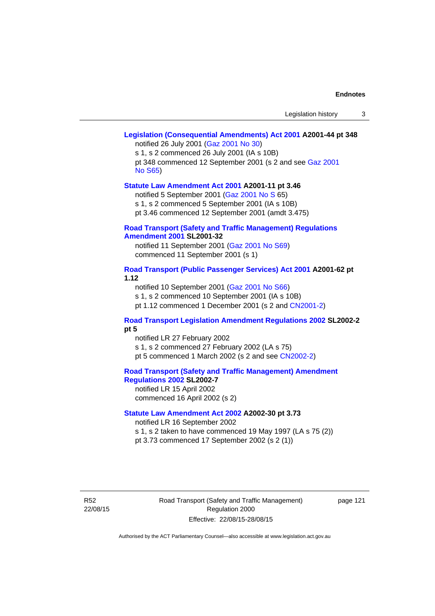#### **[Legislation \(Consequential Amendments\) Act 2001](http://www.legislation.act.gov.au/a/2001-44) A2001-44 pt 348**  notified 26 July 2001 ([Gaz 2001 No 30\)](http://www.legislation.act.gov.au/gaz/2001-30/default.asp)

s 1, s 2 commenced 26 July 2001 (IA s 10B) pt 348 commenced 12 September 2001 (s 2 and see [Gaz 2001](http://www.legislation.act.gov.au/gaz/2001-S65/default.asp)  [No S65](http://www.legislation.act.gov.au/gaz/2001-S65/default.asp))

#### **[Statute Law Amendment Act 2001](http://www.legislation.act.gov.au/a/2001-11) A2001-11 pt 3.46**

notified 5 September 2001 [\(Gaz 2001 No S 6](http://www.legislation.act.gov.au/gaz/2001-S/default.asp)5)

s 1, s 2 commenced 5 September 2001 (IA s 10B)

pt 3.46 commenced 12 September 2001 (amdt 3.475)

#### **[Road Transport \(Safety and Traffic Management\) Regulations](http://www.legislation.act.gov.au/sl/2001-32)  [Amendment 2001](http://www.legislation.act.gov.au/sl/2001-32) SL2001-32**

notified 11 September 2001 [\(Gaz 2001 No S69\)](http://www.legislation.act.gov.au/gaz/2001-S69/default.asp) commenced 11 September 2001 (s 1)

#### **[Road Transport \(Public Passenger Services\) Act 2001](http://www.legislation.act.gov.au/a/2001-62) A2001-62 pt 1.12**

notified 10 September 2001 [\(Gaz 2001 No S66\)](http://www.legislation.act.gov.au/gaz/2001-S66/default.asp)

s 1, s 2 commenced 10 September 2001 (IA s 10B)

pt 1.12 commenced 1 December 2001 (s 2 and [CN2001-2](http://www.legislation.act.gov.au/cn/2001-2/default.asp))

### **[Road Transport Legislation Amendment Regulations 2002](http://www.legislation.act.gov.au/sl/2002-2) SL2002-2 pt 5**

notified LR 27 February 2002 s 1, s 2 commenced 27 February 2002 (LA s 75) pt 5 commenced 1 March 2002 (s 2 and see [CN2002-2](http://www.legislation.act.gov.au/cn/2002-2/default.asp))

**[Road Transport \(Safety and Traffic Management\) Amendment](http://www.legislation.act.gov.au/sl/2002-7)  [Regulations 2002](http://www.legislation.act.gov.au/sl/2002-7) SL2002-7** 

notified LR 15 April 2002 commenced 16 April 2002 (s 2)

### **[Statute Law Amendment Act 2002](http://www.legislation.act.gov.au/a/2002-30) A2002-30 pt 3.73**

notified LR 16 September 2002

s 1, s 2 taken to have commenced 19 May 1997 (LA s 75 (2))

pt 3.73 commenced 17 September 2002 (s 2 (1))

R52 22/08/15 Road Transport (Safety and Traffic Management) Regulation 2000 Effective: 22/08/15-28/08/15

page 121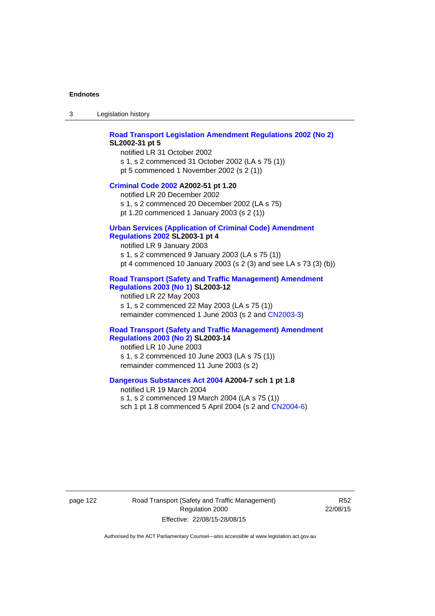3 Legislation history

#### **[Road Transport Legislation Amendment Regulations 2002 \(No 2\)](http://www.legislation.act.gov.au/sl/2002-31) SL2002-31 pt 5**

notified LR 31 October 2002 s 1, s 2 commenced 31 October 2002 (LA s 75 (1)) pt 5 commenced 1 November 2002 (s 2 (1))

#### **[Criminal Code 2002](http://www.legislation.act.gov.au/a/2002-51) A2002-51 pt 1.20**

notified LR 20 December 2002 s 1, s 2 commenced 20 December 2002 (LA s 75) pt 1.20 commenced 1 January 2003 (s 2 (1))

#### **[Urban Services \(Application of Criminal Code\) Amendment](http://www.legislation.act.gov.au/sl/2003-1)**

## **[Regulations 2002](http://www.legislation.act.gov.au/sl/2003-1) SL2003-1 pt 4**

notified LR 9 January 2003 s 1, s 2 commenced 9 January 2003 (LA s 75 (1)) pt 4 commenced 10 January 2003 (s 2 (3) and see LA s 73 (3) (b))

#### **[Road Transport \(Safety and Traffic Management\) Amendment](http://www.legislation.act.gov.au/sl/2003-12)  [Regulations 2003 \(No 1\)](http://www.legislation.act.gov.au/sl/2003-12) SL2003-12**

notified LR 22 May 2003 s 1, s 2 commenced 22 May 2003 (LA s 75 (1)) remainder commenced 1 June 2003 (s 2 and [CN2003-3](http://www.legislation.act.gov.au/cn/2003-3/default.asp))

#### **[Road Transport \(Safety and Traffic Management\) Amendment](http://www.legislation.act.gov.au/sl/2003-14)  [Regulations 2003 \(No 2\)](http://www.legislation.act.gov.au/sl/2003-14) SL2003-14**

notified LR 10 June 2003 s 1, s 2 commenced 10 June 2003 (LA s 75 (1)) remainder commenced 11 June 2003 (s 2)

#### **[Dangerous Substances Act 2004](http://www.legislation.act.gov.au/a/2004-7) A2004-7 sch 1 pt 1.8**

notified LR 19 March 2004 s 1, s 2 commenced 19 March 2004 (LA s 75 (1)) sch 1 pt 1.8 commenced 5 April 2004 (s 2 and [CN2004-6](http://www.legislation.act.gov.au/cn/2004-6/default.asp))

page 122 Road Transport (Safety and Traffic Management) Regulation 2000 Effective: 22/08/15-28/08/15

R52 22/08/15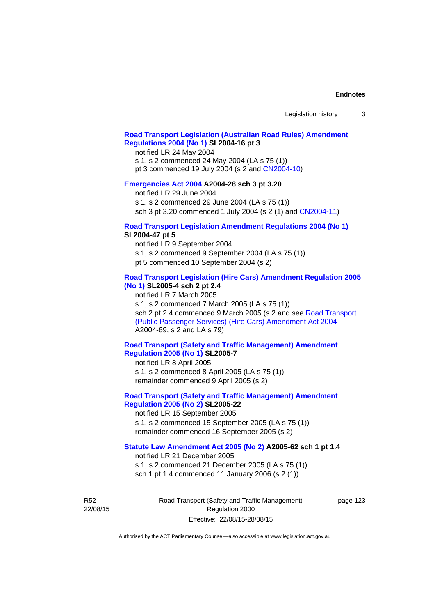## **[Road Transport Legislation \(Australian Road Rules\) Amendment](http://www.legislation.act.gov.au/sl/2004-16)  [Regulations 2004 \(No 1\)](http://www.legislation.act.gov.au/sl/2004-16) SL2004-16 pt 3**

notified LR 24 May 2004

s 1, s 2 commenced 24 May 2004 (LA s 75 (1))

pt 3 commenced 19 July 2004 (s 2 and [CN2004-10](http://www.legislation.act.gov.au/cn/2004-10/default.asp))

### **[Emergencies Act 2004](http://www.legislation.act.gov.au/a/2004-28) A2004-28 sch 3 pt 3.20**

notified LR 29 June 2004

s 1, s 2 commenced 29 June 2004 (LA s 75 (1))

sch 3 pt 3.20 commenced 1 July 2004 (s 2 (1) and [CN2004-11](http://www.legislation.act.gov.au/cn/2004-11/default.asp))

### **[Road Transport Legislation Amendment Regulations 2004 \(No 1\)](http://www.legislation.act.gov.au/sl/2004-47) SL2004-47 pt 5**

notified LR 9 September 2004

s 1, s 2 commenced 9 September 2004 (LA s 75 (1))

pt 5 commenced 10 September 2004 (s 2)

### **[Road Transport Legislation \(Hire Cars\) Amendment Regulation 2005](http://www.legislation.act.gov.au/sl/2005-4)  [\(No 1\)](http://www.legislation.act.gov.au/sl/2005-4) SL2005-4 sch 2 pt 2.4**

notified LR 7 March 2005

s 1, s 2 commenced 7 March 2005 (LA s 75 (1))

sch 2 pt 2.4 commenced 9 March 2005 (s 2 and see [Road Transport](http://www.legislation.act.gov.au/a/2004-69)  [\(Public Passenger Services\) \(Hire Cars\) Amendment Act 2004](http://www.legislation.act.gov.au/a/2004-69) A2004-69, s 2 and LA s 79)

### **[Road Transport \(Safety and Traffic Management\) Amendment](http://www.legislation.act.gov.au/sl/2005-7)  [Regulation 2005 \(No 1\)](http://www.legislation.act.gov.au/sl/2005-7) SL2005-7**

notified LR 8 April 2005 s 1, s 2 commenced 8 April 2005 (LA s 75 (1)) remainder commenced 9 April 2005 (s 2)

### **[Road Transport \(Safety and Traffic Management\) Amendment](http://www.legislation.act.gov.au/sl/2005-22)  [Regulation 2005 \(No 2\)](http://www.legislation.act.gov.au/sl/2005-22) SL2005-22**

notified LR 15 September 2005 s 1, s 2 commenced 15 September 2005 (LA s 75 (1)) remainder commenced 16 September 2005 (s 2)

#### **[Statute Law Amendment Act 2005 \(No 2\)](http://www.legislation.act.gov.au/a/2005-62) A2005-62 sch 1 pt 1.4**

notified LR 21 December 2005 s 1, s 2 commenced 21 December 2005 (LA s 75 (1)) sch 1 pt 1.4 commenced 11 January 2006 (s 2 (1))

R52 22/08/15 Road Transport (Safety and Traffic Management) Regulation 2000 Effective: 22/08/15-28/08/15

page 123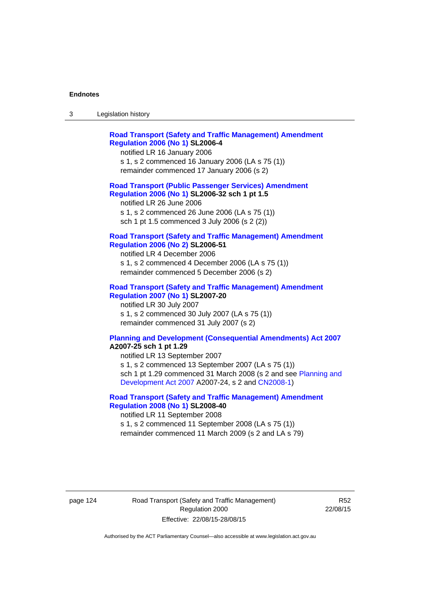| ు | Legislation history |
|---|---------------------|
|---|---------------------|

| <b>Road Transport (Safety and Traffic Management) Amendment</b><br><b>Regulation 2006 (No 1) SL2006-4</b><br>notified LR 16 January 2006<br>s 1, s 2 commenced 16 January 2006 (LA s 75 (1))<br>remainder commenced 17 January 2006 (s 2)                                                                   |
|-------------------------------------------------------------------------------------------------------------------------------------------------------------------------------------------------------------------------------------------------------------------------------------------------------------|
| <b>Road Transport (Public Passenger Services) Amendment</b><br>Regulation 2006 (No 1) SL2006-32 sch 1 pt 1.5<br>notified LR 26 June 2006<br>s 1, s 2 commenced 26 June 2006 (LA s 75 (1))<br>sch 1 pt 1.5 commenced 3 July 2006 (s 2 (2))                                                                   |
| <b>Road Transport (Safety and Traffic Management) Amendment</b><br><b>Regulation 2006 (No 2) SL2006-51</b><br>notified LR 4 December 2006<br>s 1, s 2 commenced 4 December 2006 (LA s 75 (1))<br>remainder commenced 5 December 2006 (s 2)                                                                  |
| <b>Road Transport (Safety and Traffic Management) Amendment</b><br><b>Regulation 2007 (No 1) SL2007-20</b><br>notified LR 30 July 2007<br>s 1, s 2 commenced 30 July 2007 (LA s 75 (1))<br>remainder commenced 31 July 2007 (s 2)                                                                           |
| <b>Planning and Development (Consequential Amendments) Act 2007</b><br>A2007-25 sch 1 pt 1.29<br>notified LR 13 September 2007<br>s 1, s 2 commenced 13 September 2007 (LA s 75 (1))<br>sch 1 pt 1.29 commenced 31 March 2008 (s 2 and see Planning and<br>Development Act 2007 A2007-24, s 2 and CN2008-1) |

## **[Road Transport \(Safety and Traffic Management\) Amendment](http://www.legislation.act.gov.au/sl/2008-40)  [Regulation 2008 \(No 1\)](http://www.legislation.act.gov.au/sl/2008-40) SL2008-40**  notified LR 11 September 2008

s 1, s 2 commenced 11 September 2008 (LA s 75 (1)) remainder commenced 11 March 2009 (s 2 and LA s 79)

page 124 Road Transport (Safety and Traffic Management) Regulation 2000 Effective: 22/08/15-28/08/15

R52 22/08/15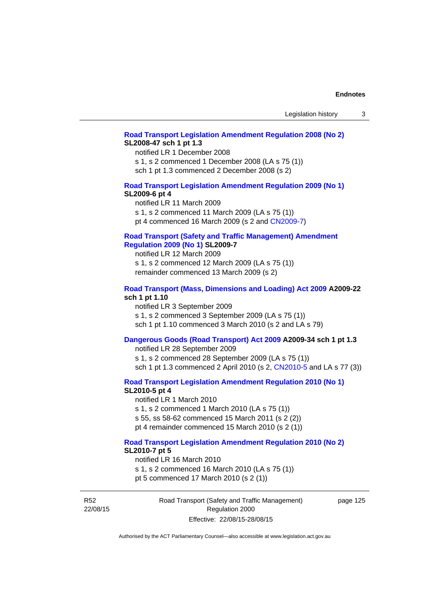#### **[Road Transport Legislation Amendment Regulation 2008 \(No 2\)](http://www.legislation.act.gov.au/sl/2008-47) SL2008-47 sch 1 pt 1.3**

notified LR 1 December 2008 s 1, s 2 commenced 1 December 2008 (LA s 75 (1)) sch 1 pt 1.3 commenced 2 December 2008 (s 2)

#### **[Road Transport Legislation Amendment Regulation 2009 \(No 1\)](http://www.legislation.act.gov.au/sl/2009-6) SL2009-6 pt 4**

notified LR 11 March 2009 s 1, s 2 commenced 11 March 2009 (LA s 75 (1)) pt 4 commenced 16 March 2009 (s 2 and [CN2009-7\)](http://www.legislation.act.gov.au/cn/2009-7/default.asp)

#### **[Road Transport \(Safety and Traffic Management\) Amendment](http://www.legislation.act.gov.au/sl/2009-7)  [Regulation 2009 \(No 1\)](http://www.legislation.act.gov.au/sl/2009-7) SL2009-7**

notified LR 12 March 2009 s 1, s 2 commenced 12 March 2009 (LA s 75 (1)) remainder commenced 13 March 2009 (s 2)

#### **[Road Transport \(Mass, Dimensions and Loading\) Act 2009](http://www.legislation.act.gov.au/a/2009-22/default.asp) A2009-22 sch 1 pt 1.10**

notified LR 3 September 2009 s 1, s 2 commenced 3 September 2009 (LA s 75 (1)) sch 1 pt 1.10 commenced 3 March 2010 (s 2 and LA s 79)

### **[Dangerous Goods \(Road Transport\) Act 2009](http://www.legislation.act.gov.au/a/2009-34) A2009-34 sch 1 pt 1.3**

notified LR 28 September 2009 s 1, s 2 commenced 28 September 2009 (LA s 75 (1)) sch 1 pt 1.3 commenced 2 April 2010 (s 2, [CN2010-5 a](http://www.legislation.act.gov.au/cn/2010-5/default.asp)nd LA s 77 (3))

**[Road Transport Legislation Amendment Regulation 2010 \(No 1\)](http://www.legislation.act.gov.au/sl/2010-5)**

### **SL2010-5 pt 4**

notified LR 1 March 2010 s 1, s 2 commenced 1 March 2010 (LA s 75 (1)) s 55, ss 58-62 commenced 15 March 2011 (s 2 (2)) pt 4 remainder commenced 15 March 2010 (s 2 (1))

# **[Road Transport Legislation Amendment Regulation 2010 \(No 2\)](http://www.legislation.act.gov.au/sl/2010-7) SL2010-7 pt 5**

notified LR 16 March 2010 s 1, s 2 commenced 16 March 2010 (LA s 75 (1)) pt 5 commenced 17 March 2010 (s 2 (1))

R52 22/08/15 Road Transport (Safety and Traffic Management) Regulation 2000 Effective: 22/08/15-28/08/15

page 125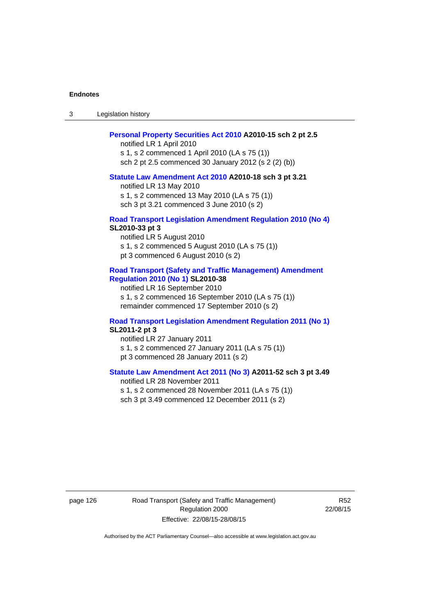3 Legislation history

#### **[Personal Property Securities Act 2010](http://www.legislation.act.gov.au/a/2010-15) A2010-15 sch 2 pt 2.5**

notified LR 1 April 2010 s 1, s 2 commenced 1 April 2010 (LA s 75 (1)) sch 2 pt 2.5 commenced 30 January 2012 (s 2 (2) (b))

#### **[Statute Law Amendment Act 2010](http://www.legislation.act.gov.au/a/2010-18) A2010-18 sch 3 pt 3.21**

notified LR 13 May 2010 s 1, s 2 commenced 13 May 2010 (LA s 75 (1)) sch 3 pt 3.21 commenced 3 June 2010 (s 2)

#### **[Road Transport Legislation Amendment Regulation 2010 \(No 4\)](http://www.legislation.act.gov.au/sl/2010-33) SL2010-33 pt 3**

notified LR 5 August 2010 s 1, s 2 commenced 5 August 2010 (LA s 75 (1)) pt 3 commenced 6 August 2010 (s 2)

#### **[Road Transport \(Safety and Traffic Management\) Amendment](http://www.legislation.act.gov.au/sl/2010-38)  [Regulation 2010 \(No 1\)](http://www.legislation.act.gov.au/sl/2010-38) SL2010-38**

notified LR 16 September 2010 s 1, s 2 commenced 16 September 2010 (LA s 75 (1)) remainder commenced 17 September 2010 (s 2)

#### **[Road Transport Legislation Amendment Regulation 2011 \(No 1\)](http://www.legislation.act.gov.au/sl/2011-2) SL2011-2 pt 3**

notified LR 27 January 2011 s 1, s 2 commenced 27 January 2011 (LA s 75 (1)) pt 3 commenced 28 January 2011 (s 2)

## **[Statute Law Amendment Act 2011 \(No 3\)](http://www.legislation.act.gov.au/a/2011-52) A2011-52 sch 3 pt 3.49**

notified LR 28 November 2011 s 1, s 2 commenced 28 November 2011 (LA s 75 (1)) sch 3 pt 3.49 commenced 12 December 2011 (s 2)

page 126 Road Transport (Safety and Traffic Management) Regulation 2000 Effective: 22/08/15-28/08/15

R52 22/08/15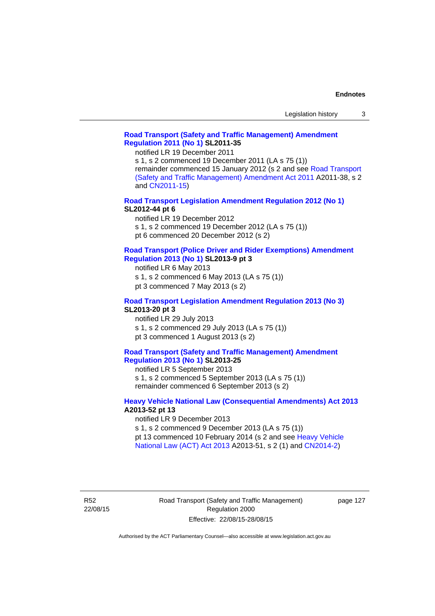#### **[Road Transport \(Safety and Traffic Management\) Amendment](http://www.legislation.act.gov.au/sl/2011-35)  [Regulation 2011 \(No 1\)](http://www.legislation.act.gov.au/sl/2011-35) SL2011-35**

notified LR 19 December 2011

s 1, s 2 commenced 19 December 2011 (LA s 75 (1)) remainder commenced 15 January 2012 (s 2 and see [Road Transport](http://www.legislation.act.gov.au/a/2011-38)  [\(Safety and Traffic Management\) Amendment Act 2011](http://www.legislation.act.gov.au/a/2011-38) A2011-38, s 2 and [CN2011-15\)](http://www.legislation.act.gov.au/cn/2011-15/default.asp)

**[Road Transport Legislation Amendment Regulation 2012 \(No 1\)](http://www.legislation.act.gov.au/sl/2012-44/default.asp) SL2012-44 pt 6** 

notified LR 19 December 2012

s 1, s 2 commenced 19 December 2012 (LA s 75 (1))

pt 6 commenced 20 December 2012 (s 2)

#### **[Road Transport \(Police Driver and Rider Exemptions\) Amendment](http://www.legislation.act.gov.au/sl/2013-9/default.asp)  [Regulation 2013 \(No 1\)](http://www.legislation.act.gov.au/sl/2013-9/default.asp) SL2013-9 pt 3**

notified LR 6 May 2013

s 1, s 2 commenced 6 May 2013 (LA s 75 (1))

pt 3 commenced 7 May 2013 (s 2)

#### **[Road Transport Legislation Amendment Regulation 2013 \(No 3\)](http://www.legislation.act.gov.au/sl/2013-20) SL2013-20 pt 3**

notified LR 29 July 2013 s 1, s 2 commenced 29 July 2013 (LA s 75 (1)) pt 3 commenced 1 August 2013 (s 2)

#### **[Road Transport \(Safety and Traffic Management\) Amendment](http://www.legislation.act.gov.au/sl/2013-25)  [Regulation 2013 \(No 1\)](http://www.legislation.act.gov.au/sl/2013-25) SL2013-25**

notified LR 5 September 2013 s 1, s 2 commenced 5 September 2013 (LA s 75 (1)) remainder commenced 6 September 2013 (s 2)

#### **[Heavy Vehicle National Law \(Consequential Amendments\) Act 2013](http://www.legislation.act.gov.au/a/2013-52) A2013-52 pt 13**

notified LR 9 December 2013

s 1, s 2 commenced 9 December 2013 (LA s 75 (1))

pt 13 commenced 10 February 2014 (s 2 and see [Heavy Vehicle](http://www.legislation.act.gov.au/a/2013-51/default.asp)  [National Law \(ACT\) Act 2013](http://www.legislation.act.gov.au/a/2013-51/default.asp) A2013-51, s 2 (1) and [CN2014-2](http://www.legislation.act.gov.au/cn/2014-2/default.asp))

R52 22/08/15 page 127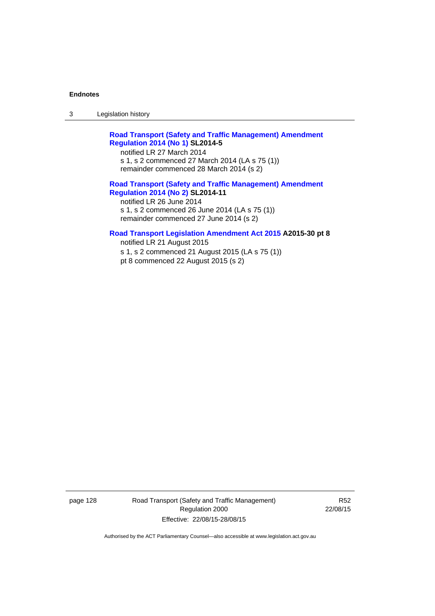3 Legislation history

**[Road Transport \(Safety and Traffic Management\) Amendment](http://www.legislation.act.gov.au/sl/2014-5)  [Regulation 2014 \(No 1\)](http://www.legislation.act.gov.au/sl/2014-5) SL2014-5** 

notified LR 27 March 2014 s 1, s 2 commenced 27 March 2014 (LA s 75 (1)) remainder commenced 28 March 2014 (s 2)

# **[Road Transport \(Safety and Traffic Management\) Amendment](http://www.legislation.act.gov.au/sl/2014-11)  [Regulation 2014 \(No 2\)](http://www.legislation.act.gov.au/sl/2014-11) SL2014-11**  notified LR 26 June 2014

s 1, s 2 commenced 26 June 2014 (LA s 75 (1)) remainder commenced 27 June 2014 (s 2)

#### **[Road Transport Legislation Amendment Act 2015](http://www.legislation.act.gov.au/a/2015-30/default.asp) A2015-30 pt 8**

notified LR 21 August 2015 s 1, s 2 commenced 21 August 2015 (LA s 75 (1)) pt 8 commenced 22 August 2015 (s 2)

page 128 Road Transport (Safety and Traffic Management) Regulation 2000 Effective: 22/08/15-28/08/15

R52 22/08/15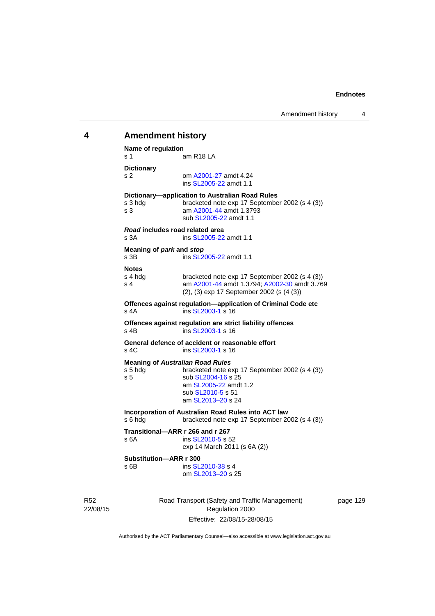# 22/08/15 Road Transport (Safety and Traffic Management) Regulation 2000 **4 Amendment history Name of regulation**  s 1 am R18 LA **Dictionary**  s 2 om [A2001-27](http://www.legislation.act.gov.au/a/2001-27) amdt 4.24 ins [SL2005-22](http://www.legislation.act.gov.au/sl/2005-22) amdt 1.1 **Dictionary—application to Australian Road Rules**  s 3 hdg bracketed note exp 17 September 2002 (s 4 (3)) s 3 am [A2001-44](http://www.legislation.act.gov.au/a/2001-44) amdt 1.3793 sub [SL2005-22](http://www.legislation.act.gov.au/sl/2005-22) amdt 1.1 *Road* **includes road related area**  s 3A **ins SL2005-22** amdt 1.1 **Meaning of** *park* **and** *stop* s 3B ins [SL2005-22](http://www.legislation.act.gov.au/sl/2005-22) amdt 1.1 **Notes**  s 4 hdg bracketed note exp 17 September 2002 (s 4 (3))<br>s 4 am A2001-44 amdt 1.3794: A2002-30 amdt 3.76 am [A2001-44](http://www.legislation.act.gov.au/a/2001-44) amdt 1.3794; [A2002-30](http://www.legislation.act.gov.au/a/2002-30) amdt 3.769 (2), (3) exp 17 September 2002 (s (4 (3)) **Offences against regulation—application of Criminal Code etc**  s 4A ins [SL2003-1](http://www.legislation.act.gov.au/sl/2003-1) s 16 **Offences against regulation are strict liability offences**  s 4B ins [SL2003-1](http://www.legislation.act.gov.au/sl/2003-1) s 16 **General defence of accident or reasonable effort**  s 4C ins [SL2003-1](http://www.legislation.act.gov.au/sl/2003-1) s 16 **Meaning of** *Australian Road Rules* s 5 hdg bracketed note exp 17 September 2002 (s 4 (3)) s 5 sub [SL2004-16](http://www.legislation.act.gov.au/sl/2004-16) s 25 am [SL2005-22](http://www.legislation.act.gov.au/sl/2005-22) amdt 1.2 sub [SL2010-5](http://www.legislation.act.gov.au/sl/2010-5) s 51 am [SL2013–20](http://www.legislation.act.gov.au/sl/2013-20) s 24 **Incorporation of Australian Road Rules into ACT law**  s 6 hdg bracketed note exp 17 September 2002 (s 4 (3)) **Transitional—ARR r 266 and r 267**  s 6A ins [SL2010-5](http://www.legislation.act.gov.au/sl/2010-5) s 52 exp 14 March 2011 (s 6A (2)) **Substitution—ARR r 300**  s 6B ins [SL2010-38](http://www.legislation.act.gov.au/sl/2010-38) s 4 om [SL2013–20](http://www.legislation.act.gov.au/sl/2013-20) s 25

page 129

Authorised by the ACT Parliamentary Counsel—also accessible at www.legislation.act.gov.au

Effective: 22/08/15-28/08/15

R52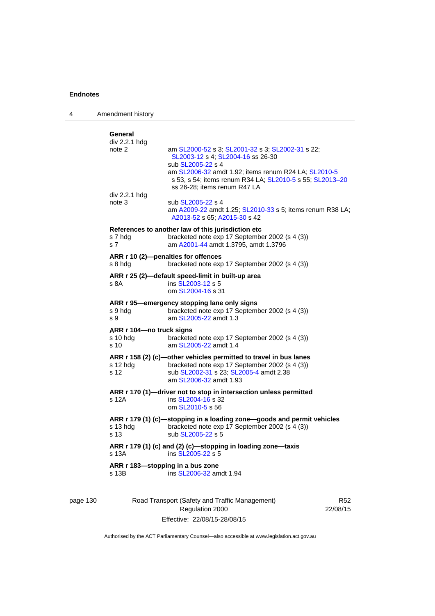| 4 | Amendment history                                       |                                                                                                                                                                                                                                                                |
|---|---------------------------------------------------------|----------------------------------------------------------------------------------------------------------------------------------------------------------------------------------------------------------------------------------------------------------------|
|   | General<br>div 2.2.1 hdg<br>note 2                      | am SL2000-52 s 3; SL2001-32 s 3; SL2002-31 s 22;<br>SL2003-12 s 4; SL2004-16 ss 26-30<br>sub SL2005-22 s 4<br>am SL2006-32 amdt 1.92; items renum R24 LA; SL2010-5<br>s 53, s 54; items renum R34 LA; SL2010-5 s 55; SL2013-20<br>ss 26-28; items renum R47 LA |
|   | div 2.2.1 hdg<br>note 3                                 | sub SL2005-22 s 4<br>am A2009-22 amdt 1.25; SL2010-33 s 5; items renum R38 LA;<br>A2013-52 s 65; A2015-30 s 42                                                                                                                                                 |
|   | s 7 hdg<br>s 7                                          | References to another law of this jurisdiction etc<br>bracketed note exp 17 September 2002 (s 4 (3))<br>am A2001-44 amdt 1.3795, amdt 1.3796                                                                                                                   |
|   | s 8 hdg                                                 | ARR r 10 (2)-penalties for offences<br>bracketed note exp 17 September 2002 (s 4 (3))                                                                                                                                                                          |
|   | s 8A                                                    | ARR r 25 (2)—default speed-limit in built-up area<br>ins SL2003-12 s 5<br>om SL2004-16 s 31                                                                                                                                                                    |
|   | s 9 hda<br>s 9                                          | ARR r 95-emergency stopping lane only signs<br>bracketed note exp 17 September 2002 (s 4 (3))<br>am SL2005-22 amdt 1.3                                                                                                                                         |
|   | ARR r 104—no truck signs<br>s 10 hda<br>s <sub>10</sub> | bracketed note exp 17 September 2002 (s 4 (3))<br>am SL2005-22 amdt 1.4                                                                                                                                                                                        |
|   | s 12 hdg<br>s 12                                        | ARR r 158 (2) (c)-other vehicles permitted to travel in bus lanes<br>bracketed note exp 17 September 2002 (s 4 (3))<br>sub SL2002-31 s 23; SL2005-4 amdt 2.38<br>am SL2006-32 amdt 1.93                                                                        |
|   | s 12A                                                   | ARR r 170 (1)-driver not to stop in intersection unless permitted<br>ins SL2004-16 s 32<br>om SL2010-5 s 56                                                                                                                                                    |
|   | s 13 hdg<br>s 13                                        | ARR r 179 (1) (c)-stopping in a loading zone-goods and permit vehicles<br>bracketed note exp 17 September 2002 (s 4 (3))<br>sub SL2005-22 s 5                                                                                                                  |
|   | s 13A                                                   | ARR r 179 (1) (c) and (2) (c)-stopping in loading zone-taxis<br>ins SL2005-22 s 5                                                                                                                                                                              |
|   | s 13B                                                   | ARR r 183—stopping in a bus zone<br>ins SL2006-32 amdt 1.94                                                                                                                                                                                                    |

# page 130 Road Transport (Safety and Traffic Management) Regulation 2000 Effective: 22/08/15-28/08/15

R52 22/08/15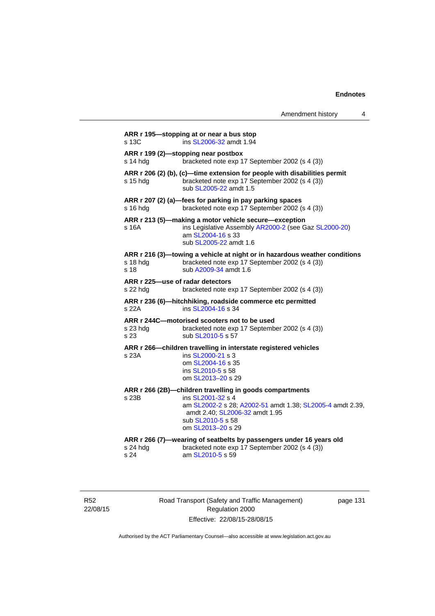|                                              |                                                                                                                                                                                                                         | Amendment history | 4 |
|----------------------------------------------|-------------------------------------------------------------------------------------------------------------------------------------------------------------------------------------------------------------------------|-------------------|---|
| s 13C                                        | ARR r 195-stopping at or near a bus stop<br>ins SL2006-32 amdt 1.94                                                                                                                                                     |                   |   |
| s 14 hda                                     | ARR r 199 (2)-stopping near postbox<br>bracketed note exp 17 September 2002 (s 4 (3))                                                                                                                                   |                   |   |
| s 15 hda                                     | ARR r 206 (2) (b), (c)—time extension for people with disabilities permit<br>bracketed note exp 17 September 2002 (s 4 (3))<br>sub SL2005-22 amdt 1.5                                                                   |                   |   |
| s 16 hda                                     | ARR r 207 (2) (a)-fees for parking in pay parking spaces<br>bracketed note exp 17 September 2002 (s 4 (3))                                                                                                              |                   |   |
| s 16A                                        | ARR r 213 (5)—making a motor vehicle secure—exception<br>ins Legislative Assembly AR2000-2 (see Gaz SL2000-20)<br>am SL2004-16 s 33<br>sub SL2005-22 amdt 1.6                                                           |                   |   |
| s 18 hdg<br>s 18                             | ARR r 216 (3)—towing a vehicle at night or in hazardous weather conditions<br>bracketed note exp 17 September 2002 (s 4 (3))<br>sub A2009-34 amdt 1.6                                                                   |                   |   |
| ARR r 225—use of radar detectors<br>s 22 hdg | bracketed note exp 17 September 2002 (s 4 (3))                                                                                                                                                                          |                   |   |
| s 22A                                        | ARR r 236 (6)-hitchhiking, roadside commerce etc permitted<br>ins SL2004-16 s 34                                                                                                                                        |                   |   |
| s 23 hda<br>s 23                             | ARR r 244C-motorised scooters not to be used<br>bracketed note exp 17 September 2002 (s 4 (3))<br>sub SL2010-5 s 57                                                                                                     |                   |   |
| s 23A                                        | ARR r 266-children travelling in interstate registered vehicles<br>ins SL2000-21 s 3<br>om SL2004-16 s 35<br>ins SL2010-5 s 58<br>om SL2013-20 s 29                                                                     |                   |   |
| s 23B                                        | ARR r 266 (2B)--children travelling in goods compartments<br>ins SL2001-32 s 4<br>am SL2002-2 s 28; A2002-51 amdt 1.38; SL2005-4 amdt 2.39,<br>amdt 2.40; SL2006-32 amdt 1.95<br>sub SL2010-5 s 58<br>om SL2013-20 s 29 |                   |   |
| s 24 hdg<br>s 24                             | ARR r 266 (7)—wearing of seatbelts by passengers under 16 years old<br>bracketed note exp 17 September 2002 (s 4 (3))<br>am SL2010-5 s 59                                                                               |                   |   |

R52 22/08/15 Road Transport (Safety and Traffic Management) Regulation 2000 Effective: 22/08/15-28/08/15

page 131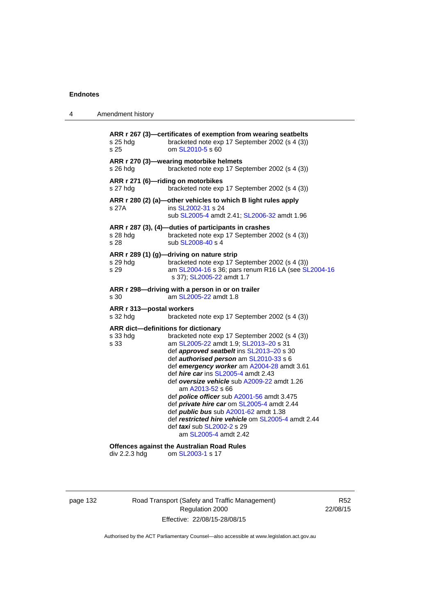| 4 | Amendment history                                                                                                                                                                                                                                                                                                                                                                                                                                                                                                                                                                                                                                                      |
|---|------------------------------------------------------------------------------------------------------------------------------------------------------------------------------------------------------------------------------------------------------------------------------------------------------------------------------------------------------------------------------------------------------------------------------------------------------------------------------------------------------------------------------------------------------------------------------------------------------------------------------------------------------------------------|
|   | ARR r 267 (3)-certificates of exemption from wearing seatbelts<br>bracketed note exp 17 September 2002 (s 4 (3))<br>s 25 hdg<br>om SL2010-5 s 60<br>s 25                                                                                                                                                                                                                                                                                                                                                                                                                                                                                                               |
|   | ARR r 270 (3)-wearing motorbike helmets<br>bracketed note exp 17 September 2002 (s 4 (3))<br>s 26 hdg                                                                                                                                                                                                                                                                                                                                                                                                                                                                                                                                                                  |
|   | ARR r 271 (6)-riding on motorbikes<br>bracketed note exp 17 September 2002 (s 4 (3))<br>s 27 hdg                                                                                                                                                                                                                                                                                                                                                                                                                                                                                                                                                                       |
|   | ARR r 280 (2) (a)-other vehicles to which B light rules apply<br>ins SL2002-31 s 24<br>s 27A<br>sub SL2005-4 amdt 2.41; SL2006-32 amdt 1.96                                                                                                                                                                                                                                                                                                                                                                                                                                                                                                                            |
|   | ARR r 287 (3), (4)-duties of participants in crashes<br>bracketed note exp 17 September 2002 (s 4 (3))<br>s 28 hdg<br>s 28<br>sub SL2008-40 s 4                                                                                                                                                                                                                                                                                                                                                                                                                                                                                                                        |
|   | ARR r 289 (1) (g)-driving on nature strip<br>bracketed note exp 17 September 2002 (s 4 (3))<br>$s$ 29 hdg<br>s 29<br>am SL2004-16 s 36; pars renum R16 LA (see SL2004-16<br>s 37); SL2005-22 amdt 1.7                                                                                                                                                                                                                                                                                                                                                                                                                                                                  |
|   | ARR r 298-driving with a person in or on trailer<br>am SL2005-22 amdt 1.8<br>s 30                                                                                                                                                                                                                                                                                                                                                                                                                                                                                                                                                                                      |
|   | ARR r 313-postal workers<br>s 32 hdg<br>bracketed note exp 17 September 2002 (s 4 (3))                                                                                                                                                                                                                                                                                                                                                                                                                                                                                                                                                                                 |
|   | ARR dict-definitions for dictionary<br>bracketed note exp 17 September 2002 (s 4 (3))<br>s 33 hdg<br>am SL2005-22 amdt 1.9; SL2013-20 s 31<br>s 33<br>def approved seatbelt ins SL2013-20 s 30<br>def authorised person am SL2010-33 s 6<br>def emergency worker am A2004-28 amdt 3.61<br>def <i>hire car</i> ins SL2005-4 amdt 2.43<br>def oversize vehicle sub A2009-22 amdt 1.26<br>am A2013-52 s 66<br>def <b>police officer</b> sub A2001-56 amdt 3.475<br>def private hire car om SL2005-4 amdt 2.44<br>def <i>public bus</i> sub A2001-62 amdt 1.38<br>def restricted hire vehicle om SL2005-4 amdt 2.44<br>def taxi sub SL2002-2 s 29<br>am SL2005-4 amdt 2.42 |
|   | <b>Offences against the Australian Road Rules</b>                                                                                                                                                                                                                                                                                                                                                                                                                                                                                                                                                                                                                      |

div 2.2.3 hdg om [SL2003-1](http://www.legislation.act.gov.au/sl/2003-1) s 17

# page 132 Road Transport (Safety and Traffic Management) Regulation 2000 Effective: 22/08/15-28/08/15

R52 22/08/15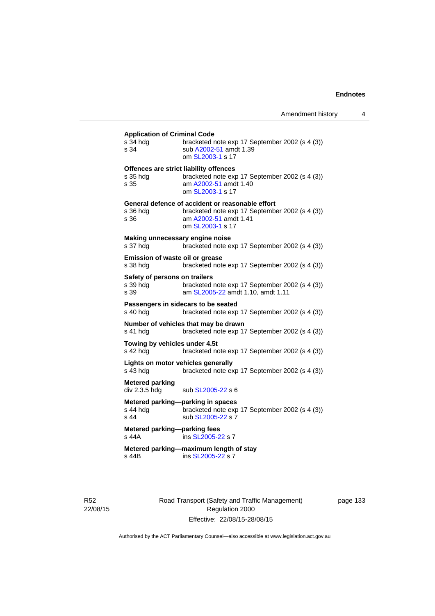# **Application of Criminal Code**

| s 34 hdg<br>s 34                          | bracketed note exp 17 September 2002 (s 4 (3))<br>sub A2002-51 amdt 1.39<br>om SL2003-1 s 17 |
|-------------------------------------------|----------------------------------------------------------------------------------------------|
|                                           | Offences are strict liability offences                                                       |
| s 35 hdg                                  | bracketed note exp 17 September 2002 (s 4 (3))                                               |
| s 35                                      | am A2002-51 amdt 1.40                                                                        |
|                                           | om SL2003-1 s 17                                                                             |
|                                           | General defence of accident or reasonable effort                                             |
| s 36 hdg                                  | bracketed note exp 17 September 2002 (s 4 (3))                                               |
| s 36                                      | am A2002-51 amdt 1.41<br>om SL2003-1 s 17                                                    |
|                                           |                                                                                              |
| s 37 hdg                                  | Making unnecessary engine noise<br>bracketed note exp 17 September 2002 (s 4 (3))            |
|                                           |                                                                                              |
| <b>Emission of waste oil or grease</b>    | bracketed note exp 17 September 2002 (s 4 (3))                                               |
| s 38 hdg                                  |                                                                                              |
| Safety of persons on trailers             |                                                                                              |
| s 39 hdg<br>s 39                          | bracketed note exp 17 September 2002 (s 4 (3))<br>am SL2005-22 amdt 1.10, amdt 1.11          |
|                                           |                                                                                              |
| s 40 hdg                                  | Passengers in sidecars to be seated<br>bracketed note exp 17 September 2002 (s 4 (3))        |
|                                           |                                                                                              |
| s 41 hdg                                  | Number of vehicles that may be drawn<br>bracketed note exp 17 September 2002 (s 4 (3))       |
|                                           |                                                                                              |
| Towing by vehicles under 4.5t<br>s 42 hdg | bracketed note exp 17 September 2002 (s 4 (3))                                               |
|                                           |                                                                                              |
|                                           |                                                                                              |
|                                           | Lights on motor vehicles generally                                                           |
| s 43 hdg                                  | bracketed note exp 17 September 2002 (s 4 (3))                                               |
| <b>Metered parking</b>                    |                                                                                              |
| div 2.3.5 hdg                             | sub SL2005-22 s 6                                                                            |
|                                           | Metered parking-parking in spaces                                                            |
| s 44 hda                                  | bracketed note exp 17 September 2002 (s 4 (3))                                               |
| $s$ 44                                    | sub SL2005-22 s 7                                                                            |
| Metered parking-parking fees              |                                                                                              |
| $s$ 44 $A$                                | ins SL2005-22 s 7                                                                            |
| s 44B                                     | Metered parking-maximum length of stay<br>ins SL2005-22 s 7                                  |

R52 22/08/15 Road Transport (Safety and Traffic Management) Regulation 2000 Effective: 22/08/15-28/08/15

page 133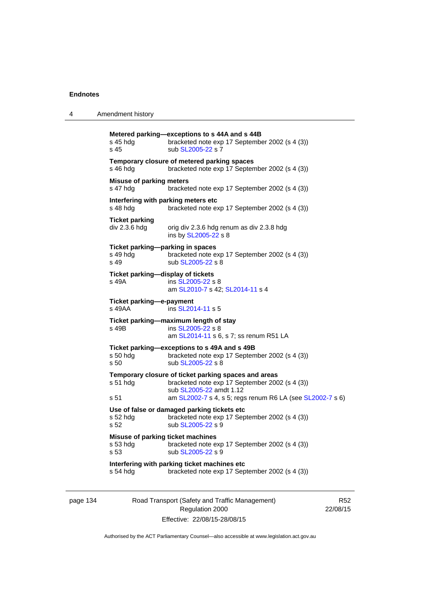| 4 | Amendment history                                     |                                                                                                                                   |
|---|-------------------------------------------------------|-----------------------------------------------------------------------------------------------------------------------------------|
|   | s 45 hdg<br>s 45                                      | Metered parking-exceptions to s 44A and s 44B<br>bracketed note exp 17 September 2002 (s 4 (3))<br>sub SL2005-22 s 7              |
|   | s 46 hdg                                              | Temporary closure of metered parking spaces<br>bracketed note exp 17 September 2002 (s 4 (3))                                     |
|   | <b>Misuse of parking meters</b><br>s 47 hdg           | bracketed note exp 17 September 2002 (s 4 (3))                                                                                    |
|   | Interfering with parking meters etc<br>s 48 hdg       | bracketed note exp 17 September 2002 (s 4 (3))                                                                                    |
|   | <b>Ticket parking</b><br>div 2.3.6 hdg                | orig div 2.3.6 hdg renum as div 2.3.8 hdg<br>ins by SL2005-22 s 8                                                                 |
|   | Ticket parking-parking in spaces<br>s 49 hdg<br>s 49  | bracketed note exp 17 September 2002 (s 4 (3))<br>sub SL2005-22 s 8                                                               |
|   | Ticket parking-display of tickets<br>s 49A            | ins SL2005-22 s 8<br>am SL2010-7 s 42; SL2014-11 s 4                                                                              |
|   | Ticket parking-e-payment<br>s 49AA                    | ins SL2014-11 s 5                                                                                                                 |
|   | Ticket parking-maximum length of stay<br>s 49B        | ins SL2005-22 s 8<br>am SL2014-11 s 6, s 7; ss renum R51 LA                                                                       |
|   | s 50 hdg<br>s <sub>50</sub>                           | Ticket parking-exceptions to s 49A and s 49B<br>bracketed note exp 17 September 2002 (s 4 (3))<br>sub SL2005-22 s 8               |
|   | s 51 hdg                                              | Temporary closure of ticket parking spaces and areas<br>bracketed note exp 17 September 2002 (s 4 (3))<br>sub SL2005-22 amdt 1.12 |
|   | s 51                                                  | am SL2002-7 s 4, s 5; regs renum R6 LA (see SL2002-7 s 6)                                                                         |
|   | s 52 hda<br>s 52                                      | Use of false or damaged parking tickets etc<br>bracketed note exp 17 September 2002 (s 4 (3))<br>sub SL2005-22 s 9                |
|   | Misuse of parking ticket machines<br>s 53 hdg<br>s 53 | bracketed note exp 17 September 2002 (s 4 (3))<br>sub SL2005-22 s 9                                                               |
|   | s 54 hdg                                              | Interfering with parking ticket machines etc<br>bracketed note exp 17 September 2002 (s 4 (3))                                    |

page 134 Road Transport (Safety and Traffic Management) Regulation 2000 Effective: 22/08/15-28/08/15

R52 22/08/15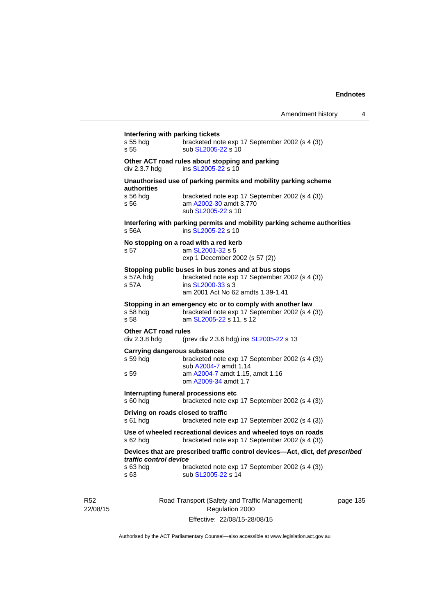| Interfering with parking tickets<br>s 55 hdg<br>s <sub>55</sub> | bracketed note exp 17 September 2002 (s 4 (3))<br>sub SL2005-22 s 10                                                                                            |
|-----------------------------------------------------------------|-----------------------------------------------------------------------------------------------------------------------------------------------------------------|
| div 2.3.7 hdg                                                   | Other ACT road rules about stopping and parking<br>ins SL2005-22 s 10                                                                                           |
| authorities                                                     | Unauthorised use of parking permits and mobility parking scheme                                                                                                 |
| s 56 hda<br>s 56                                                | bracketed note exp 17 September 2002 (s 4 (3))<br>am A2002-30 amdt 3.770<br>sub SL2005-22 s 10                                                                  |
| s 56A                                                           | Interfering with parking permits and mobility parking scheme authorities<br>ins SL2005-22 s 10                                                                  |
|                                                                 | No stopping on a road with a red kerb                                                                                                                           |
| s 57                                                            | am SL2001-32 s 5<br>exp 1 December 2002 (s 57 (2))                                                                                                              |
| s 57A hdg<br>s 57A                                              | Stopping public buses in bus zones and at bus stops<br>bracketed note exp 17 September 2002 (s 4 (3))<br>ins SL2000-33 s 3<br>am 2001 Act No 62 amdts 1.39-1.41 |
| s 58 hdg<br>s 58                                                | Stopping in an emergency etc or to comply with another law<br>bracketed note exp 17 September 2002 (s 4 (3))<br>am SL2005-22 s 11, s 12                         |
| <b>Other ACT road rules</b><br>div 2.3.8 hdg                    | (prev div 2.3.6 hdg) ins SL2005-22 s 13                                                                                                                         |
| s 59 hda                                                        | <b>Carrying dangerous substances</b><br>bracketed note exp 17 September 2002 (s 4 (3))<br>sub A2004-7 amdt 1.14                                                 |
| s 59                                                            | am A2004-7 amdt 1.15, amdt 1.16<br>om A2009-34 amdt 1.7                                                                                                         |
| s 60 hdg                                                        | Interrupting funeral processions etc<br>bracketed note exp 17 September 2002 (s 4 (3))                                                                          |
| s 61 hdg                                                        | Driving on roads closed to traffic<br>bracketed note exp 17 September 2002 (s 4 (3))                                                                            |
| s 62 hdg                                                        | Use of wheeled recreational devices and wheeled toys on roads<br>bracketed note exp 17 September 2002 (s 4 (3))                                                 |
| traffic control device                                          | Devices that are prescribed traffic control devices-Act, dict, def prescribed                                                                                   |
| s 63 hdg<br>s 63                                                | bracketed note exp 17 September 2002 (s 4 (3))<br>sub SL2005-22 s 14                                                                                            |

R52 22/08/15

Road Transport (Safety and Traffic Management) Regulation 2000 Effective: 22/08/15-28/08/15

page 135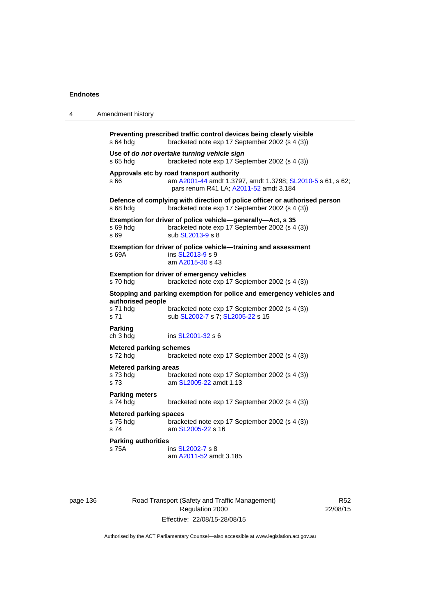4 Amendment history

| s 64 hdg                                          | Preventing prescribed traffic control devices being clearly visible<br>bracketed note exp 17 September 2002 (s 4 (3))                             |
|---------------------------------------------------|---------------------------------------------------------------------------------------------------------------------------------------------------|
| s 65 hdg                                          | Use of do not overtake turning vehicle sign<br>bracketed note exp 17 September 2002 (s 4 (3))                                                     |
| s 66                                              | Approvals etc by road transport authority<br>am A2001-44 amdt 1.3797, amdt 1.3798; SL2010-5 s 61, s 62;<br>pars renum R41 LA; A2011-52 amdt 3.184 |
| s 68 hdg                                          | Defence of complying with direction of police officer or authorised person<br>bracketed note exp 17 September 2002 (s 4 (3))                      |
| s 69 hda<br>s 69                                  | Exemption for driver of police vehicle-generally-Act, s 35<br>bracketed note exp 17 September 2002 (s 4 (3))<br>sub SL2013-9 s 8                  |
| s 69A                                             | Exemption for driver of police vehicle-training and assessment<br>ins SL2013-9 s 9<br>am A2015-30 s 43                                            |
| s 70 hdg                                          | Exemption for driver of emergency vehicles<br>bracketed note exp 17 September 2002 (s 4 (3))                                                      |
| authorised people                                 | Stopping and parking exemption for police and emergency vehicles and                                                                              |
| s 71 hdg<br>s 71                                  | bracketed note exp 17 September 2002 (s 4 (3))<br>sub SL2002-7 s 7; SL2005-22 s 15                                                                |
| <b>Parking</b><br>ch 3 hdg                        | ins SL2001-32 s 6                                                                                                                                 |
| <b>Metered parking schemes</b><br>s 72 hdg        | bracketed note exp 17 September 2002 (s 4 (3))                                                                                                    |
| <b>Metered parking areas</b>                      |                                                                                                                                                   |
| s 73 hdg<br>s 73                                  | bracketed note exp 17 September 2002 (s 4 (3))<br>am SL2005-22 amdt 1.13                                                                          |
| <b>Parking meters</b><br>s 74 hdg                 | bracketed note exp 17 September 2002 (s 4 (3))                                                                                                    |
| <b>Metered parking spaces</b><br>s 75 hdg<br>s 74 | bracketed note exp 17 September 2002 (s 4 (3))<br>am SL2005-22 s 16                                                                               |
| <b>Parking authorities</b>                        |                                                                                                                                                   |
| s 75A                                             | ins SL2002-7 s 8<br>am A2011-52 amdt 3.185                                                                                                        |

page 136 **Road Transport (Safety and Traffic Management)** Regulation 2000 Effective: 22/08/15-28/08/15

R52 22/08/15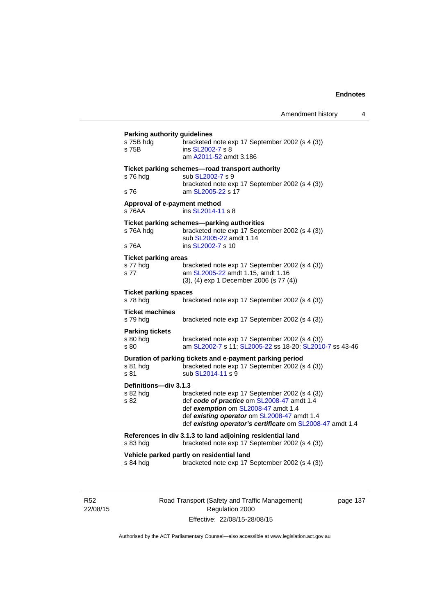# **Parking authority guidelines**  s 75B hdg bracketed note exp 17 September 2002 (s 4 (3)) s 75B ins [SL2002-7](http://www.legislation.act.gov.au/sl/2002-7) s 8 am [A2011-52](http://www.legislation.act.gov.au/a/2011-52) amdt 3.186 **Ticket parking schemes—road transport authority**  s 76 hdg sub [SL2002-7](http://www.legislation.act.gov.au/sl/2002-7) s 9 bracketed note exp 17 September 2002 (s 4 (3)) s 76 am [SL2005-22](http://www.legislation.act.gov.au/sl/2005-22) s 17 **Approval of e-payment method**  s 76AA ins [SL2014-11](http://www.legislation.act.gov.au/sl/2014-11) s 8 **Ticket parking schemes—parking authorities**  s 76A hdg bracketed note exp 17 September 2002 (s 4 (3)) sub [SL2005-22](http://www.legislation.act.gov.au/sl/2005-22) amdt 1.14 s 76A **ins [SL2002-7](http://www.legislation.act.gov.au/sl/2002-7)** s 10 **Ticket parking areas**  s 77 hdg bracketed note exp 17 September 2002 (s 4 (3)) s 77 **am [SL2005-22](http://www.legislation.act.gov.au/sl/2005-22) amdt 1.15, amdt 1.16** (3), (4) exp 1 December 2006 (s 77 (4)) **Ticket parking spaces**<br>s 78 hdg bray bracketed note exp 17 September 2002 (s 4 (3)) **Ticket machines**  s 79 hdg bracketed note exp 17 September 2002 (s 4 (3)) **Parking tickets**  s 80 hdg bracketed note exp 17 September 2002 (s 4 (3)) s 80 am [SL2002-7](http://www.legislation.act.gov.au/sl/2002-7) s 11; [SL2005-22](http://www.legislation.act.gov.au/sl/2005-22) ss 18-20; [SL2010-7](http://www.legislation.act.gov.au/sl/2010-7) ss 43-46 **Duration of parking tickets and e-payment parking period**  s 81 hdg bracketed note exp 17 September 2002 (s 4 (3)) s 81 sub [SL2014-11](http://www.legislation.act.gov.au/sl/2014-11) s 9 **Definitions—div 3.1.3**  s 82 hdg bracketed note exp 17 September 2002 (s 4 (3)) s 82 def *code of practice* om [SL2008-47](http://www.legislation.act.gov.au/sl/2008-47) amdt 1.4 def *exemption* om [SL2008-47](http://www.legislation.act.gov.au/sl/2008-47) amdt 1.4 def *existing operator* om [SL2008-47](http://www.legislation.act.gov.au/sl/2008-47) amdt 1.4 def *existing operator's certificate* om [SL2008-47](http://www.legislation.act.gov.au/sl/2008-47) amdt 1.4 **References in div 3.1.3 to land adjoining residential land**  s 83 hdg bracketed note exp 17 September 2002 (s 4 (3)) **Vehicle parked partly on residential land**  s 84 hdg bracketed note exp 17 September 2002 (s 4 (3))

R52 22/08/15 Road Transport (Safety and Traffic Management) Regulation 2000 Effective: 22/08/15-28/08/15

page 137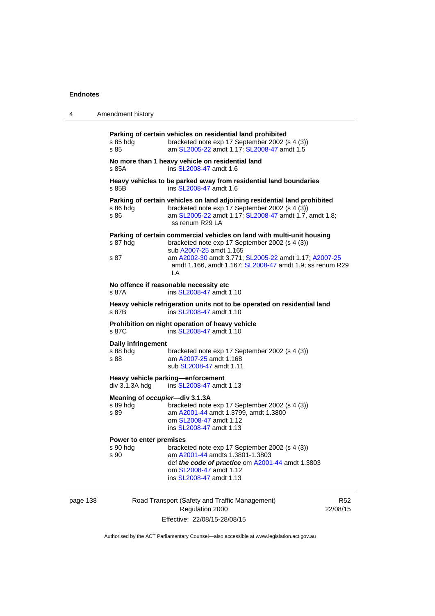| 4 | Amendment history                                                                                                                                                                                                                         |
|---|-------------------------------------------------------------------------------------------------------------------------------------------------------------------------------------------------------------------------------------------|
|   | Parking of certain vehicles on residential land prohibited<br>bracketed note exp 17 September 2002 (s 4 (3))<br>s 85 hdg<br>am SL2005-22 amdt 1.17; SL2008-47 amdt 1.5<br>s 85                                                            |
|   | No more than 1 heavy vehicle on residential land<br>ins SL2008-47 amdt 1.6<br>s 85A                                                                                                                                                       |
|   | Heavy vehicles to be parked away from residential land boundaries<br>ins SL2008-47 amdt 1.6<br>s 85B                                                                                                                                      |
|   | Parking of certain vehicles on land adjoining residential land prohibited<br>bracketed note exp 17 September 2002 (s 4 (3))<br>s 86 hdg<br>s 86<br>am SL2005-22 amdt 1.17; SL2008-47 amdt 1.7, amdt 1.8;<br>ss renum R29 LA               |
|   | Parking of certain commercial vehicles on land with multi-unit housing<br>bracketed note exp 17 September 2002 (s 4 (3))<br>s 87 hdg<br>sub A2007-25 amdt 1.165                                                                           |
|   | s 87<br>am A2002-30 amdt 3.771; SL2005-22 amdt 1.17; A2007-25<br>amdt 1.166, amdt 1.167; SL2008-47 amdt 1.9; ss renum R29<br>LA                                                                                                           |
|   | No offence if reasonable necessity etc<br>ins SL2008-47 amdt 1.10<br>s 87A                                                                                                                                                                |
|   | Heavy vehicle refrigeration units not to be operated on residential land<br>s 87B<br>ins SL2008-47 amdt 1.10                                                                                                                              |
|   | Prohibition on night operation of heavy vehicle<br>ins SL2008-47 amdt 1.10<br>s 87C                                                                                                                                                       |
|   | Daily infringement<br>s 88 hdg<br>bracketed note exp 17 September 2002 (s 4 (3))<br>am A2007-25 amdt 1.168<br>s 88<br>sub SL2008-47 amdt 1.11                                                                                             |
|   | Heavy vehicle parking-enforcement<br>div 3.1.3A hdg<br>ins SL2008-47 amdt 1.13                                                                                                                                                            |
|   | Meaning of occupier-div 3.1.3A<br>s 89 hdg<br>bracketed note exp 17 September 2002 (s 4 (3))<br>am A2001-44 amdt 1.3799, amdt 1.3800<br>s 89<br>om SL2008-47 amdt 1.12<br>ins SL2008-47 amdt 1.13                                         |
|   | Power to enter premises<br>s 90 hdg<br>bracketed note exp 17 September 2002 (s 4 (3))<br>am A2001-44 amdts 1.3801-1.3803<br>s 90<br>def the code of practice om A2001-44 amdt 1.3803<br>om SL2008-47 amdt 1.12<br>ins SL2008-47 amdt 1.13 |

page 138 Road Transport (Safety and Traffic Management) Regulation 2000 Effective: 22/08/15-28/08/15

R52 22/08/15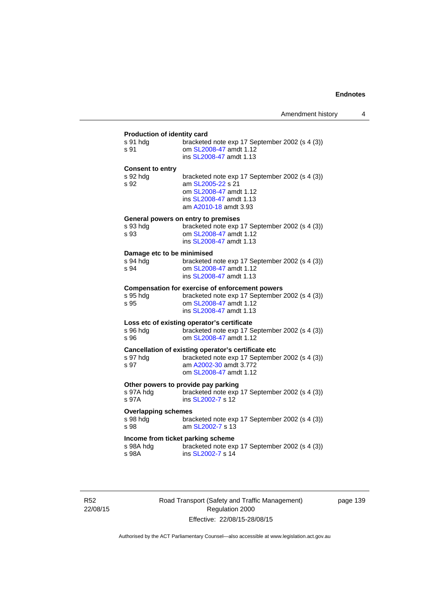| Production of identity card |                                                                                                                                                   |  |
|-----------------------------|---------------------------------------------------------------------------------------------------------------------------------------------------|--|
| s 91 hdg<br>s 91            | bracketed note exp 17 September 2002 (s 4 (3))<br>om SL2008-47 amdt 1.12<br>ins SL2008-47 amdt 1.13                                               |  |
| <b>Consent to entry</b>     |                                                                                                                                                   |  |
| s 92 hda<br>s 92            | bracketed note exp 17 September 2002 (s 4 (3))<br>am SL2005-22 s 21<br>om SL2008-47 amdt 1.12<br>ins SL2008-47 amdt 1.13<br>am A2010-18 amdt 3.93 |  |
|                             | General powers on entry to premises                                                                                                               |  |
| s 93 hdg<br>s 93            | bracketed note exp 17 September 2002 (s 4 (3))<br>om SL2008-47 amdt 1.12<br>ins SL2008-47 amdt 1.13                                               |  |
| Damage etc to be minimised  |                                                                                                                                                   |  |
| s 94 hda<br>s 94            | bracketed note exp 17 September 2002 (s 4 (3))<br>om SL2008-47 amdt 1.12<br>ins SL2008-47 amdt 1.13                                               |  |
|                             | <b>Compensation for exercise of enforcement powers</b>                                                                                            |  |
| s 95 hda<br>s 95            | bracketed note exp 17 September 2002 (s 4 (3))<br>om SL2008-47 amdt 1.12<br>ins SL2008-47 amdt 1.13                                               |  |
|                             | Loss etc of existing operator's certificate                                                                                                       |  |
| s 96 hdg<br>s 96            | bracketed note exp 17 September 2002 (s 4 (3))<br>om SL2008-47 amdt 1.12                                                                          |  |
|                             | Cancellation of existing operator's certificate etc                                                                                               |  |
| s 97 hdg<br>s 97            | bracketed note exp 17 September 2002 (s 4 (3))<br>am A2002-30 amdt 3.772<br>om SL2008-47 amdt 1.12                                                |  |
|                             | Other powers to provide pay parking                                                                                                               |  |
| s 97A hdg<br>s 97A          | bracketed note exp 17 September 2002 (s 4 (3))<br>ins SL2002-7 s 12                                                                               |  |
| <b>Overlapping schemes</b>  |                                                                                                                                                   |  |
| s 98 hdg<br>s 98            | bracketed note exp 17 September 2002 (s 4 (3))<br>am SL2002-7 s 13                                                                                |  |
|                             | Income from ticket parking scheme                                                                                                                 |  |
| s 98A hdg<br>s 98A          | bracketed note exp 17 September 2002 (s 4 (3))<br>ins SL2002-7 s 14                                                                               |  |
|                             |                                                                                                                                                   |  |

R52 22/08/15 Road Transport (Safety and Traffic Management) Regulation 2000 Effective: 22/08/15-28/08/15

page 139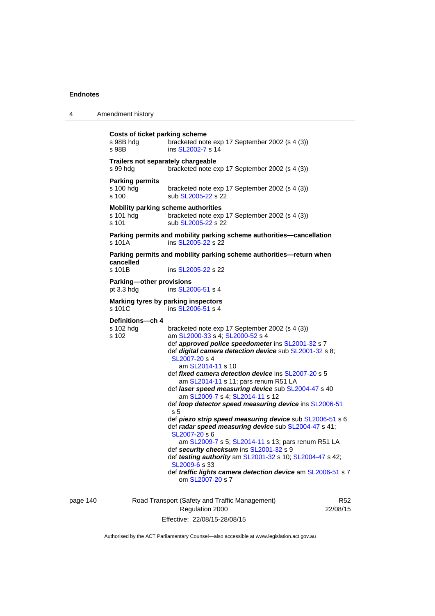| 4        | Amendment history                                    |                                                                                                                                                                                                                                                                                                                                                                                                                                                                                                                                                                                                                                                                                                                                                                                                                                                                                                               |                 |
|----------|------------------------------------------------------|---------------------------------------------------------------------------------------------------------------------------------------------------------------------------------------------------------------------------------------------------------------------------------------------------------------------------------------------------------------------------------------------------------------------------------------------------------------------------------------------------------------------------------------------------------------------------------------------------------------------------------------------------------------------------------------------------------------------------------------------------------------------------------------------------------------------------------------------------------------------------------------------------------------|-----------------|
|          | Costs of ticket parking scheme<br>s 98B hdg<br>s 98B | bracketed note exp 17 September 2002 (s 4 (3))<br>ins SL2002-7 s 14                                                                                                                                                                                                                                                                                                                                                                                                                                                                                                                                                                                                                                                                                                                                                                                                                                           |                 |
|          | Trailers not separately chargeable<br>s 99 hdg       | bracketed note exp 17 September 2002 (s 4 (3))                                                                                                                                                                                                                                                                                                                                                                                                                                                                                                                                                                                                                                                                                                                                                                                                                                                                |                 |
|          | <b>Parking permits</b><br>s 100 hdg<br>s 100         | bracketed note exp 17 September 2002 (s 4 (3))<br>sub SL2005-22 s 22                                                                                                                                                                                                                                                                                                                                                                                                                                                                                                                                                                                                                                                                                                                                                                                                                                          |                 |
|          | s 101 hdg<br>s 101                                   | <b>Mobility parking scheme authorities</b><br>bracketed note exp 17 September 2002 (s 4 (3))<br>sub SL2005-22 s 22                                                                                                                                                                                                                                                                                                                                                                                                                                                                                                                                                                                                                                                                                                                                                                                            |                 |
|          | s 101A                                               | Parking permits and mobility parking scheme authorities-cancellation<br>ins SL2005-22 s 22                                                                                                                                                                                                                                                                                                                                                                                                                                                                                                                                                                                                                                                                                                                                                                                                                    |                 |
|          | cancelled<br>s 101B                                  | Parking permits and mobility parking scheme authorities-return when<br>ins SL2005-22 s 22                                                                                                                                                                                                                                                                                                                                                                                                                                                                                                                                                                                                                                                                                                                                                                                                                     |                 |
|          | <b>Parking-other provisions</b><br>pt $3.3$ hdg      | ins SL2006-51 s 4                                                                                                                                                                                                                                                                                                                                                                                                                                                                                                                                                                                                                                                                                                                                                                                                                                                                                             |                 |
|          | s 101C                                               | Marking tyres by parking inspectors<br>ins SL2006-51 s 4                                                                                                                                                                                                                                                                                                                                                                                                                                                                                                                                                                                                                                                                                                                                                                                                                                                      |                 |
|          | Definitions-ch 4<br>s 102 hdg<br>s 102               | bracketed note exp 17 September 2002 (s 4 (3))<br>am SL2000-33 s 4; SL2000-52 s 4<br>def approved police speedometer ins SL2001-32 s 7<br>def <i>digital camera detection device</i> sub SL2001-32 s 8;<br>SL2007-20 s 4<br>am SL2014-11 s 10<br>def fixed camera detection device ins SL2007-20 s 5<br>am SL2014-11 s 11; pars renum R51 LA<br>def laser speed measuring device sub SL2004-47 s 40<br>am SL2009-7 s 4; SL2014-11 s 12<br>def loop detector speed measuring device ins SL2006-51<br>s 5<br>def piezo strip speed measuring device sub SL2006-51 s 6<br>def radar speed measuring device sub SL2004-47 s 41;<br>SL2007-20 s 6<br>am SL2009-7 s 5; SL2014-11 s 13; pars renum R51 LA<br>def security checksum ins SL2001-32 s 9<br>def testing authority am SL2001-32 s 10; SL2004-47 s 42;<br>SL2009-6 s 33<br>def traffic lights camera detection device am SL2006-51 s 7<br>om SL2007-20 s 7 |                 |
| page 140 |                                                      | Road Transport (Safety and Traffic Management)                                                                                                                                                                                                                                                                                                                                                                                                                                                                                                                                                                                                                                                                                                                                                                                                                                                                | R <sub>52</sub> |

Regulation 2000 Effective: 22/08/15-28/08/15

R52 22/08/15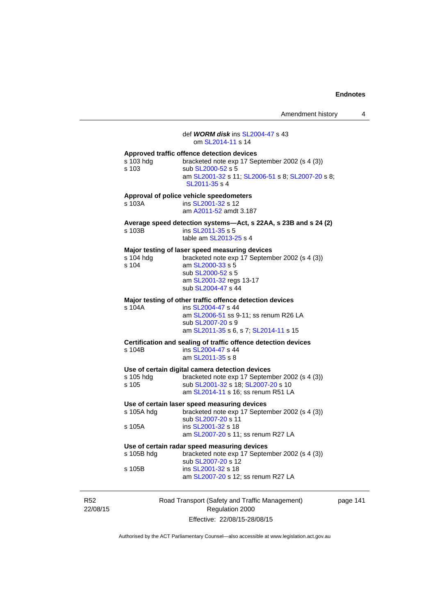|                      |                                                                                                                                                                                            | Amendment history | 4 |
|----------------------|--------------------------------------------------------------------------------------------------------------------------------------------------------------------------------------------|-------------------|---|
|                      | def <i>WORM disk</i> ins SL2004-47 s 43<br>om SL2014-11 s 14                                                                                                                               |                   |   |
| s 103 hdg<br>s 103   | Approved traffic offence detection devices<br>bracketed note exp 17 September 2002 (s 4 (3))<br>sub SL2000-52 s 5<br>am SL2001-32 s 11; SL2006-51 s 8; SL2007-20 s 8;<br>SL2011-35 s 4     |                   |   |
| s 103A               | Approval of police vehicle speedometers<br>ins SL2001-32 s 12<br>am A2011-52 amdt 3.187                                                                                                    |                   |   |
| s 103B               | Average speed detection systems—Act, s 22AA, s 23B and s 24 (2)<br>ins SL2011-35 s 5<br>table am SL2013-25 s 4                                                                             |                   |   |
| s 104 hdg<br>s 104   | Major testing of laser speed measuring devices<br>bracketed note exp 17 September 2002 (s 4 (3))<br>am SL2000-33 s 5<br>sub SL2000-52 s 5<br>am SL2001-32 regs 13-17<br>sub SL2004-47 s 44 |                   |   |
| s 104A               | Major testing of other traffic offence detection devices<br>ins SL2004-47 s 44<br>am SL2006-51 ss 9-11; ss renum R26 LA<br>sub SL2007-20 s 9<br>am SL2011-35 s 6, s 7; SL2014-11 s 15      |                   |   |
| s 104B               | Certification and sealing of traffic offence detection devices<br>ins SL2004-47 s 44<br>am SL2011-35 s 8                                                                                   |                   |   |
| s 105 hdg<br>s 105   | Use of certain digital camera detection devices<br>bracketed note exp 17 September 2002 (s 4 (3))<br>sub SL2001-32 s 18; SL2007-20 s 10<br>am SL2014-11 s 16; ss renum R51 LA              |                   |   |
| s 105A hdg<br>s 105A | Use of certain laser speed measuring devices<br>bracketed note exp 17 September 2002 (s 4 (3))<br>sub SL2007-20 s 11<br>ins SL2001-32 s 18                                                 |                   |   |
|                      | am SL2007-20 s 11; ss renum R27 LA                                                                                                                                                         |                   |   |
| s 105B hdg           | Use of certain radar speed measuring devices<br>bracketed note exp 17 September 2002 (s 4 (3))<br>sub SL2007-20 s 12                                                                       |                   |   |
| s 105B               | ins SL2001-32 s 18<br>am SL2007-20 s 12; ss renum R27 LA                                                                                                                                   |                   |   |
|                      | Transport (Cafety and Traffic Management                                                                                                                                                   |                   |   |

R52 22/08/15 Road Transport (Safety and Traffic Management) Regulation 2000 Effective: 22/08/15-28/08/15

page 141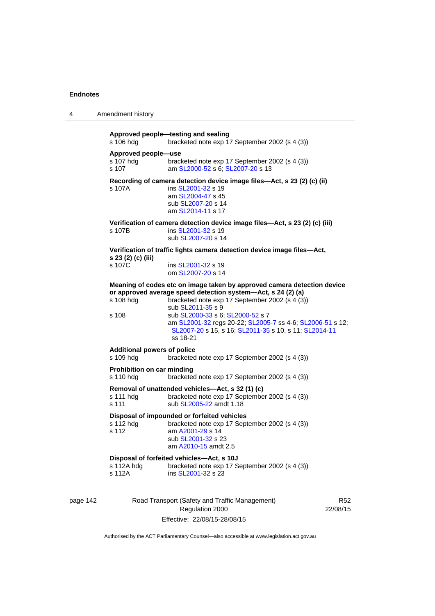| 4 | Amendment history                               |                                                                                                                                                                                                                                                                                                                                                                                      |
|---|-------------------------------------------------|--------------------------------------------------------------------------------------------------------------------------------------------------------------------------------------------------------------------------------------------------------------------------------------------------------------------------------------------------------------------------------------|
|   | s 106 hdg                                       | Approved people-testing and sealing<br>bracketed note exp 17 September 2002 (s 4 (3))                                                                                                                                                                                                                                                                                                |
|   | Approved people-use<br>s 107 hdg<br>s 107       | bracketed note exp 17 September 2002 (s 4 (3))<br>am SL2000-52 s 6; SL2007-20 s 13                                                                                                                                                                                                                                                                                                   |
|   | s 107A                                          | Recording of camera detection device image files-Act, s 23 (2) (c) (ii)<br>ins SL2001-32 s 19<br>am SL2004-47 s 45<br>sub SL2007-20 s 14<br>am SL2014-11 s 17                                                                                                                                                                                                                        |
|   | s 107B                                          | Verification of camera detection device image files-Act, s 23 (2) (c) (iii)<br>ins SL2001-32 s 19<br>sub SL2007-20 s 14                                                                                                                                                                                                                                                              |
|   | s 23 (2) (c) (iii)<br>s 107C                    | Verification of traffic lights camera detection device image files-Act,<br>ins SL2001-32 s 19<br>om SL2007-20 s 14                                                                                                                                                                                                                                                                   |
|   | s 108 hdg<br>s 108                              | Meaning of codes etc on image taken by approved camera detection device<br>or approved average speed detection system-Act, s 24 (2) (a)<br>bracketed note exp 17 September 2002 (s 4 (3))<br>sub SL2011-35 s 9<br>sub SL2000-33 s 6; SL2000-52 s 7<br>am SL2001-32 regs 20-22; SL2005-7 ss 4-6; SL2006-51 s 12;<br>SL2007-20 s 15, s 16; SL2011-35 s 10, s 11; SL2014-11<br>ss 18-21 |
|   | <b>Additional powers of police</b><br>s 109 hdg | bracketed note exp 17 September 2002 (s 4 (3))                                                                                                                                                                                                                                                                                                                                       |
|   | Prohibition on car minding<br>s 110 hdg         | bracketed note exp 17 September 2002 (s 4 (3))                                                                                                                                                                                                                                                                                                                                       |
|   | s 111 hdg<br>s 111                              | Removal of unattended vehicles-Act, s 32 (1) (c)<br>bracketed note exp 17 September 2002 (s 4 (3))<br>sub SL2005-22 amdt 1.18                                                                                                                                                                                                                                                        |
|   | s 112 hdg<br>s 112                              | Disposal of impounded or forfeited vehicles<br>bracketed note exp 17 September 2002 (s 4 (3))<br>am A2001-29 s 14<br>sub SL2001-32 s 23<br>am A2010-15 amdt 2.5                                                                                                                                                                                                                      |
|   | s 112A hdg<br>s 112A                            | Disposal of forfeited vehicles-Act, s 10J<br>bracketed note exp 17 September 2002 (s 4 (3))<br>ins SL2001-32 s 23                                                                                                                                                                                                                                                                    |
|   |                                                 |                                                                                                                                                                                                                                                                                                                                                                                      |

# page 142 Road Transport (Safety and Traffic Management) Regulation 2000 Effective: 22/08/15-28/08/15

R52 22/08/15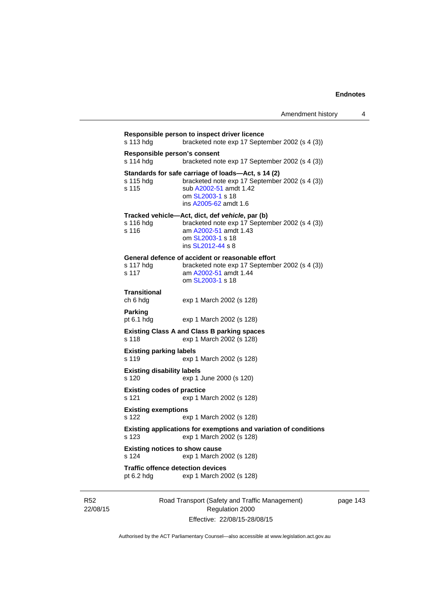| Responsible person's consent<br>s 114 hdg  | bracketed note exp 17 September 2002 (s 4 (3))                                                                                                                              |
|--------------------------------------------|-----------------------------------------------------------------------------------------------------------------------------------------------------------------------------|
| s 115 hdg<br>s 115                         | Standards for safe carriage of loads-Act, s 14 (2)<br>bracketed note exp 17 September 2002 (s 4 (3))<br>sub A2002-51 amdt 1.42<br>om SL2003-1 s 18<br>ins A2005-62 amdt 1.6 |
| s 116 hdg<br>s 116                         | Tracked vehicle-Act, dict, def vehicle, par (b)<br>bracketed note exp 17 September 2002 (s 4 (3))<br>am A2002-51 amdt 1.43<br>om SL2003-1 s 18<br>ins SL2012-44 s 8         |
| s 117 hdg<br>s 117                         | General defence of accident or reasonable effort<br>bracketed note exp 17 September 2002 (s 4 (3))<br>am A2002-51 amdt 1.44<br>om SL2003-1 s 18                             |
| Transitional<br>ch 6 hdg                   | exp 1 March 2002 (s 128)                                                                                                                                                    |
| Parking<br>pt $6.1$ hdg                    | exp 1 March 2002 (s 128)                                                                                                                                                    |
| s 118                                      | <b>Existing Class A and Class B parking spaces</b><br>exp 1 March 2002 (s 128)                                                                                              |
| <b>Existing parking labels</b><br>s 119    | exp 1 March 2002 (s 128)                                                                                                                                                    |
| <b>Existing disability labels</b><br>s 120 | exp 1 June 2000 (s 120)                                                                                                                                                     |
| <b>Existing codes of practice</b><br>s 121 | exp 1 March 2002 (s 128)                                                                                                                                                    |
| <b>Existing exemptions</b><br>s 122        | exp 1 March 2002 (s 128)                                                                                                                                                    |
| $s$ 123                                    | <b>Existing applications for exemptions and variation of conditions</b><br>exp 1 March 2002 (s 128)                                                                         |
| s 124                                      | <b>Existing notices to show cause</b><br>exp 1 March 2002 (s 128)                                                                                                           |
| pt $6.2$ hdg                               | <b>Traffic offence detection devices</b><br>exp 1 March 2002 (s 128)                                                                                                        |

R52 22/08/15 Road Transport (Safety and Traffic Management) Regulation 2000 Effective: 22/08/15-28/08/15

page 143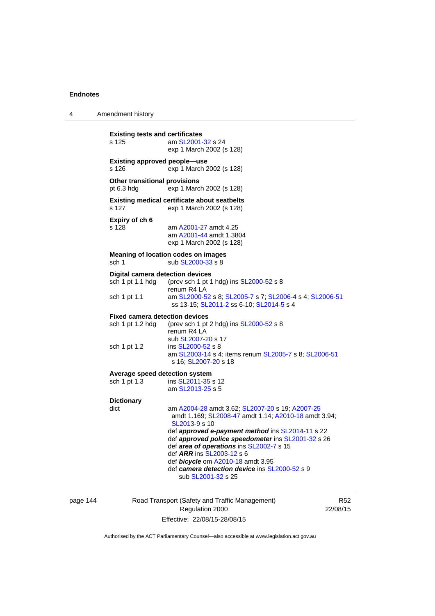4 Amendment history

| s 125                                                       | <b>Existing tests and certificates</b><br>am SL2001-32 s 24<br>exp 1 March 2002 (s 128)                                                            |
|-------------------------------------------------------------|----------------------------------------------------------------------------------------------------------------------------------------------------|
| <b>Existing approved people-use</b><br>s 126                | exp 1 March 2002 (s 128)                                                                                                                           |
| Other transitional provisions<br>pt 6.3 hdg                 | exp 1 March 2002 (s 128)                                                                                                                           |
| s 127                                                       | <b>Existing medical certificate about seatbelts</b><br>exp 1 March 2002 (s 128)                                                                    |
| Expiry of ch 6<br>s 128                                     | am A2001-27 amdt 4.25<br>am A2001-44 amdt 1.3804<br>exp 1 March 2002 (s 128)                                                                       |
| sch 1                                                       | <b>Meaning of location codes on images</b><br>sub SL2000-33 s 8                                                                                    |
| <b>Digital camera detection devices</b><br>sch 1 pt 1.1 hdg | (prev sch 1 pt 1 hdg) ins SL2000-52 s 8<br>renum R4 LA                                                                                             |
| sch 1 pt 1.1                                                | am SL2000-52 s 8; SL2005-7 s 7; SL2006-4 s 4; SL2006-51<br>ss 13-15; SL2011-2 ss 6-10; SL2014-5 s 4                                                |
| <b>Fixed camera detection devices</b><br>sch 1 pt 1.2 hdg   | (prev sch 1 pt 2 hdg) ins SL2000-52 s 8<br>renum R4 LA<br>sub SL2007-20 s 17                                                                       |
| sch 1 pt 1.2                                                | ins SL2000-52 s 8<br>am SL2003-14 s 4; items renum SL2005-7 s 8; SL2006-51<br>s 16: SL2007-20 s 18                                                 |
|                                                             | Average speed detection system                                                                                                                     |
| sch 1 pt 1.3                                                | ins SL2011-35 s 12<br>am SL2013-25 s 5                                                                                                             |
| <b>Dictionary</b>                                           |                                                                                                                                                    |
| dict                                                        | am A2004-28 amdt 3.62; SL2007-20 s 19; A2007-25<br>amdt 1.169; SL2008-47 amdt 1.14; A2010-18 amdt 3.94;<br>SL2013-9 s 10                           |
|                                                             | def approved e-payment method ins SL2014-11 s 22<br>def approved police speedometer ins SL2001-32 s 26<br>def area of operations ins SL2002-7 s 15 |
|                                                             | def ARR ins SL2003-12 s 6                                                                                                                          |

page 144 Road Transport (Safety and Traffic Management) Regulation 2000 Effective: 22/08/15-28/08/15

R52 22/08/15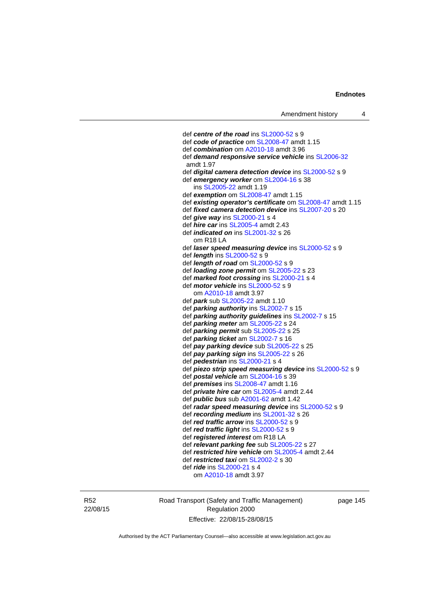def *centre of the road* ins [SL2000-52](http://www.legislation.act.gov.au/sl/2000-52) s 9 def *code of practice* om [SL2008-47](http://www.legislation.act.gov.au/sl/2008-47) amdt 1.15 def *combination* om [A2010-18](http://www.legislation.act.gov.au/a/2010-18) amdt 3.96 def *demand responsive service vehicle* ins [SL2006-32](http://www.legislation.act.gov.au/sl/2006-32) amdt 1.97 def *digital camera detection device* ins [SL2000-52](http://www.legislation.act.gov.au/sl/2000-52) s 9 def *emergency worker* om [SL2004-16](http://www.legislation.act.gov.au/sl/2004-16) s 38 ins [SL2005-22](http://www.legislation.act.gov.au/sl/2005-22) amdt 1.19 def *exemption* om [SL2008-47](http://www.legislation.act.gov.au/sl/2008-47) amdt 1.15 def *existing operator's certificate* om [SL2008-47](http://www.legislation.act.gov.au/sl/2008-47) amdt 1.15 def *fixed camera detection device* ins [SL2007-20](http://www.legislation.act.gov.au/sl/2007-20) s 20 def *give way* ins [SL2000-21](http://www.legislation.act.gov.au/sl/2000-21) s 4 def *hire car* ins [SL2005-4](http://www.legislation.act.gov.au/sl/2005-4) amdt 2.43 def *indicated on* ins [SL2001-32](http://www.legislation.act.gov.au/sl/2001-32) s 26 om R18 LA def *laser speed measuring device* ins [SL2000-52](http://www.legislation.act.gov.au/sl/2000-52) s 9 def *length* ins [SL2000-52](http://www.legislation.act.gov.au/sl/2000-52) s 9 def *length of road* om [SL2000-52](http://www.legislation.act.gov.au/sl/2000-52) s 9 def *loading zone permit* om [SL2005-22](http://www.legislation.act.gov.au/sl/2005-22) s 23 def *marked foot crossing* ins [SL2000-21](http://www.legislation.act.gov.au/sl/2000-21) s 4 def *motor vehicle* ins [SL2000-52](http://www.legislation.act.gov.au/sl/2000-52) s 9 om [A2010-18](http://www.legislation.act.gov.au/a/2010-18) amdt 3.97 def *park* sub [SL2005-22](http://www.legislation.act.gov.au/sl/2005-22) amdt 1.10 def *parking authority* ins [SL2002-7](http://www.legislation.act.gov.au/sl/2002-7) s 15 def *parking authority guidelines* ins [SL2002-7](http://www.legislation.act.gov.au/sl/2002-7) s 15 def *parking meter* am [SL2005-22](http://www.legislation.act.gov.au/sl/2005-22) s 24 def *parking permit* sub [SL2005-22](http://www.legislation.act.gov.au/sl/2005-22) s 25 def *parking ticket* am [SL2002-7](http://www.legislation.act.gov.au/sl/2002-7) s 16 def *pay parking device* sub [SL2005-22](http://www.legislation.act.gov.au/sl/2005-22) s 25 def *pay parking sign* ins [SL2005-22](http://www.legislation.act.gov.au/sl/2005-22) s 26 def *pedestrian* ins [SL2000-21](http://www.legislation.act.gov.au/sl/2000-21) s 4 def *piezo strip speed measuring device* ins [SL2000-52](http://www.legislation.act.gov.au/sl/2000-52) s 9 def *postal vehicle* am [SL2004-16](http://www.legislation.act.gov.au/sl/2004-16) s 39 def *premises* ins [SL2008-47](http://www.legislation.act.gov.au/sl/2008-47) amdt 1.16 def *private hire car* om [SL2005-4](http://www.legislation.act.gov.au/sl/2005-4) amdt 2.44 def *public bus* sub [A2001-62](http://www.legislation.act.gov.au/a/2001-62) amdt 1.42 def *radar speed measuring device* ins [SL2000-52](http://www.legislation.act.gov.au/sl/2000-52) s 9 def *recording medium* ins [SL2001-32](http://www.legislation.act.gov.au/sl/2001-32) s 26 def *red traffic arrow* ins [SL2000-52](http://www.legislation.act.gov.au/sl/2000-52) s 9 def *red traffic light* ins [SL2000-52](http://www.legislation.act.gov.au/sl/2000-52) s 9 def *registered interest* om R18 LA def *relevant parking fee* sub [SL2005-22](http://www.legislation.act.gov.au/sl/2005-22) s 27 def *restricted hire vehicle* om [SL2005-4](http://www.legislation.act.gov.au/sl/2005-4) amdt 2.44 def *restricted taxi* om [SL2002-2](http://www.legislation.act.gov.au/sl/2002-2) s 30 def *ride* ins [SL2000-21](http://www.legislation.act.gov.au/sl/2000-21) s 4 om [A2010-18](http://www.legislation.act.gov.au/a/2010-18) amdt 3.97

R52 22/08/15 Road Transport (Safety and Traffic Management) Regulation 2000 Effective: 22/08/15-28/08/15

page 145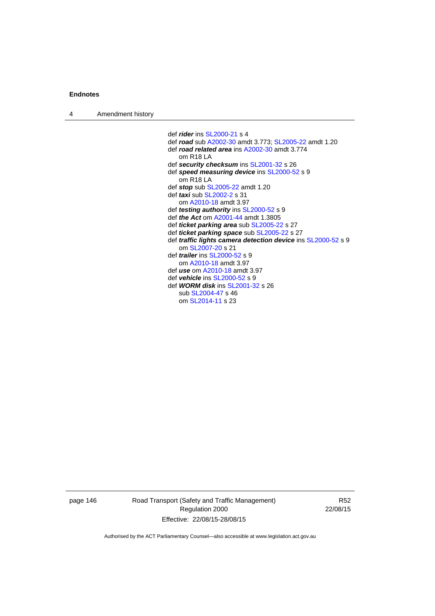| 4 | Amendment history |                                                                     |
|---|-------------------|---------------------------------------------------------------------|
|   |                   |                                                                     |
|   |                   | def <i>rider</i> ins SL2000-21 s 4                                  |
|   |                   | def road sub A2002-30 amdt 3.773; SL2005-22 amdt 1.20               |
|   |                   | def road related area ins A2002-30 amdt 3.774                       |
|   |                   | $om$ R <sub>18</sub> LA                                             |
|   |                   | def security checksum ins SL2001-32 s 26                            |
|   |                   | def speed measuring device ins SL2000-52 s 9                        |
|   |                   | om R <sub>18</sub> LA                                               |
|   |                   | def stop sub SL2005-22 amdt 1.20                                    |
|   |                   | def <i>taxi</i> sub SL2002-2 s 31                                   |
|   |                   | om A2010-18 amdt 3.97                                               |
|   |                   | def <i>testing authority</i> ins SL2000-52 s 9                      |
|   |                   | def <i>the Act</i> om A2001-44 amdt 1,3805                          |
|   |                   | def <i>ticket parking area</i> sub SL2005-22 s 27                   |
|   |                   | def <i>ticket parking space</i> sub SL2005-22 s 27                  |
|   |                   | def <i>traffic lights camera detection device</i> ins SL2000-52 s 9 |
|   |                   | om SL2007-20 s 21                                                   |
|   |                   | def <i>trailer</i> ins $SL2000-52$ s 9                              |
|   |                   | om A2010-18 amdt 3.97                                               |
|   |                   | def use om A2010-18 amdt 3.97                                       |
|   |                   | def vehicle ins SL2000-52 s 9                                       |
|   |                   | def <b>WORM disk</b> ins SL2001-32 s 26                             |
|   |                   | sub SL2004-47 s 46                                                  |
|   |                   | om SL2014-11 s 23                                                   |
|   |                   |                                                                     |

page 146 Road Transport (Safety and Traffic Management) Regulation 2000 Effective: 22/08/15-28/08/15

R52 22/08/15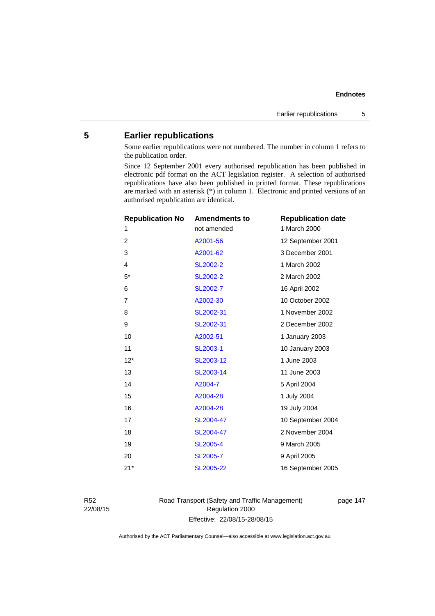# **5 Earlier republications**

Some earlier republications were not numbered. The number in column 1 refers to the publication order.

Since 12 September 2001 every authorised republication has been published in electronic pdf format on the ACT legislation register. A selection of authorised republications have also been published in printed format. These republications are marked with an asterisk (\*) in column 1. Electronic and printed versions of an authorised republication are identical.

| <b>Republication No</b> | <b>Amendments to</b> | <b>Republication date</b> |
|-------------------------|----------------------|---------------------------|
| 1                       | not amended          | 1 March 2000              |
| $\overline{2}$          | A2001-56             | 12 September 2001         |
| 3                       | A2001-62             | 3 December 2001           |
| $\overline{4}$          | <b>SL2002-2</b>      | 1 March 2002              |
| $5*$                    | <b>SL2002-2</b>      | 2 March 2002              |
| 6                       | SL2002-7             | 16 April 2002             |
| $\overline{7}$          | A2002-30             | 10 October 2002           |
| 8                       | SL2002-31            | 1 November 2002           |
| 9                       | SL2002-31            | 2 December 2002           |
| 10                      | A2002-51             | 1 January 2003            |
| 11                      | SL2003-1             | 10 January 2003           |
| $12*$                   | SL2003-12            | 1 June 2003               |
| 13                      | SL2003-14            | 11 June 2003              |
| 14                      | A2004-7              | 5 April 2004              |
| 15                      | A2004-28             | 1 July 2004               |
| 16                      | A2004-28             | 19 July 2004              |
| 17                      | SL2004-47            | 10 September 2004         |
| 18                      | SL2004-47            | 2 November 2004           |
| 19                      | <b>SL2005-4</b>      | 9 March 2005              |
| 20                      | <b>SL2005-7</b>      | 9 April 2005              |
| $21*$                   | SL2005-22            | 16 September 2005         |
|                         |                      |                           |

R52 22/08/15 Road Transport (Safety and Traffic Management) Regulation 2000 Effective: 22/08/15-28/08/15

page 147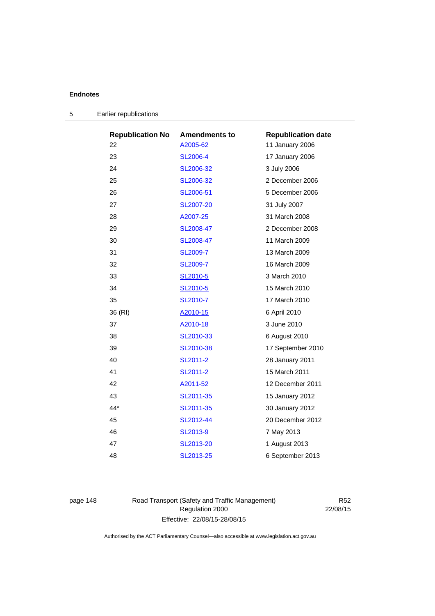| <b>Republication No</b> | <b>Amendments to</b> | <b>Republication date</b> |
|-------------------------|----------------------|---------------------------|
| 22                      | A2005-62             | 11 January 2006           |
| 23                      | SL2006-4             | 17 January 2006           |
| 24                      | SL2006-32            | 3 July 2006               |
| 25                      | SL2006-32            | 2 December 2006           |
| 26                      | SL2006-51            | 5 December 2006           |
| 27                      | <b>SL2007-20</b>     | 31 July 2007              |
| 28                      | A2007-25             | 31 March 2008             |
| 29                      | SL2008-47            | 2 December 2008           |
| 30                      | SL2008-47            | 11 March 2009             |
| 31                      | <b>SL2009-7</b>      | 13 March 2009             |
| 32                      | <b>SL2009-7</b>      | 16 March 2009             |
| 33                      | SL2010-5             | 3 March 2010              |
| 34                      | SL2010-5             | 15 March 2010             |
| 35                      | SL2010-7             | 17 March 2010             |
| 36 (RI)                 | A2010-15             | 6 April 2010              |
| 37                      | A2010-18             | 3 June 2010               |
| 38                      | SL2010-33            | 6 August 2010             |
| 39                      | SL2010-38            | 17 September 2010         |
| 40                      | SL2011-2             | 28 January 2011           |
| 41                      | SL2011-2             | 15 March 2011             |
| 42                      | A2011-52             | 12 December 2011          |
| 43                      | SL2011-35            | 15 January 2012           |
| 44*                     | SL2011-35            | 30 January 2012           |
| 45                      | SL2012-44            | 20 December 2012          |
| 46                      | SL2013-9             | 7 May 2013                |
| 47                      | SL2013-20            | 1 August 2013             |
| 48                      | SL2013-25            | 6 September 2013          |

| Earlier republications<br>5 |  |
|-----------------------------|--|
|-----------------------------|--|

page 148 Road Transport (Safety and Traffic Management) Regulation 2000 Effective: 22/08/15-28/08/15

R52 22/08/15